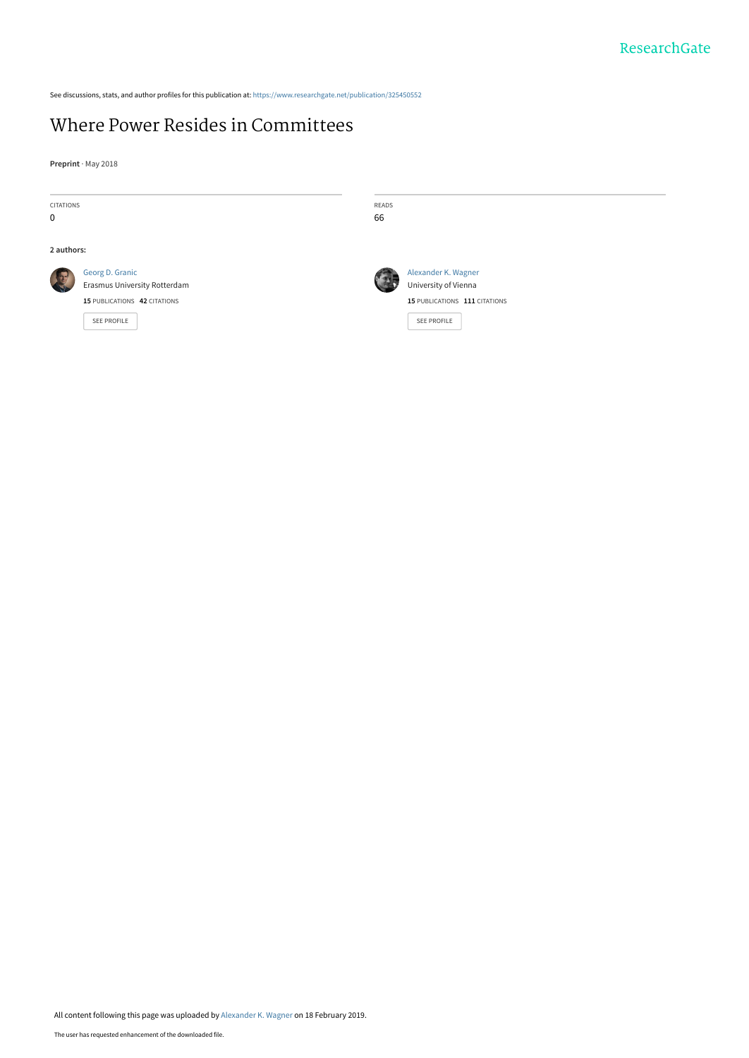See discussions, stats, and author profiles for this publication at: [https://www.researchgate.net/publication/325450552](https://www.researchgate.net/publication/325450552_Where_Power_Resides_in_Committees?enrichId=rgreq-ea03885c3dc21255dd226f79fd3710a6-XXX&enrichSource=Y292ZXJQYWdlOzMyNTQ1MDU1MjtBUzo3Mjc2MzQ0MDk0MjY5NDlAMTU1MDQ5Mjk3MDk0NQ%3D%3D&el=1_x_2&_esc=publicationCoverPdf)

# [Where Power Resides in Committees](https://www.researchgate.net/publication/325450552_Where_Power_Resides_in_Committees?enrichId=rgreq-ea03885c3dc21255dd226f79fd3710a6-XXX&enrichSource=Y292ZXJQYWdlOzMyNTQ1MDU1MjtBUzo3Mjc2MzQ0MDk0MjY5NDlAMTU1MDQ5Mjk3MDk0NQ%3D%3D&el=1_x_3&_esc=publicationCoverPdf)

**Preprint** · May 2018

CITATIONS 0

**2 authors:**



[Georg D. Granic](https://www.researchgate.net/profile/Georg_Granic?enrichId=rgreq-ea03885c3dc21255dd226f79fd3710a6-XXX&enrichSource=Y292ZXJQYWdlOzMyNTQ1MDU1MjtBUzo3Mjc2MzQ0MDk0MjY5NDlAMTU1MDQ5Mjk3MDk0NQ%3D%3D&el=1_x_5&_esc=publicationCoverPdf) [Erasmus University Rotterdam](https://www.researchgate.net/institution/Erasmus_University_Rotterdam?enrichId=rgreq-ea03885c3dc21255dd226f79fd3710a6-XXX&enrichSource=Y292ZXJQYWdlOzMyNTQ1MDU1MjtBUzo3Mjc2MzQ0MDk0MjY5NDlAMTU1MDQ5Mjk3MDk0NQ%3D%3D&el=1_x_6&_esc=publicationCoverPdf) **15** PUBLICATIONS **42** CITATIONS

[SEE PROFILE](https://www.researchgate.net/profile/Georg_Granic?enrichId=rgreq-ea03885c3dc21255dd226f79fd3710a6-XXX&enrichSource=Y292ZXJQYWdlOzMyNTQ1MDU1MjtBUzo3Mjc2MzQ0MDk0MjY5NDlAMTU1MDQ5Mjk3MDk0NQ%3D%3D&el=1_x_7&_esc=publicationCoverPdf)

66

READS



[Alexander K. Wagner](https://www.researchgate.net/profile/Alexander_Wagner10?enrichId=rgreq-ea03885c3dc21255dd226f79fd3710a6-XXX&enrichSource=Y292ZXJQYWdlOzMyNTQ1MDU1MjtBUzo3Mjc2MzQ0MDk0MjY5NDlAMTU1MDQ5Mjk3MDk0NQ%3D%3D&el=1_x_5&_esc=publicationCoverPdf) [University of Vienna](https://www.researchgate.net/institution/University_of_Vienna?enrichId=rgreq-ea03885c3dc21255dd226f79fd3710a6-XXX&enrichSource=Y292ZXJQYWdlOzMyNTQ1MDU1MjtBUzo3Mjc2MzQ0MDk0MjY5NDlAMTU1MDQ5Mjk3MDk0NQ%3D%3D&el=1_x_6&_esc=publicationCoverPdf) **15** PUBLICATIONS **111** CITATIONS

[SEE PROFILE](https://www.researchgate.net/profile/Alexander_Wagner10?enrichId=rgreq-ea03885c3dc21255dd226f79fd3710a6-XXX&enrichSource=Y292ZXJQYWdlOzMyNTQ1MDU1MjtBUzo3Mjc2MzQ0MDk0MjY5NDlAMTU1MDQ5Mjk3MDk0NQ%3D%3D&el=1_x_7&_esc=publicationCoverPdf)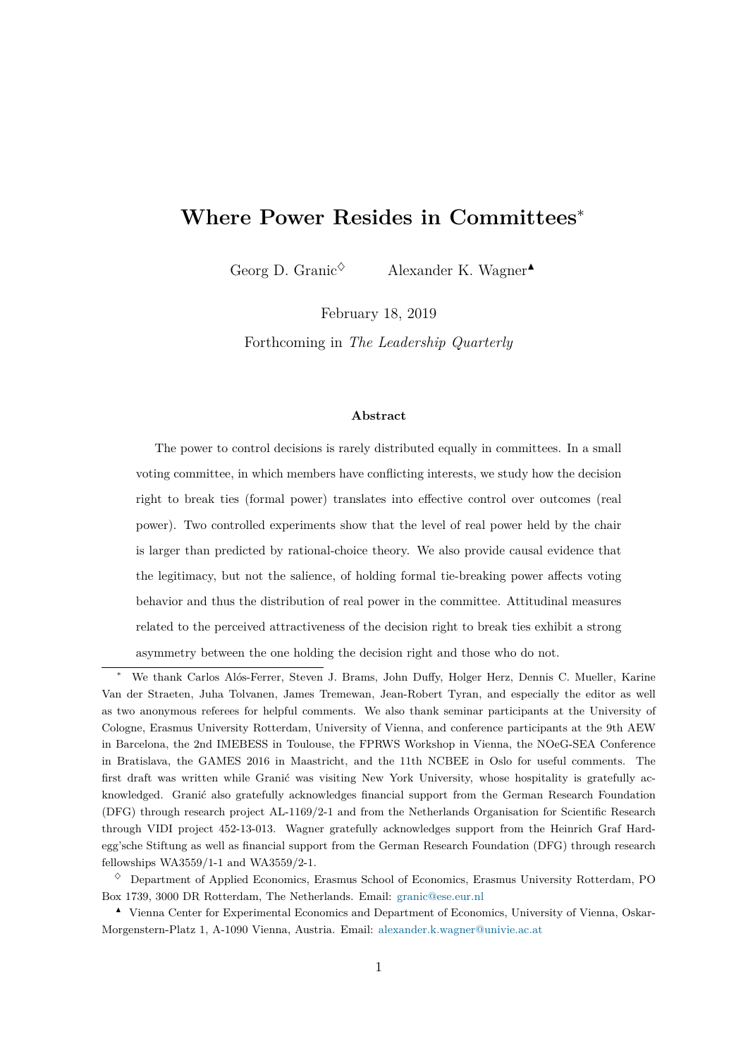# **Where Power Resides in Committees**<sup>∗</sup>

Georg D. Granic<sup> $\diamond$ </sup> Alexander K. Wagner

February 18, 2019

Forthcoming in *The Leadership Quarterly*

#### **Abstract**

The power to control decisions is rarely distributed equally in committees. In a small voting committee, in which members have conflicting interests, we study how the decision right to break ties (formal power) translates into effective control over outcomes (real power). Two controlled experiments show that the level of real power held by the chair is larger than predicted by rational-choice theory. We also provide causal evidence that the legitimacy, but not the salience, of holding formal tie-breaking power affects voting behavior and thus the distribution of real power in the committee. Attitudinal measures related to the perceived attractiveness of the decision right to break ties exhibit a strong asymmetry between the one holding the decision right and those who do not.

<sup>∗</sup> We thank Carlos Alós-Ferrer, Steven J. Brams, John Duffy, Holger Herz, Dennis C. Mueller, Karine Van der Straeten, Juha Tolvanen, James Tremewan, Jean-Robert Tyran, and especially the editor as well as two anonymous referees for helpful comments. We also thank seminar participants at the University of Cologne, Erasmus University Rotterdam, University of Vienna, and conference participants at the 9th AEW in Barcelona, the 2nd IMEBESS in Toulouse, the FPRWS Workshop in Vienna, the NOeG-SEA Conference in Bratislava, the GAMES 2016 in Maastricht, and the 11th NCBEE in Oslo for useful comments. The first draft was written while Granić was visiting New York University, whose hospitality is gratefully acknowledged. Granić also gratefully acknowledges financial support from the German Research Foundation (DFG) through research project AL-1169/2-1 and from the Netherlands Organisation for Scientific Research through VIDI project 452-13-013. Wagner gratefully acknowledges support from the Heinrich Graf Hardegg'sche Stiftung as well as financial support from the German Research Foundation (DFG) through research fellowships WA3559/1-1 and WA3559/2-1.

 $\Diamond$  Department of Applied Economics, Erasmus School of Economics, Erasmus University Rotterdam, PO Box 1739, 3000 DR Rotterdam, The Netherlands. Email: [granic@ese.eur.nl](mailto:granic@ese.eur.nl)

<sup>N</sup> Vienna Center for Experimental Economics and Department of Economics, University of Vienna, Oskar-Morgenstern-Platz 1, A-1090 Vienna, Austria. Email: [alexander.k.wagner@univie.ac.at](mailto:alexander.k.wagner@univie.ac.at)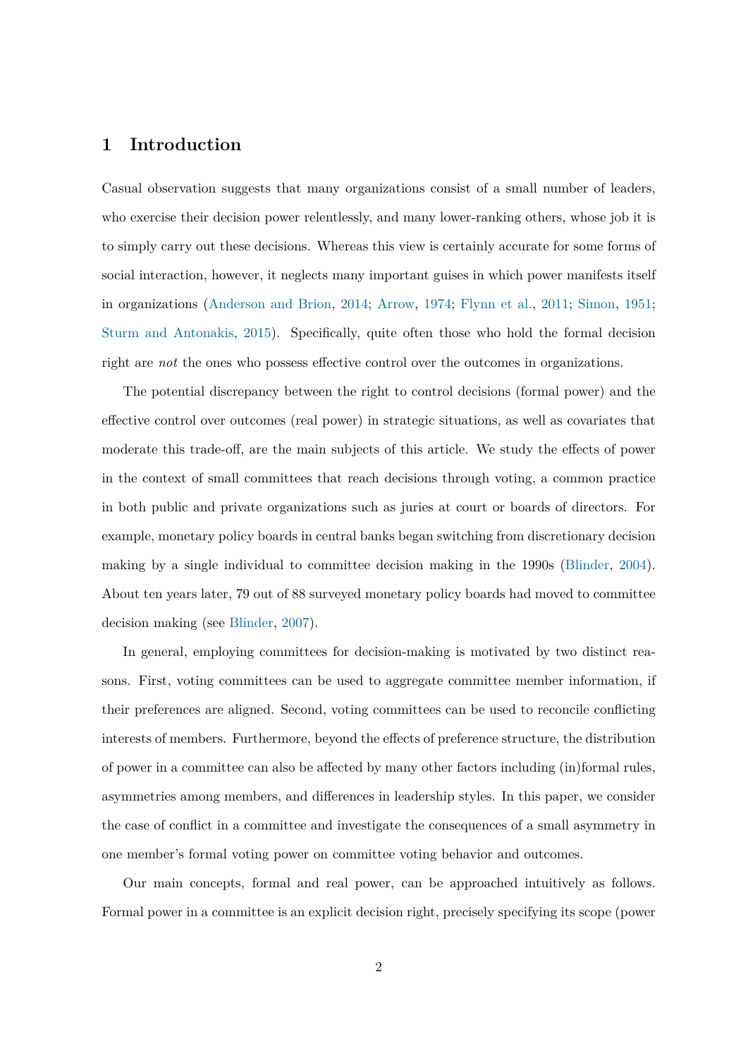# **1 Introduction**

Casual observation suggests that many organizations consist of a small number of leaders, who exercise their decision power relentlessly, and many lower-ranking others, whose job it is to simply carry out these decisions. Whereas this view is certainly accurate for some forms of social interaction, however, it neglects many important guises in which power manifests itself in organizations [\(Anderson and Brion,](#page-41-0) [2014;](#page-41-0) [Arrow,](#page-41-1) [1974;](#page-41-1) [Flynn et al.,](#page-43-0) [2011;](#page-43-0) [Simon,](#page-45-0) [1951;](#page-45-0) [Sturm and Antonakis,](#page-45-1) [2015\)](#page-45-1). Specifically, quite often those who hold the formal decision right are *not* the ones who possess effective control over the outcomes in organizations.

The potential discrepancy between the right to control decisions (formal power) and the effective control over outcomes (real power) in strategic situations, as well as covariates that moderate this trade-off, are the main subjects of this article. We study the effects of power in the context of small committees that reach decisions through voting, a common practice in both public and private organizations such as juries at court or boards of directors. For example, monetary policy boards in central banks began switching from discretionary decision making by a single individual to committee decision making in the 1990s [\(Blinder,](#page-42-0) [2004\)](#page-42-0). About ten years later, 79 out of 88 surveyed monetary policy boards had moved to committee decision making (see [Blinder,](#page-42-1) [2007\)](#page-42-1).

In general, employing committees for decision-making is motivated by two distinct reasons. First, voting committees can be used to aggregate committee member information, if their preferences are aligned. Second, voting committees can be used to reconcile conflicting interests of members. Furthermore, beyond the effects of preference structure, the distribution of power in a committee can also be affected by many other factors including (in)formal rules, asymmetries among members, and differences in leadership styles. In this paper, we consider the case of conflict in a committee and investigate the consequences of a small asymmetry in one member's formal voting power on committee voting behavior and outcomes.

Our main concepts, formal and real power, can be approached intuitively as follows. Formal power in a committee is an explicit decision right, precisely specifying its scope (power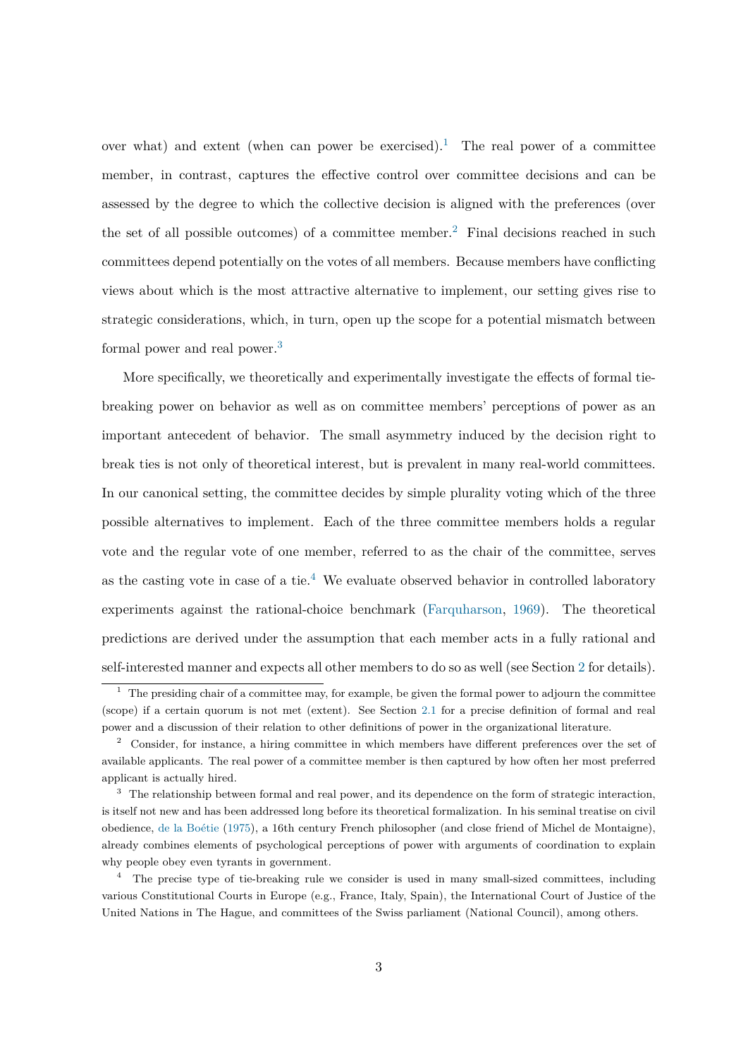over what) and extent (when can power be exercised).<sup>[1](#page-3-0)</sup> The real power of a committee member, in contrast, captures the effective control over committee decisions and can be assessed by the degree to which the collective decision is aligned with the preferences (over the set of all possible outcomes) of a committee member.<sup>[2](#page-3-1)</sup> Final decisions reached in such committees depend potentially on the votes of all members. Because members have conflicting views about which is the most attractive alternative to implement, our setting gives rise to strategic considerations, which, in turn, open up the scope for a potential mismatch between formal power and real power.<sup>[3](#page-3-2)</sup>

More specifically, we theoretically and experimentally investigate the effects of formal tiebreaking power on behavior as well as on committee members' perceptions of power as an important antecedent of behavior. The small asymmetry induced by the decision right to break ties is not only of theoretical interest, but is prevalent in many real-world committees. In our canonical setting, the committee decides by simple plurality voting which of the three possible alternatives to implement. Each of the three committee members holds a regular vote and the regular vote of one member, referred to as the chair of the committee, serves as the casting vote in case of a tie.<sup>[4](#page-3-3)</sup> We evaluate observed behavior in controlled laboratory experiments against the rational-choice benchmark [\(Farquharson,](#page-42-2) [1969\)](#page-42-2). The theoretical predictions are derived under the assumption that each member acts in a fully rational and self-interested manner and expects all other members to do so as well (see Section [2](#page-6-0) for details).

<span id="page-3-0"></span> $1$  The presiding chair of a committee may, for example, be given the formal power to adjourn the committee (scope) if a certain quorum is not met (extent). See Section [2.1](#page-6-1) for a precise definition of formal and real power and a discussion of their relation to other definitions of power in the organizational literature.

<span id="page-3-1"></span><sup>&</sup>lt;sup>2</sup> Consider, for instance, a hiring committee in which members have different preferences over the set of available applicants. The real power of a committee member is then captured by how often her most preferred applicant is actually hired.

<span id="page-3-2"></span><sup>&</sup>lt;sup>3</sup> The relationship between formal and real power, and its dependence on the form of strategic interaction, is itself not new and has been addressed long before its theoretical formalization. In his seminal treatise on civil obedience, [de la Boétie](#page-42-3) [\(1975\)](#page-42-3), a 16th century French philosopher (and close friend of Michel de Montaigne), already combines elements of psychological perceptions of power with arguments of coordination to explain why people obey even tyrants in government.

<span id="page-3-3"></span><sup>&</sup>lt;sup>4</sup> The precise type of tie-breaking rule we consider is used in many small-sized committees, including various Constitutional Courts in Europe (e.g., France, Italy, Spain), the International Court of Justice of the United Nations in The Hague, and committees of the Swiss parliament (National Council), among others.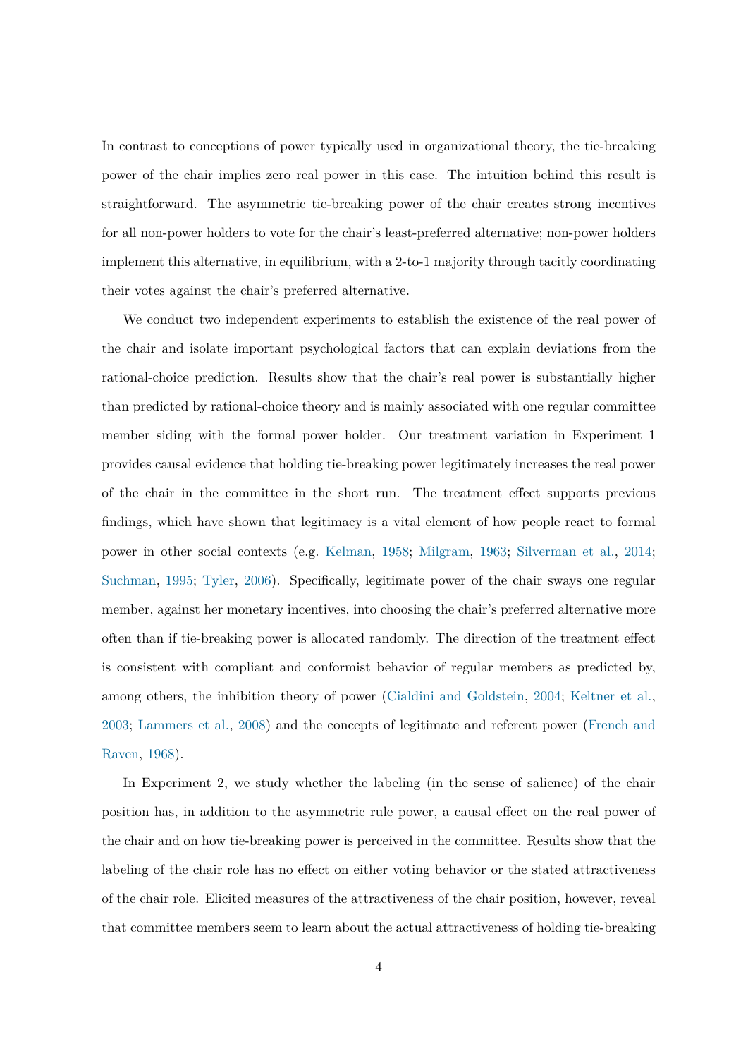In contrast to conceptions of power typically used in organizational theory, the tie-breaking power of the chair implies zero real power in this case. The intuition behind this result is straightforward. The asymmetric tie-breaking power of the chair creates strong incentives for all non-power holders to vote for the chair's least-preferred alternative; non-power holders implement this alternative, in equilibrium, with a 2-to-1 majority through tacitly coordinating their votes against the chair's preferred alternative.

We conduct two independent experiments to establish the existence of the real power of the chair and isolate important psychological factors that can explain deviations from the rational-choice prediction. Results show that the chair's real power is substantially higher than predicted by rational-choice theory and is mainly associated with one regular committee member siding with the formal power holder. Our treatment variation in Experiment 1 provides causal evidence that holding tie-breaking power legitimately increases the real power of the chair in the committee in the short run. The treatment effect supports previous findings, which have shown that legitimacy is a vital element of how people react to formal power in other social contexts (e.g. [Kelman,](#page-44-0) [1958;](#page-44-0) [Milgram,](#page-44-1) [1963;](#page-44-1) [Silverman et al.,](#page-45-2) [2014;](#page-45-2) [Suchman,](#page-45-3) [1995;](#page-45-3) [Tyler,](#page-45-4) [2006\)](#page-45-4). Specifically, legitimate power of the chair sways one regular member, against her monetary incentives, into choosing the chair's preferred alternative more often than if tie-breaking power is allocated randomly. The direction of the treatment effect is consistent with compliant and conformist behavior of regular members as predicted by, among others, the inhibition theory of power [\(Cialdini and Goldstein,](#page-42-4) [2004;](#page-42-4) [Keltner et al.,](#page-44-2) [2003;](#page-44-2) [Lammers et al.,](#page-44-3) [2008\)](#page-44-3) and the concepts of legitimate and referent power [\(French and](#page-43-1) [Raven,](#page-43-1) [1968\)](#page-43-1).

In Experiment 2, we study whether the labeling (in the sense of salience) of the chair position has, in addition to the asymmetric rule power, a causal effect on the real power of the chair and on how tie-breaking power is perceived in the committee. Results show that the labeling of the chair role has no effect on either voting behavior or the stated attractiveness of the chair role. Elicited measures of the attractiveness of the chair position, however, reveal that committee members seem to learn about the actual attractiveness of holding tie-breaking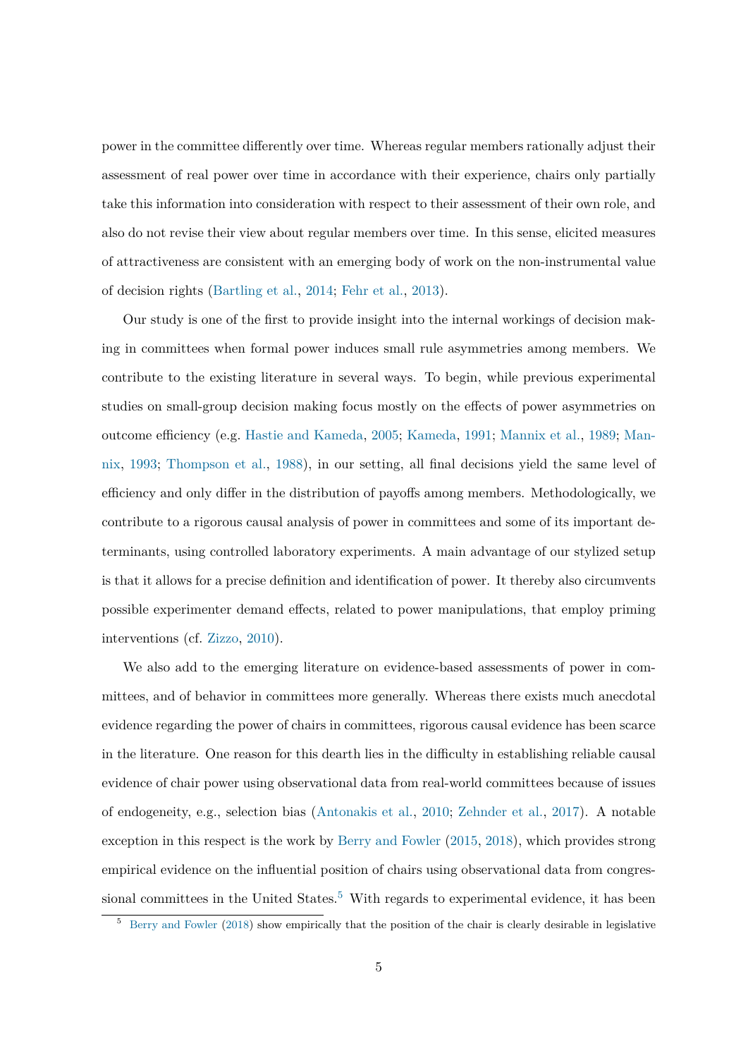power in the committee differently over time. Whereas regular members rationally adjust their assessment of real power over time in accordance with their experience, chairs only partially take this information into consideration with respect to their assessment of their own role, and also do not revise their view about regular members over time. In this sense, elicited measures of attractiveness are consistent with an emerging body of work on the non-instrumental value of decision rights [\(Bartling et al.,](#page-41-2) [2014;](#page-41-2) [Fehr et al.,](#page-43-2) [2013\)](#page-43-2).

Our study is one of the first to provide insight into the internal workings of decision making in committees when formal power induces small rule asymmetries among members. We contribute to the existing literature in several ways. To begin, while previous experimental studies on small-group decision making focus mostly on the effects of power asymmetries on outcome efficiency (e.g. [Hastie and Kameda,](#page-43-3) [2005;](#page-43-3) [Kameda,](#page-43-4) [1991;](#page-43-4) [Mannix et al.,](#page-44-4) [1989;](#page-44-4) [Man](#page-44-5)[nix,](#page-44-5) [1993;](#page-44-5) [Thompson et al.,](#page-45-5) [1988\)](#page-45-5), in our setting, all final decisions yield the same level of efficiency and only differ in the distribution of payoffs among members. Methodologically, we contribute to a rigorous causal analysis of power in committees and some of its important determinants, using controlled laboratory experiments. A main advantage of our stylized setup is that it allows for a precise definition and identification of power. It thereby also circumvents possible experimenter demand effects, related to power manipulations, that employ priming interventions (cf. [Zizzo,](#page-45-6) [2010\)](#page-45-6).

We also add to the emerging literature on evidence-based assessments of power in committees, and of behavior in committees more generally. Whereas there exists much anecdotal evidence regarding the power of chairs in committees, rigorous causal evidence has been scarce in the literature. One reason for this dearth lies in the difficulty in establishing reliable causal evidence of chair power using observational data from real-world committees because of issues of endogeneity, e.g., selection bias [\(Antonakis et al.,](#page-41-3) [2010;](#page-41-3) [Zehnder et al.,](#page-45-7) [2017\)](#page-45-7). A notable exception in this respect is the work by [Berry and Fowler](#page-41-4) [\(2015,](#page-41-4) [2018\)](#page-41-5), which provides strong empirical evidence on the influential position of chairs using observational data from congres-sional committees in the United States.<sup>[5](#page-5-0)</sup> With regards to experimental evidence, it has been

<span id="page-5-0"></span><sup>5</sup> [Berry and Fowler](#page-41-5) [\(2018\)](#page-41-5) show empirically that the position of the chair is clearly desirable in legislative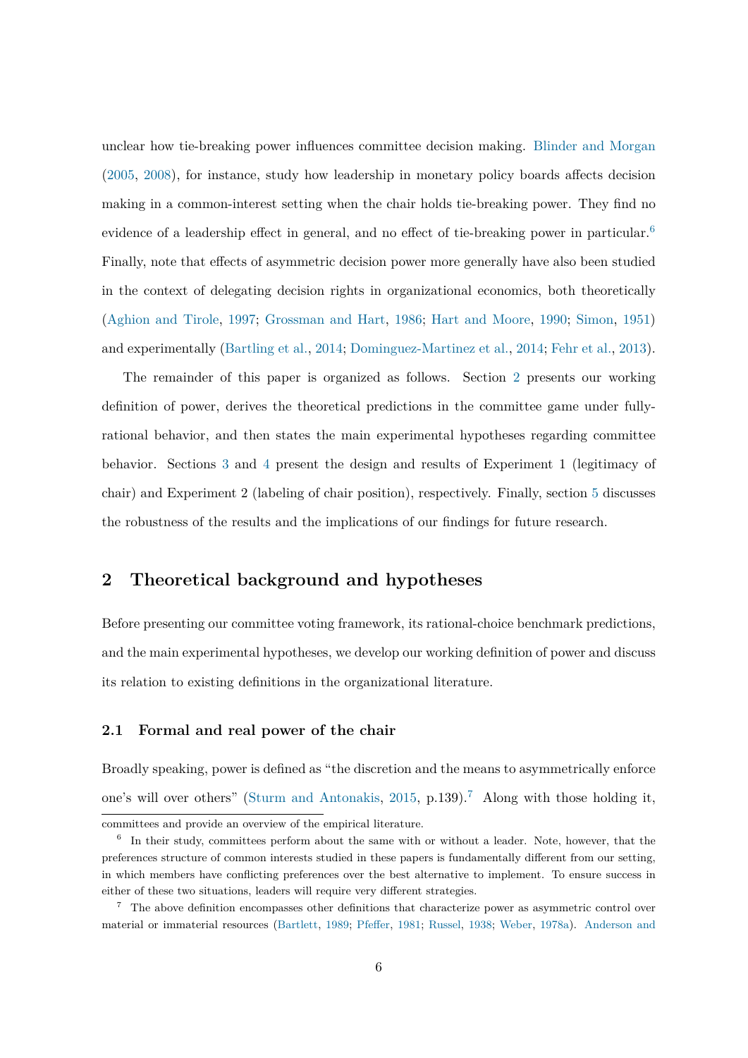unclear how tie-breaking power influences committee decision making. [Blinder and Morgan](#page-42-5) [\(2005,](#page-42-5) [2008\)](#page-42-6), for instance, study how leadership in monetary policy boards affects decision making in a common-interest setting when the chair holds tie-breaking power. They find no evidence of a leadership effect in general, and no effect of tie-breaking power in particular.<sup>[6](#page-6-2)</sup> Finally, note that effects of asymmetric decision power more generally have also been studied in the context of delegating decision rights in organizational economics, both theoretically [\(Aghion and Tirole,](#page-41-6) [1997;](#page-41-6) [Grossman and Hart,](#page-43-5) [1986;](#page-43-5) [Hart and Moore,](#page-43-6) [1990;](#page-43-6) [Simon,](#page-45-0) [1951\)](#page-45-0) and experimentally [\(Bartling et al.,](#page-41-2) [2014;](#page-41-2) [Dominguez-Martinez et al.,](#page-42-7) [2014;](#page-42-7) [Fehr et al.,](#page-43-2) [2013\)](#page-43-2).

The remainder of this paper is organized as follows. Section [2](#page-6-0) presents our working definition of power, derives the theoretical predictions in the committee game under fullyrational behavior, and then states the main experimental hypotheses regarding committee behavior. Sections [3](#page-14-0) and [4](#page-25-0) present the design and results of Experiment 1 (legitimacy of chair) and Experiment 2 (labeling of chair position), respectively. Finally, section [5](#page-34-0) discusses the robustness of the results and the implications of our findings for future research.

# <span id="page-6-0"></span>**2 Theoretical background and hypotheses**

Before presenting our committee voting framework, its rational-choice benchmark predictions, and the main experimental hypotheses, we develop our working definition of power and discuss its relation to existing definitions in the organizational literature.

### <span id="page-6-1"></span>**2.1 Formal and real power of the chair**

Broadly speaking, power is defined as "the discretion and the means to asymmetrically enforce one's will over others" [\(Sturm and Antonakis,](#page-45-1) [2015,](#page-45-1) p.139).<sup>[7](#page-6-3)</sup> Along with those holding it,

<span id="page-6-2"></span>committees and provide an overview of the empirical literature.

<sup>&</sup>lt;sup>6</sup> In their study, committees perform about the same with or without a leader. Note, however, that the preferences structure of common interests studied in these papers is fundamentally different from our setting, in which members have conflicting preferences over the best alternative to implement. To ensure success in either of these two situations, leaders will require very different strategies.

<span id="page-6-3"></span> $7$  The above definition encompasses other definitions that characterize power as asymmetric control over material or immaterial resources [\(Bartlett,](#page-41-7) [1989;](#page-41-7) [Pfeffer,](#page-44-6) [1981;](#page-44-6) [Russel,](#page-44-7) [1938;](#page-44-7) [Weber,](#page-45-8) [1978a\)](#page-45-8). [Anderson and](#page-41-0)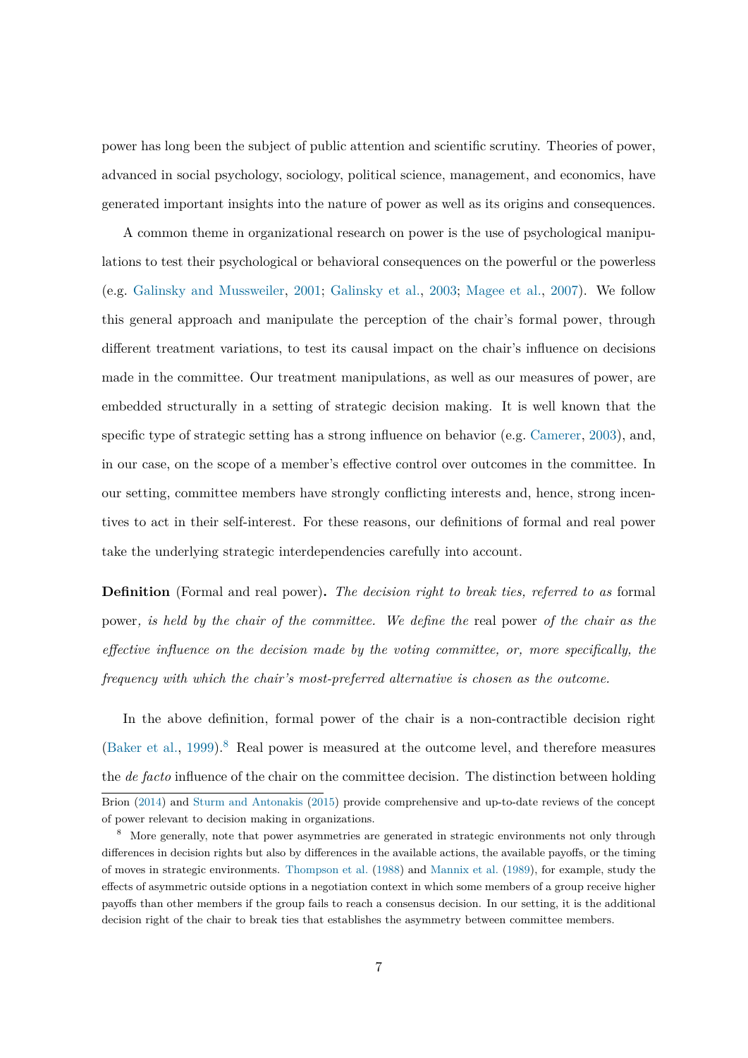[power has long been the subject of public attention and scientific scrutiny. Theories of power,](#page-41-0) [advanced in social psychology, sociology, political science, management, and economics, have](#page-41-0) [generated important insights into the nature of power as well as its origins and consequences.](#page-41-0)

[A common theme in organizational research on power is the use of psychological manipu](#page-41-0)[lations to test their psychological or behavioral consequences on the powerful or the powerless](#page-41-0) (e.g. [Galinsky and Mussweiler,](#page-41-0) [2001;](#page-43-7) [Galinsky et al.,](#page-43-8) [2003;](#page-43-8) [Magee et al.,](#page-44-8) [2007\)](#page-44-8). We follow [this general approach and manipulate the perception of the chair's formal power, through](#page-41-0) [different treatment variations, to test its causal impact on the chair's influence on decisions](#page-41-0) [made in the committee. Our treatment manipulations, as well as our measures of power, are](#page-41-0) [embedded structurally in a setting of strategic decision making. It is well known that the](#page-41-0) [specific type of strategic setting has a strong influence on behavior \(e.g.](#page-41-0) [Camerer,](#page-42-8) [2003\)](#page-42-8), and, [in our case, on the scope of a member's effective control over outcomes in the committee. In](#page-41-0) [our setting, committee members have strongly conflicting interests and, hence, strong incen](#page-41-0)[tives to act in their self-interest. For these reasons, our definitions of formal and real power](#page-41-0) [take the underlying strategic interdependencies carefully into account.](#page-41-0)

**Definition** (Formal and real power)**.** *[The decision right to break ties, referred to as](#page-41-0)* formal power*[, is held by the chair of the committee. We define the](#page-41-0)* real power *of the chair as the [effective influence on the decision made by the voting committee, or, more specifically, the](#page-41-0) [frequency with which the chair's most-preferred alternative is chosen as the outcome.](#page-41-0)*

[In the above definition, formal power of the chair is a non-contractible decision right](#page-41-0) [\(Baker et al.,](#page-41-8) [1999\)](#page-41-8).<sup>[8](#page-7-0)</sup> [Real power is measured at the outcome level, and therefore measures](#page-41-0) the *de facto* [influence of the chair on the committee decision. The distinction between holding](#page-41-0) [Brion](#page-41-0) [\(2014\)](#page-41-0) and [Sturm and Antonakis](#page-45-1) [\(2015\)](#page-45-1) provide comprehensive and up-to-date reviews of the concept of power relevant to decision making in organizations.

<span id="page-7-0"></span><sup>&</sup>lt;sup>8</sup> More generally, note that power asymmetries are generated in strategic environments not only through differences in decision rights but also by differences in the available actions, the available payoffs, or the timing of moves in strategic environments. [Thompson et al.](#page-45-5) [\(1988\)](#page-45-5) and [Mannix et al.](#page-44-4) [\(1989\)](#page-44-4), for example, study the effects of asymmetric outside options in a negotiation context in which some members of a group receive higher payoffs than other members if the group fails to reach a consensus decision. In our setting, it is the additional decision right of the chair to break ties that establishes the asymmetry between committee members.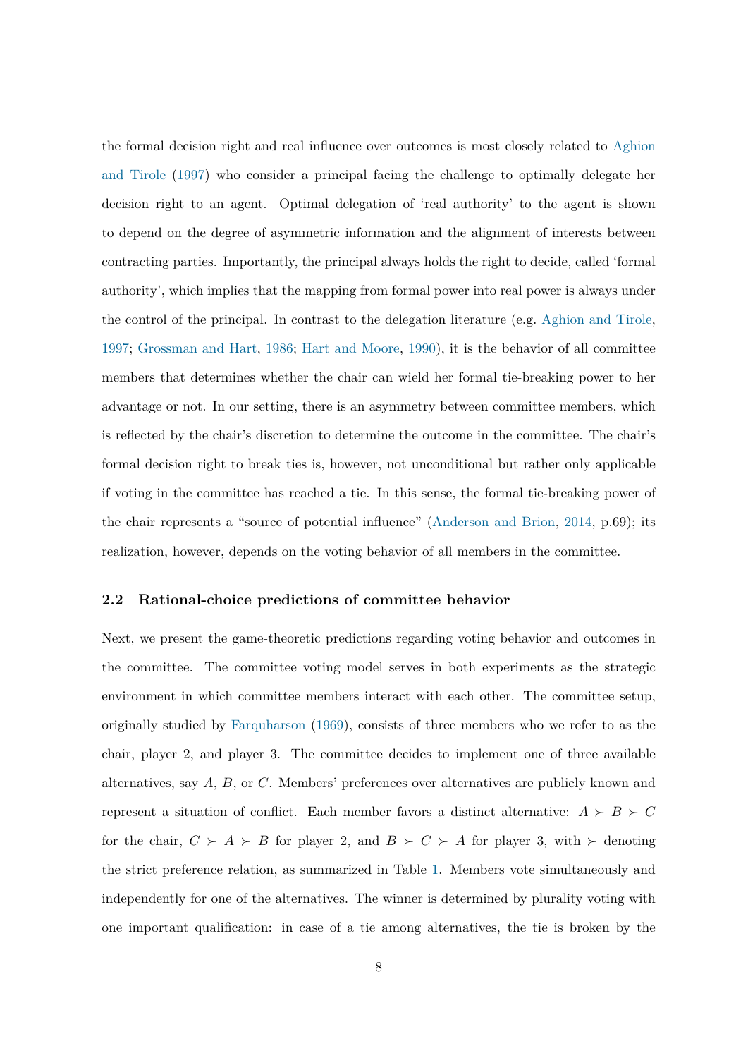the formal decision right and real influence over outcomes is most closely related to [Aghion](#page-41-6) [and Tirole](#page-41-6) [\(1997\)](#page-41-6) who consider a principal facing the challenge to optimally delegate her decision right to an agent. Optimal delegation of 'real authority' to the agent is shown to depend on the degree of asymmetric information and the alignment of interests between contracting parties. Importantly, the principal always holds the right to decide, called 'formal authority', which implies that the mapping from formal power into real power is always under the control of the principal. In contrast to the delegation literature (e.g. [Aghion and Tirole,](#page-41-6) [1997;](#page-41-6) [Grossman and Hart,](#page-43-5) [1986;](#page-43-5) [Hart and Moore,](#page-43-6) [1990\)](#page-43-6), it is the behavior of all committee members that determines whether the chair can wield her formal tie-breaking power to her advantage or not. In our setting, there is an asymmetry between committee members, which is reflected by the chair's discretion to determine the outcome in the committee. The chair's formal decision right to break ties is, however, not unconditional but rather only applicable if voting in the committee has reached a tie. In this sense, the formal tie-breaking power of the chair represents a "source of potential influence" [\(Anderson and Brion,](#page-41-0) [2014,](#page-41-0) p.69); its realization, however, depends on the voting behavior of all members in the committee.

#### <span id="page-8-0"></span>**2.2 Rational-choice predictions of committee behavior**

Next, we present the game-theoretic predictions regarding voting behavior and outcomes in the committee. The committee voting model serves in both experiments as the strategic environment in which committee members interact with each other. The committee setup, originally studied by [Farquharson](#page-42-2) [\(1969\)](#page-42-2), consists of three members who we refer to as the chair, player 2, and player 3. The committee decides to implement one of three available alternatives, say A, B, or C. Members' preferences over alternatives are publicly known and represent a situation of conflict. Each member favors a distinct alternative:  $A \succ B \succ C$ for the chair,  $C \succ A \succ B$  for player 2, and  $B \succ C \succ A$  for player 3, with  $\succ$  denoting the strict preference relation, as summarized in Table [1.](#page-11-0) Members vote simultaneously and independently for one of the alternatives. The winner is determined by plurality voting with one important qualification: in case of a tie among alternatives, the tie is broken by the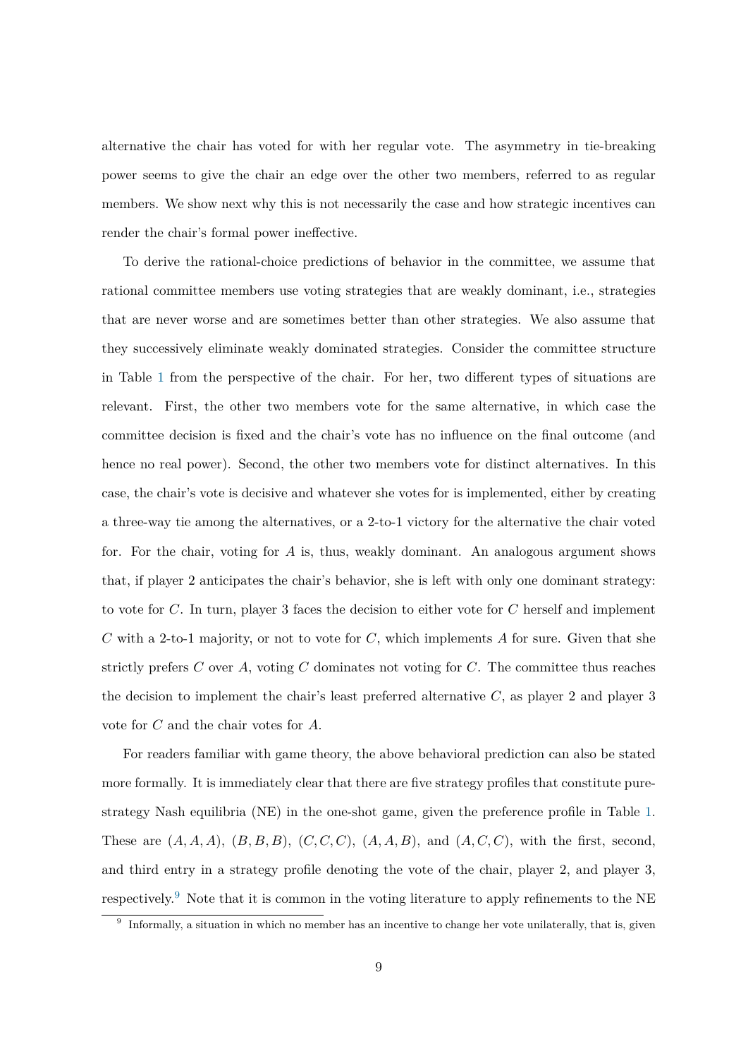alternative the chair has voted for with her regular vote. The asymmetry in tie-breaking power seems to give the chair an edge over the other two members, referred to as regular members. We show next why this is not necessarily the case and how strategic incentives can render the chair's formal power ineffective.

To derive the rational-choice predictions of behavior in the committee, we assume that rational committee members use voting strategies that are weakly dominant, i.e., strategies that are never worse and are sometimes better than other strategies. We also assume that they successively eliminate weakly dominated strategies. Consider the committee structure in Table [1](#page-11-0) from the perspective of the chair. For her, two different types of situations are relevant. First, the other two members vote for the same alternative, in which case the committee decision is fixed and the chair's vote has no influence on the final outcome (and hence no real power). Second, the other two members vote for distinct alternatives. In this case, the chair's vote is decisive and whatever she votes for is implemented, either by creating a three-way tie among the alternatives, or a 2-to-1 victory for the alternative the chair voted for. For the chair, voting for A is, thus, weakly dominant. An analogous argument shows that, if player 2 anticipates the chair's behavior, she is left with only one dominant strategy: to vote for  $C$ . In turn, player 3 faces the decision to either vote for  $C$  herself and implement C with a 2-to-1 majority, or not to vote for C, which implements A for sure. Given that she strictly prefers C over A, voting C dominates not voting for C. The committee thus reaches the decision to implement the chair's least preferred alternative  $C$ , as player 2 and player 3 vote for C and the chair votes for A.

For readers familiar with game theory, the above behavioral prediction can also be stated more formally. It is immediately clear that there are five strategy profiles that constitute purestrategy Nash equilibria (NE) in the one-shot game, given the preference profile in Table [1.](#page-11-0) These are  $(A, A, A), (B, B, B), (C, C, C), (A, A, B),$  and  $(A, C, C),$  with the first, second, and third entry in a strategy profile denoting the vote of the chair, player 2, and player 3, respectively.[9](#page-9-0) Note that it is common in the voting literature to apply refinements to the NE

<span id="page-9-0"></span><sup>&</sup>lt;sup>9</sup> Informally, a situation in which no member has an incentive to change her vote unilaterally, that is, given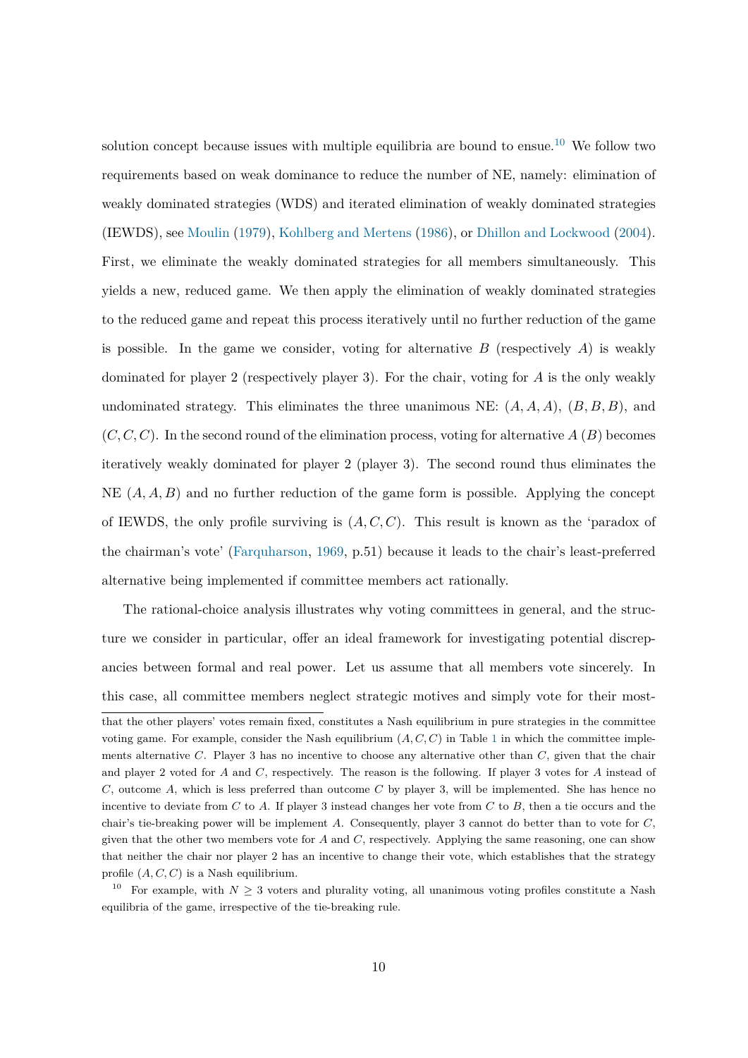solution concept because issues with multiple equilibria are bound to ensue.<sup>[10](#page-10-0)</sup> We follow two requirements based on weak dominance to reduce the number of NE, namely: elimination of weakly dominated strategies (WDS) and iterated elimination of weakly dominated strategies (IEWDS), see [Moulin](#page-44-9) [\(1979\)](#page-44-9), [Kohlberg and Mertens](#page-44-10) [\(1986\)](#page-44-10), or [Dhillon and Lockwood](#page-42-9) [\(2004\)](#page-42-9). First, we eliminate the weakly dominated strategies for all members simultaneously. This yields a new, reduced game. We then apply the elimination of weakly dominated strategies to the reduced game and repeat this process iteratively until no further reduction of the game is possible. In the game we consider, voting for alternative  $B$  (respectively  $A$ ) is weakly dominated for player 2 (respectively player 3). For the chair, voting for A is the only weakly undominated strategy. This eliminates the three unanimous NE:  $(A, A, A), (B, B, B)$ , and  $(C, C, C)$ . In the second round of the elimination process, voting for alternative  $A(B)$  becomes iteratively weakly dominated for player 2 (player 3). The second round thus eliminates the NE  $(A, A, B)$  and no further reduction of the game form is possible. Applying the concept of IEWDS, the only profile surviving is  $(A, C, C)$ . This result is known as the 'paradox of the chairman's vote' [\(Farquharson,](#page-42-2) [1969,](#page-42-2) p.51) because it leads to the chair's least-preferred alternative being implemented if committee members act rationally.

The rational-choice analysis illustrates why voting committees in general, and the structure we consider in particular, offer an ideal framework for investigating potential discrepancies between formal and real power. Let us assume that all members vote sincerely. In this case, all committee members neglect strategic motives and simply vote for their most-

that the other players' votes remain fixed, constitutes a Nash equilibrium in pure strategies in the committee voting game. For example, consider the Nash equilibrium  $(A, C, C)$  in Table [1](#page-11-0) in which the committee implements alternative C. Player 3 has no incentive to choose any alternative other than  $C$ , given that the chair and player 2 voted for A and C, respectively. The reason is the following. If player 3 votes for A instead of  $C$ , outcome  $A$ , which is less preferred than outcome  $C$  by player 3, will be implemented. She has hence no incentive to deviate from C to A. If player 3 instead changes her vote from C to B, then a tie occurs and the chair's tie-breaking power will be implement A. Consequently, player 3 cannot do better than to vote for  $C$ , given that the other two members vote for  $A$  and  $C$ , respectively. Applying the same reasoning, one can show that neither the chair nor player 2 has an incentive to change their vote, which establishes that the strategy profile  $(A, C, C)$  is a Nash equilibrium.

<span id="page-10-0"></span><sup>&</sup>lt;sup>10</sup> For example, with  $N \geq 3$  voters and plurality voting, all unanimous voting profiles constitute a Nash equilibria of the game, irrespective of the tie-breaking rule.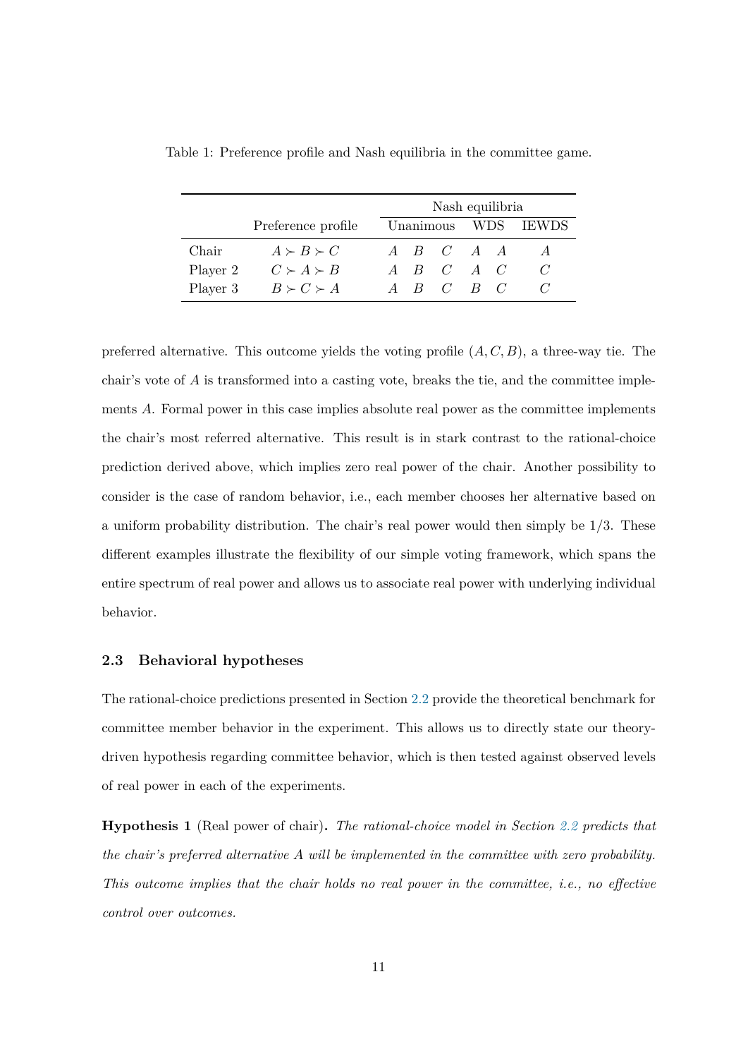|          |                     |  | Nash equilibria     |  |                     |
|----------|---------------------|--|---------------------|--|---------------------|
|          | Preference profile  |  |                     |  | Unanimous WDS IEWDS |
| Chair    | $A \succ B \succ C$ |  | $A$ $B$ $C$ $A$ $A$ |  |                     |
| Player 2 | $C \succ A \succ B$ |  | $A$ $B$ $C$ $A$ $C$ |  |                     |
| Player 3 | $B \succ C \succ A$ |  | $A$ $B$ $C$ $B$ $C$ |  |                     |

<span id="page-11-0"></span>Table 1: Preference profile and Nash equilibria in the committee game.

preferred alternative. This outcome yields the voting profile  $(A, C, B)$ , a three-way tie. The chair's vote of  $A$  is transformed into a casting vote, breaks the tie, and the committee implements A. Formal power in this case implies absolute real power as the committee implements the chair's most referred alternative. This result is in stark contrast to the rational-choice prediction derived above, which implies zero real power of the chair. Another possibility to consider is the case of random behavior, i.e., each member chooses her alternative based on a uniform probability distribution. The chair's real power would then simply be 1/3. These different examples illustrate the flexibility of our simple voting framework, which spans the entire spectrum of real power and allows us to associate real power with underlying individual behavior.

### **2.3 Behavioral hypotheses**

The rational-choice predictions presented in Section [2.2](#page-8-0) provide the theoretical benchmark for committee member behavior in the experiment. This allows us to directly state our theorydriven hypothesis regarding committee behavior, which is then tested against observed levels of real power in each of the experiments.

<span id="page-11-1"></span>**Hypothesis 1** (Real power of chair)**.** *The rational-choice model in Section [2.2](#page-8-0) predicts that the chair's preferred alternative* A *will be implemented in the committee with zero probability. This outcome implies that the chair holds no real power in the committee, i.e., no effective control over outcomes.*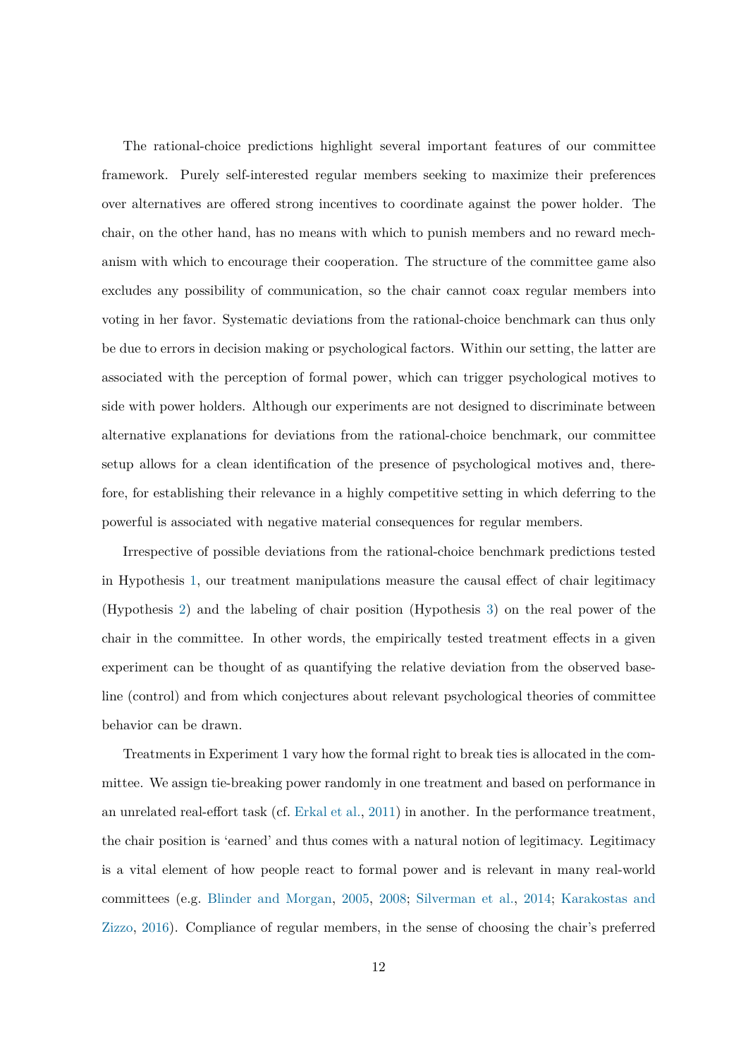The rational-choice predictions highlight several important features of our committee framework. Purely self-interested regular members seeking to maximize their preferences over alternatives are offered strong incentives to coordinate against the power holder. The chair, on the other hand, has no means with which to punish members and no reward mechanism with which to encourage their cooperation. The structure of the committee game also excludes any possibility of communication, so the chair cannot coax regular members into voting in her favor. Systematic deviations from the rational-choice benchmark can thus only be due to errors in decision making or psychological factors. Within our setting, the latter are associated with the perception of formal power, which can trigger psychological motives to side with power holders. Although our experiments are not designed to discriminate between alternative explanations for deviations from the rational-choice benchmark, our committee setup allows for a clean identification of the presence of psychological motives and, therefore, for establishing their relevance in a highly competitive setting in which deferring to the powerful is associated with negative material consequences for regular members.

Irrespective of possible deviations from the rational-choice benchmark predictions tested in Hypothesis [1,](#page-11-1) our treatment manipulations measure the causal effect of chair legitimacy (Hypothesis [2\)](#page-13-0) and the labeling of chair position (Hypothesis [3\)](#page-14-1) on the real power of the chair in the committee. In other words, the empirically tested treatment effects in a given experiment can be thought of as quantifying the relative deviation from the observed baseline (control) and from which conjectures about relevant psychological theories of committee behavior can be drawn.

Treatments in Experiment 1 vary how the formal right to break ties is allocated in the committee. We assign tie-breaking power randomly in one treatment and based on performance in an unrelated real-effort task (cf. [Erkal et al.,](#page-42-10) [2011\)](#page-42-10) in another. In the performance treatment, the chair position is 'earned' and thus comes with a natural notion of legitimacy. Legitimacy is a vital element of how people react to formal power and is relevant in many real-world committees (e.g. [Blinder and Morgan,](#page-42-5) [2005,](#page-42-5) [2008;](#page-42-6) [Silverman et al.,](#page-45-2) [2014;](#page-45-2) [Karakostas and](#page-43-9) [Zizzo,](#page-43-9) [2016\)](#page-43-9). Compliance of regular members, in the sense of choosing the chair's preferred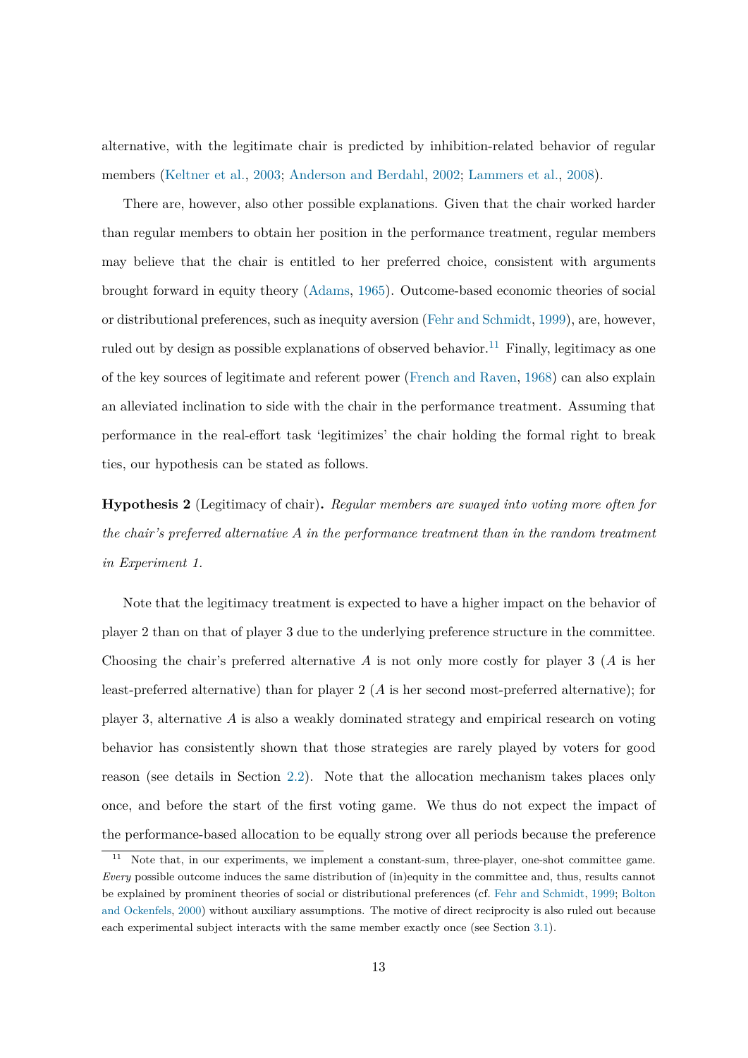alternative, with the legitimate chair is predicted by inhibition-related behavior of regular members [\(Keltner et al.,](#page-44-2) [2003;](#page-44-2) [Anderson and Berdahl,](#page-41-9) [2002;](#page-41-9) [Lammers et al.,](#page-44-3) [2008\)](#page-44-3).

There are, however, also other possible explanations. Given that the chair worked harder than regular members to obtain her position in the performance treatment, regular members may believe that the chair is entitled to her preferred choice, consistent with arguments brought forward in equity theory [\(Adams,](#page-41-10) [1965\)](#page-41-10). Outcome-based economic theories of social or distributional preferences, such as inequity aversion [\(Fehr and Schmidt,](#page-43-10) [1999\)](#page-43-10), are, however, ruled out by design as possible explanations of observed behavior.<sup>[11](#page-13-1)</sup> Finally, legitimacy as one of the key sources of legitimate and referent power [\(French and Raven,](#page-43-1) [1968\)](#page-43-1) can also explain an alleviated inclination to side with the chair in the performance treatment. Assuming that performance in the real-effort task 'legitimizes' the chair holding the formal right to break ties, our hypothesis can be stated as follows.

<span id="page-13-0"></span>**Hypothesis 2** (Legitimacy of chair)**.** *Regular members are swayed into voting more often for the chair's preferred alternative* A *in the performance treatment than in the random treatment in Experiment 1.*

Note that the legitimacy treatment is expected to have a higher impact on the behavior of player 2 than on that of player 3 due to the underlying preference structure in the committee. Choosing the chair's preferred alternative A is not only more costly for player 3 (A is her least-preferred alternative) than for player  $2(A)$  is her second most-preferred alternative); for player 3, alternative A is also a weakly dominated strategy and empirical research on voting behavior has consistently shown that those strategies are rarely played by voters for good reason (see details in Section [2.2\)](#page-8-0). Note that the allocation mechanism takes places only once, and before the start of the first voting game. We thus do not expect the impact of the performance-based allocation to be equally strong over all periods because the preference

<span id="page-13-1"></span><sup>&</sup>lt;sup>11</sup> Note that, in our experiments, we implement a constant-sum, three-player, one-shot committee game. *Every* possible outcome induces the same distribution of (in)equity in the committee and, thus, results cannot be explained by prominent theories of social or distributional preferences (cf. [Fehr and Schmidt,](#page-43-10) [1999;](#page-43-10) [Bolton](#page-42-11) [and Ockenfels,](#page-42-11) [2000\)](#page-42-11) without auxiliary assumptions. The motive of direct reciprocity is also ruled out because each experimental subject interacts with the same member exactly once (see Section [3.1\)](#page-15-0).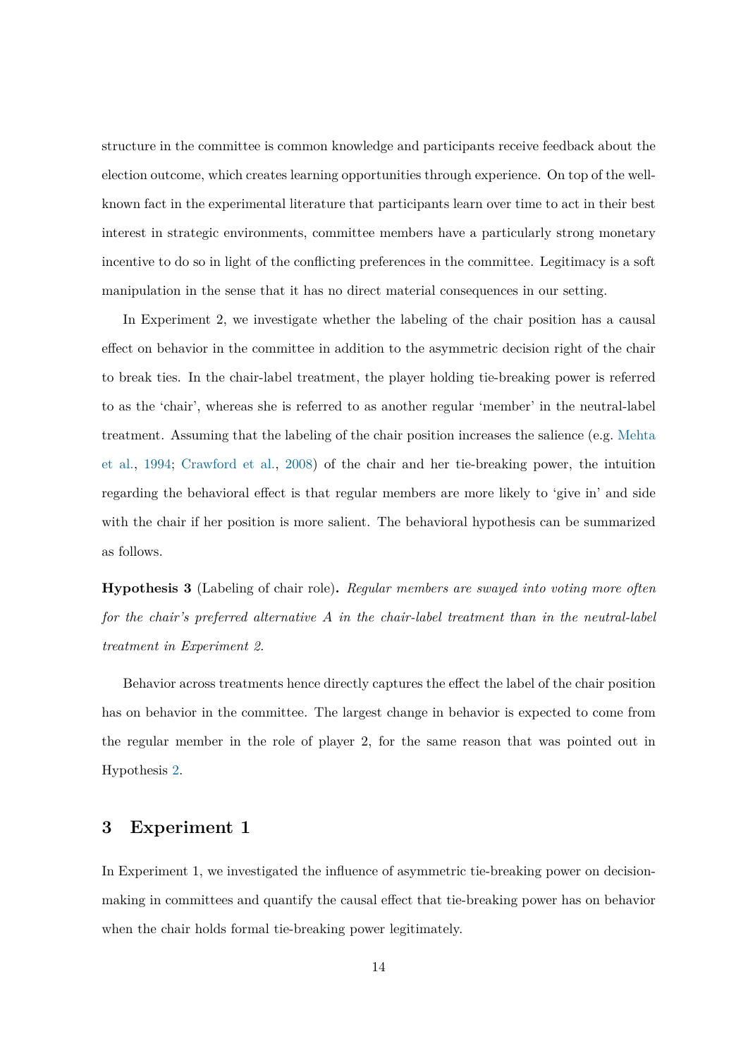structure in the committee is common knowledge and participants receive feedback about the election outcome, which creates learning opportunities through experience. On top of the wellknown fact in the experimental literature that participants learn over time to act in their best interest in strategic environments, committee members have a particularly strong monetary incentive to do so in light of the conflicting preferences in the committee. Legitimacy is a soft manipulation in the sense that it has no direct material consequences in our setting.

In Experiment 2, we investigate whether the labeling of the chair position has a causal effect on behavior in the committee in addition to the asymmetric decision right of the chair to break ties. In the chair-label treatment, the player holding tie-breaking power is referred to as the 'chair', whereas she is referred to as another regular 'member' in the neutral-label treatment. Assuming that the labeling of the chair position increases the salience (e.g. [Mehta](#page-44-11) [et al.,](#page-44-11) [1994;](#page-44-11) [Crawford et al.,](#page-42-12) [2008\)](#page-42-12) of the chair and her tie-breaking power, the intuition regarding the behavioral effect is that regular members are more likely to 'give in' and side with the chair if her position is more salient. The behavioral hypothesis can be summarized as follows.

<span id="page-14-1"></span>**Hypothesis 3** (Labeling of chair role)**.** *Regular members are swayed into voting more often for the chair's preferred alternative* A *in the chair-label treatment than in the neutral-label treatment in Experiment 2.*

Behavior across treatments hence directly captures the effect the label of the chair position has on behavior in the committee. The largest change in behavior is expected to come from the regular member in the role of player 2, for the same reason that was pointed out in Hypothesis [2.](#page-13-0)

## <span id="page-14-0"></span>**3 Experiment 1**

In Experiment 1, we investigated the influence of asymmetric tie-breaking power on decisionmaking in committees and quantify the causal effect that tie-breaking power has on behavior when the chair holds formal tie-breaking power legitimately.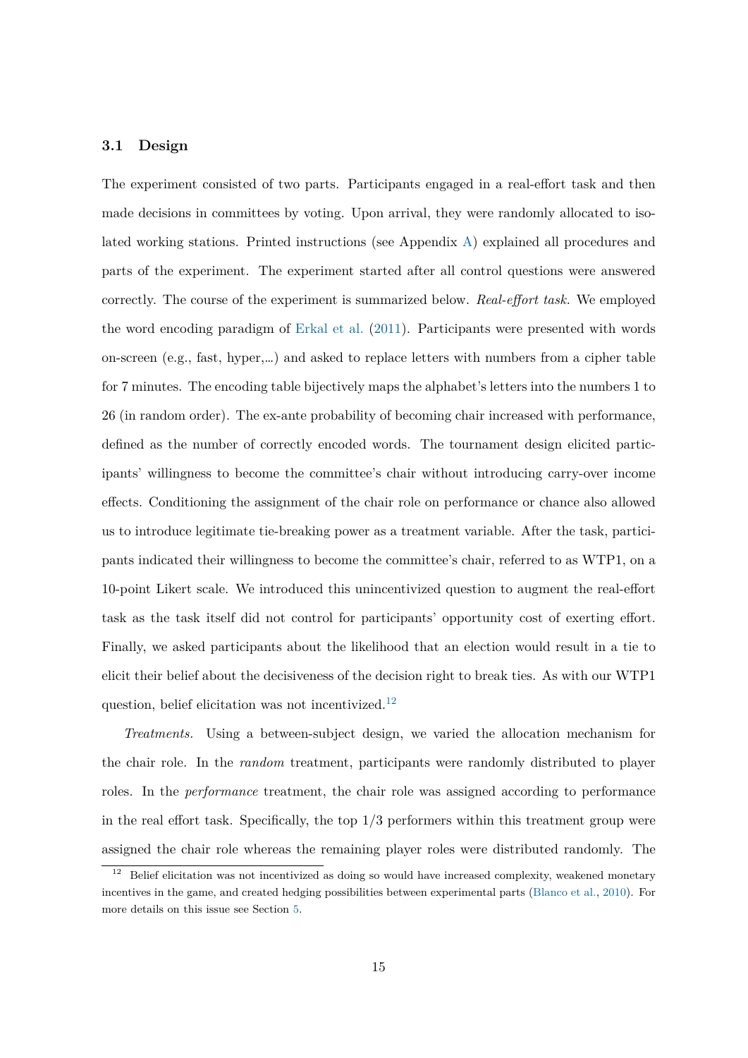### <span id="page-15-0"></span>**3.1 Design**

The experiment consisted of two parts. Participants engaged in a real-effort task and then made decisions in committees by voting. Upon arrival, they were randomly allocated to isolated working stations. Printed instructions (see Appendix [A\)](#page-48-0) explained all procedures and parts of the experiment. The experiment started after all control questions were answered correctly. The course of the experiment is summarized below. *Real-effort task.* We employed the word encoding paradigm of [Erkal et al.](#page-42-10) [\(2011\)](#page-42-10). Participants were presented with words on-screen (e.g., fast, hyper,…) and asked to replace letters with numbers from a cipher table for 7 minutes. The encoding table bijectively maps the alphabet's letters into the numbers 1 to 26 (in random order). The ex-ante probability of becoming chair increased with performance, defined as the number of correctly encoded words. The tournament design elicited participants' willingness to become the committee's chair without introducing carry-over income effects. Conditioning the assignment of the chair role on performance or chance also allowed us to introduce legitimate tie-breaking power as a treatment variable. After the task, participants indicated their willingness to become the committee's chair, referred to as WTP1, on a 10-point Likert scale. We introduced this unincentivized question to augment the real-effort task as the task itself did not control for participants' opportunity cost of exerting effort. Finally, we asked participants about the likelihood that an election would result in a tie to elicit their belief about the decisiveness of the decision right to break ties. As with our WTP1 question, belief elicitation was not incentivized.<sup>[12](#page-15-1)</sup>

*Treatments.* Using a between-subject design, we varied the allocation mechanism for the chair role. In the *random* treatment, participants were randomly distributed to player roles. In the *performance* treatment, the chair role was assigned according to performance in the real effort task. Specifically, the top  $1/3$  performers within this treatment group were assigned the chair role whereas the remaining player roles were distributed randomly. The

<span id="page-15-1"></span> $12$  Belief elicitation was not incentivized as doing so would have increased complexity, weakened monetary incentives in the game, and created hedging possibilities between experimental parts [\(Blanco et al.,](#page-42-13) [2010\)](#page-42-13). For more details on this issue see Section [5.](#page-34-0)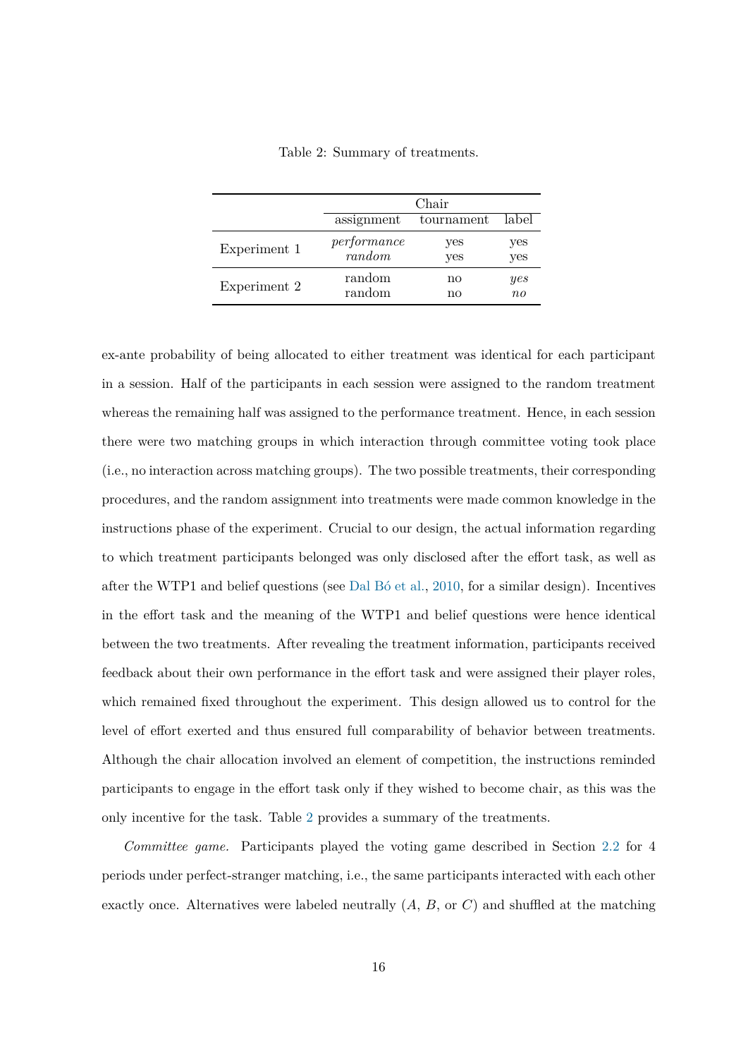<span id="page-16-0"></span>

|              |             | Chair      |         |
|--------------|-------------|------------|---------|
|              | assignment  | tournament | label   |
| Experiment 1 | performance | yes        | yes     |
|              | random      | yes        | yes     |
| Experiment 2 | random      | no         | yes     |
|              | random      | no         | $n_{0}$ |

Table 2: Summary of treatments.

ex-ante probability of being allocated to either treatment was identical for each participant in a session. Half of the participants in each session were assigned to the random treatment whereas the remaining half was assigned to the performance treatment. Hence, in each session there were two matching groups in which interaction through committee voting took place (i.e., no interaction across matching groups). The two possible treatments, their corresponding procedures, and the random assignment into treatments were made common knowledge in the instructions phase of the experiment. Crucial to our design, the actual information regarding to which treatment participants belonged was only disclosed after the effort task, as well as after the WTP1 and belief questions (see [Dal Bó et al.,](#page-42-14) [2010,](#page-42-14) for a similar design). Incentives in the effort task and the meaning of the WTP1 and belief questions were hence identical between the two treatments. After revealing the treatment information, participants received feedback about their own performance in the effort task and were assigned their player roles, which remained fixed throughout the experiment. This design allowed us to control for the level of effort exerted and thus ensured full comparability of behavior between treatments. Although the chair allocation involved an element of competition, the instructions reminded participants to engage in the effort task only if they wished to become chair, as this was the only incentive for the task. Table [2](#page-16-0) provides a summary of the treatments.

*Committee game.* Participants played the voting game described in Section [2.2](#page-8-0) for 4 periods under perfect-stranger matching, i.e., the same participants interacted with each other exactly once. Alternatives were labeled neutrally  $(A, B, \text{or } C)$  and shuffled at the matching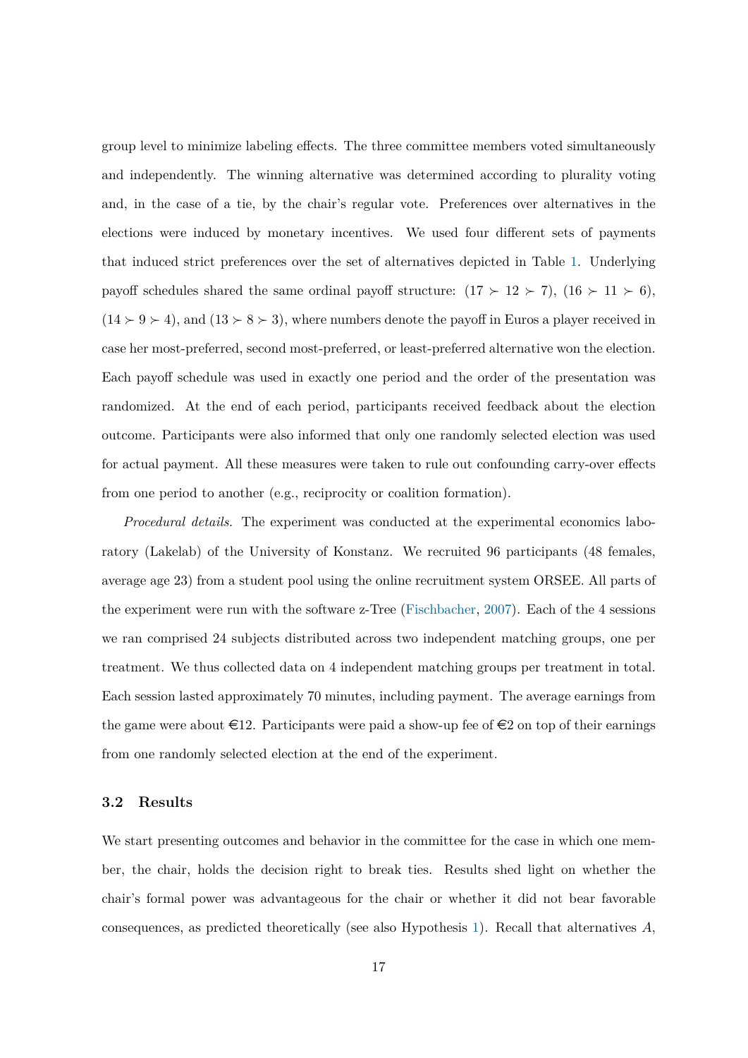group level to minimize labeling effects. The three committee members voted simultaneously and independently. The winning alternative was determined according to plurality voting and, in the case of a tie, by the chair's regular vote. Preferences over alternatives in the elections were induced by monetary incentives. We used four different sets of payments that induced strict preferences over the set of alternatives depicted in Table [1.](#page-11-0) Underlying payoff schedules shared the same ordinal payoff structure:  $(17 \succ 12 \succ 7)$ ,  $(16 \succ 11 \succ 6)$ ,  $(14 \succ 9 \succ 4)$ , and  $(13 \succ 8 \succ 3)$ , where numbers denote the payoff in Euros a player received in case her most-preferred, second most-preferred, or least-preferred alternative won the election. Each payoff schedule was used in exactly one period and the order of the presentation was randomized. At the end of each period, participants received feedback about the election outcome. Participants were also informed that only one randomly selected election was used for actual payment. All these measures were taken to rule out confounding carry-over effects from one period to another (e.g., reciprocity or coalition formation).

*Procedural details.* The experiment was conducted at the experimental economics laboratory (Lakelab) of the University of Konstanz. We recruited 96 participants (48 females, average age 23) from a student pool using the online recruitment system ORSEE. All parts of the experiment were run with the software z-Tree [\(Fischbacher,](#page-43-11) [2007\)](#page-43-11). Each of the 4 sessions we ran comprised 24 subjects distributed across two independent matching groups, one per treatment. We thus collected data on 4 independent matching groups per treatment in total. Each session lasted approximately 70 minutes, including payment. The average earnings from the game were about  $\in$ 12. Participants were paid a show-up fee of  $\in$ 2 on top of their earnings from one randomly selected election at the end of the experiment.

### **3.2 Results**

We start presenting outcomes and behavior in the committee for the case in which one member, the chair, holds the decision right to break ties. Results shed light on whether the chair's formal power was advantageous for the chair or whether it did not bear favorable consequences, as predicted theoretically (see also Hypothesis [1\)](#page-11-1). Recall that alternatives  $A$ ,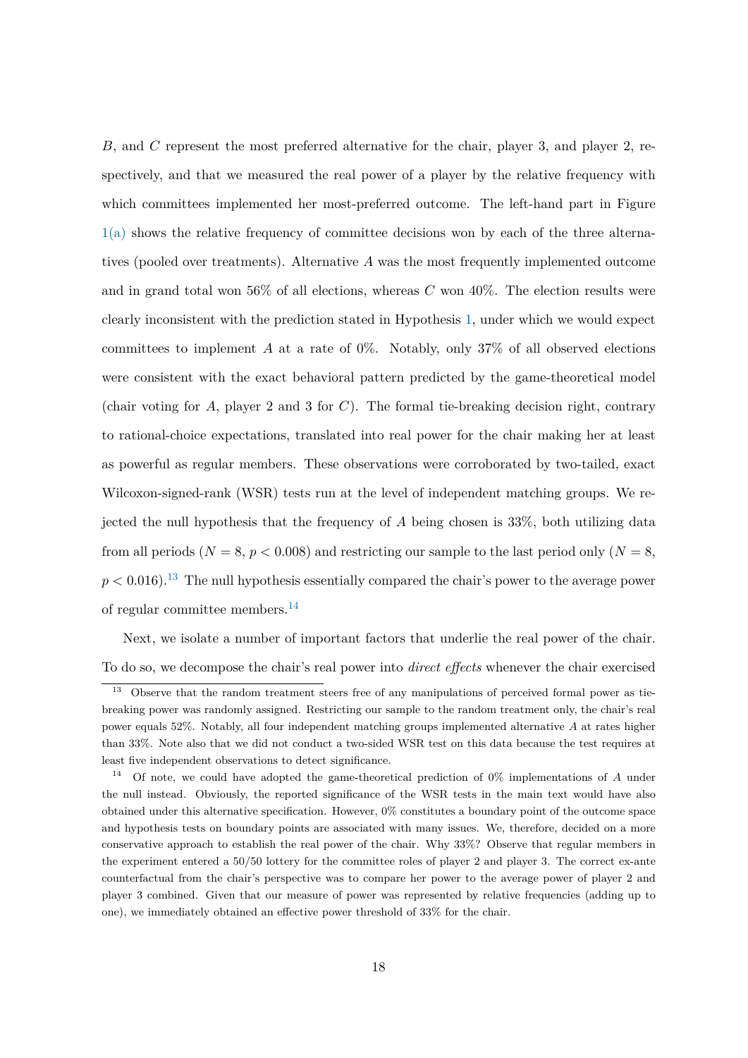B, and C represent the most preferred alternative for the chair, player 3, and player 2, respectively, and that we measured the real power of a player by the relative frequency with which committees implemented her most-preferred outcome. The left-hand part in Figure [1\(a\)](#page-19-0) shows the relative frequency of committee decisions won by each of the three alternatives (pooled over treatments). Alternative A was the most frequently implemented outcome and in grand total won 56% of all elections, whereas  $C$  won 40%. The election results were clearly inconsistent with the prediction stated in Hypothesis [1,](#page-11-1) under which we would expect committees to implement  $A$  at a rate of 0%. Notably, only 37% of all observed elections were consistent with the exact behavioral pattern predicted by the game-theoretical model (chair voting for  $A$ , player 2 and 3 for  $C$ ). The formal tie-breaking decision right, contrary to rational-choice expectations, translated into real power for the chair making her at least as powerful as regular members. These observations were corroborated by two-tailed, exact Wilcoxon-signed-rank (WSR) tests run at the level of independent matching groups. We rejected the null hypothesis that the frequency of  $A$  being chosen is 33%, both utilizing data from all periods ( $N = 8$ ,  $p < 0.008$ ) and restricting our sample to the last period only ( $N = 8$ ,  $p < 0.016$ .<sup>[13](#page-18-0)</sup> The null hypothesis essentially compared the chair's power to the average power of regular committee members.[14](#page-18-1)

Next, we isolate a number of important factors that underlie the real power of the chair. To do so, we decompose the chair's real power into *direct effects* whenever the chair exercised

<span id="page-18-0"></span><sup>&</sup>lt;sup>13</sup> Observe that the random treatment steers free of any manipulations of perceived formal power as tiebreaking power was randomly assigned. Restricting our sample to the random treatment only, the chair's real power equals 52%. Notably, all four independent matching groups implemented alternative A at rates higher than 33%. Note also that we did not conduct a two-sided WSR test on this data because the test requires at least five independent observations to detect significance.

<span id="page-18-1"></span><sup>&</sup>lt;sup>14</sup> Of note, we could have adopted the game-theoretical prediction of  $0\%$  implementations of A under the null instead. Obviously, the reported significance of the WSR tests in the main text would have also obtained under this alternative specification. However, 0% constitutes a boundary point of the outcome space and hypothesis tests on boundary points are associated with many issues. We, therefore, decided on a more conservative approach to establish the real power of the chair. Why 33%? Observe that regular members in the experiment entered a 50/50 lottery for the committee roles of player 2 and player 3. The correct ex-ante counterfactual from the chair's perspective was to compare her power to the average power of player 2 and player 3 combined. Given that our measure of power was represented by relative frequencies (adding up to one), we immediately obtained an effective power threshold of 33% for the chair.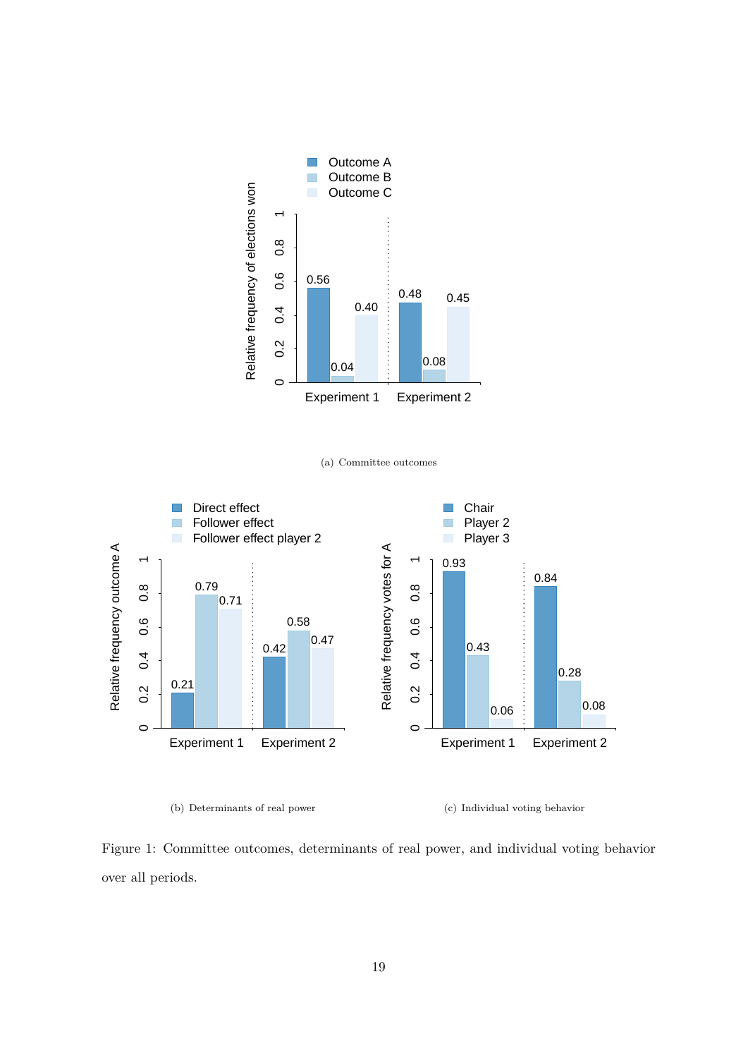<span id="page-19-0"></span>

(a) Committee outcomes

<span id="page-19-1"></span>

(b) Determinants of real power

<span id="page-19-2"></span>(c) Individual voting behavior

Figure 1: Committee outcomes, determinants of real power, and individual voting behavior over all periods.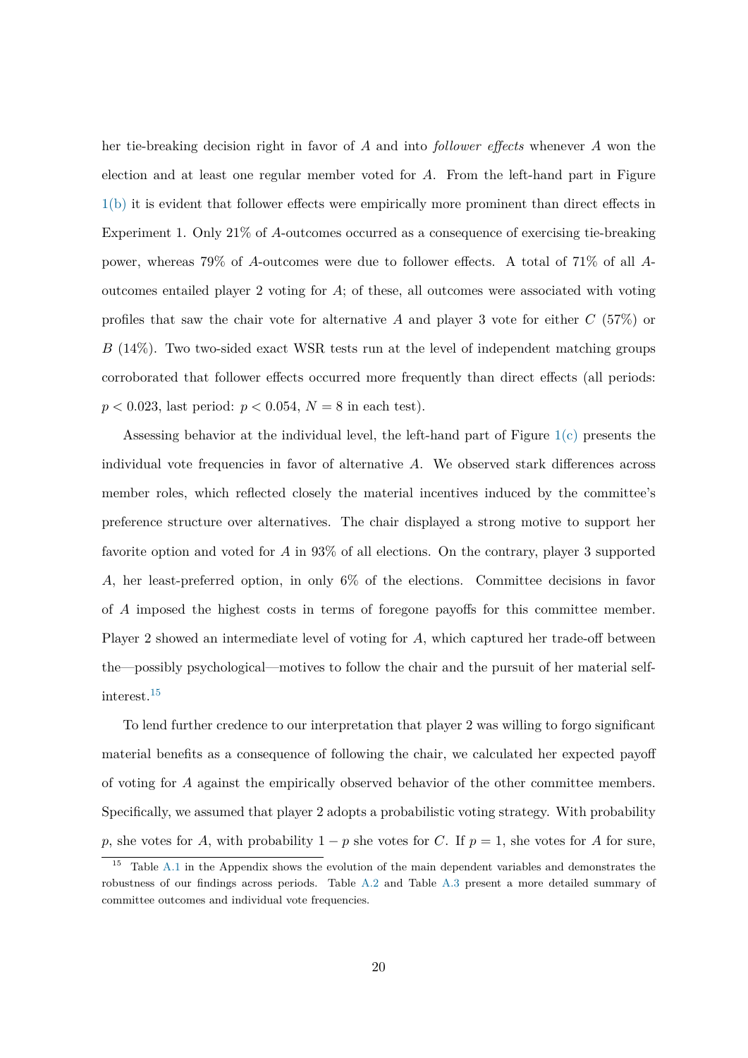her tie-breaking decision right in favor of A and into *follower effects* whenever A won the election and at least one regular member voted for A. From the left-hand part in Figure [1\(b\)](#page-19-1) it is evident that follower effects were empirically more prominent than direct effects in Experiment 1. Only 21% of A-outcomes occurred as a consequence of exercising tie-breaking power, whereas 79% of A-outcomes were due to follower effects. A total of 71% of all Aoutcomes entailed player 2 voting for A; of these, all outcomes were associated with voting profiles that saw the chair vote for alternative A and player 3 vote for either  $C(57%)$  or B (14%). Two two-sided exact WSR tests run at the level of independent matching groups corroborated that follower effects occurred more frequently than direct effects (all periods:  $p < 0.023$ , last period:  $p < 0.054$ ,  $N = 8$  in each test).

Assessing behavior at the individual level, the left-hand part of Figure [1\(c\)](#page-19-2) presents the individual vote frequencies in favor of alternative A. We observed stark differences across member roles, which reflected closely the material incentives induced by the committee's preference structure over alternatives. The chair displayed a strong motive to support her favorite option and voted for A in 93% of all elections. On the contrary, player 3 supported A, her least-preferred option, in only 6% of the elections. Committee decisions in favor of A imposed the highest costs in terms of foregone payoffs for this committee member. Player 2 showed an intermediate level of voting for A, which captured her trade-off between the—possibly psychological—motives to follow the chair and the pursuit of her material selfinterest.[15](#page-20-0)

To lend further credence to our interpretation that player 2 was willing to forgo significant material benefits as a consequence of following the chair, we calculated her expected payoff of voting for A against the empirically observed behavior of the other committee members. Specifically, we assumed that player 2 adopts a probabilistic voting strategy. With probability p, she votes for A, with probability  $1 - p$  she votes for C. If  $p = 1$ , she votes for A for sure,

<span id="page-20-0"></span><sup>&</sup>lt;sup>15</sup> Table [A.1](#page-46-0) in the Appendix shows the evolution of the main dependent variables and demonstrates the robustness of our findings across periods. Table [A.2](#page-47-0) and Table [A.3](#page-47-1) present a more detailed summary of committee outcomes and individual vote frequencies.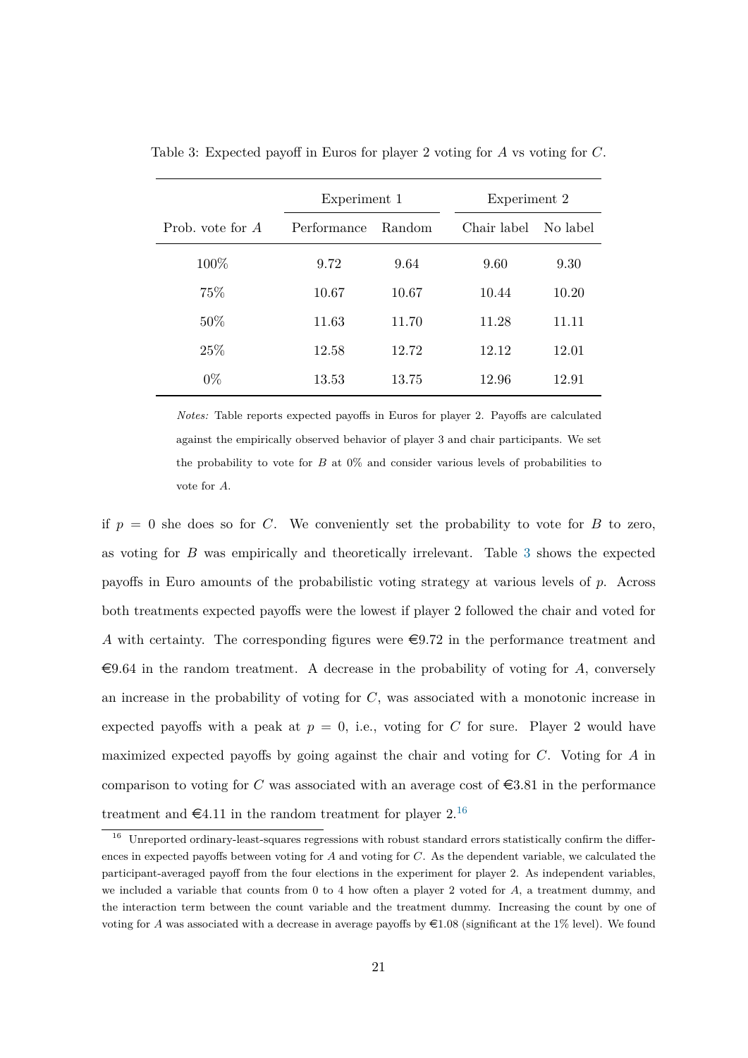|                  | Experiment 1 |        | Experiment 2 |          |
|------------------|--------------|--------|--------------|----------|
| Prob. vote for A | Performance  | Random | Chair label  | No label |
| 100\%            | 9.72         | 9.64   | 9.60         | 9.30     |
| 75%              | 10.67        | 10.67  | 10.44        | 10.20    |
| 50\%             | 11.63        | 11.70  | 11.28        | 11.11    |
| 25%              | 12.58        | 12.72  | 12.12        | 12.01    |
| $0\%$            | 13.53        | 13.75  | 12.96        | 12.91    |

<span id="page-21-0"></span>Table 3: Expected payoff in Euros for player 2 voting for A vs voting for C.

*Notes:* Table reports expected payoffs in Euros for player 2. Payoffs are calculated against the empirically observed behavior of player 3 and chair participants. We set the probability to vote for  $B$  at  $0\%$  and consider various levels of probabilities to vote for A.

if  $p = 0$  she does so for C. We conveniently set the probability to vote for B to zero, as voting for B was empirically and theoretically irrelevant. Table [3](#page-21-0) shows the expected payoffs in Euro amounts of the probabilistic voting strategy at various levels of p. Across both treatments expected payoffs were the lowest if player 2 followed the chair and voted for A with certainty. The corresponding figures were  $\epsilon = 9.72$  in the performance treatment and  $\epsilon$ 9.64 in the random treatment. A decrease in the probability of voting for A, conversely an increase in the probability of voting for  $C$ , was associated with a monotonic increase in expected payoffs with a peak at  $p = 0$ , i.e., voting for C for sure. Player 2 would have maximized expected payoffs by going against the chair and voting for C. Voting for A in comparison to voting for C was associated with an average cost of  $\epsilon$ 3.81 in the performance treatment and  $\epsilon$ 4.11 in the random treatment for player 2.<sup>[16](#page-21-1)</sup>

<span id="page-21-1"></span><sup>&</sup>lt;sup>16</sup> Unreported ordinary-least-squares regressions with robust standard errors statistically confirm the differences in expected payoffs between voting for A and voting for C. As the dependent variable, we calculated the participant-averaged payoff from the four elections in the experiment for player 2. As independent variables, we included a variable that counts from  $0$  to  $4$  how often a player  $2$  voted for  $A$ , a treatment dummy, and the interaction term between the count variable and the treatment dummy. Increasing the count by one of voting for A was associated with a decrease in average payoffs by  $\epsilon$ 1.08 (significant at the 1% level). We found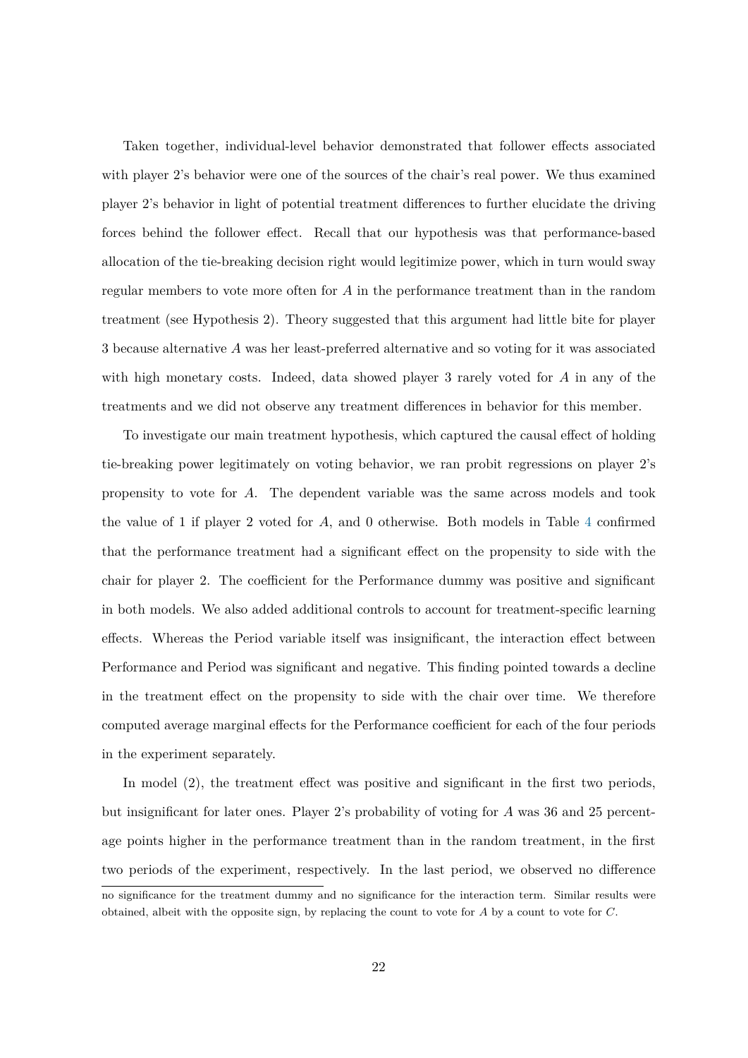Taken together, individual-level behavior demonstrated that follower effects associated with player 2's behavior were one of the sources of the chair's real power. We thus examined player 2's behavior in light of potential treatment differences to further elucidate the driving forces behind the follower effect. Recall that our hypothesis was that performance-based allocation of the tie-breaking decision right would legitimize power, which in turn would sway regular members to vote more often for A in the performance treatment than in the random treatment (see Hypothesis 2). Theory suggested that this argument had little bite for player 3 because alternative A was her least-preferred alternative and so voting for it was associated with high monetary costs. Indeed, data showed player 3 rarely voted for A in any of the treatments and we did not observe any treatment differences in behavior for this member.

To investigate our main treatment hypothesis, which captured the causal effect of holding tie-breaking power legitimately on voting behavior, we ran probit regressions on player 2's propensity to vote for A. The dependent variable was the same across models and took the value of 1 if player 2 voted for A, and 0 otherwise. Both models in Table [4](#page-23-0) confirmed that the performance treatment had a significant effect on the propensity to side with the chair for player 2. The coefficient for the Performance dummy was positive and significant in both models. We also added additional controls to account for treatment-specific learning effects. Whereas the Period variable itself was insignificant, the interaction effect between Performance and Period was significant and negative. This finding pointed towards a decline in the treatment effect on the propensity to side with the chair over time. We therefore computed average marginal effects for the Performance coefficient for each of the four periods in the experiment separately.

In model (2), the treatment effect was positive and significant in the first two periods, but insignificant for later ones. Player 2's probability of voting for A was 36 and 25 percentage points higher in the performance treatment than in the random treatment, in the first two periods of the experiment, respectively. In the last period, we observed no difference

no significance for the treatment dummy and no significance for the interaction term. Similar results were obtained, albeit with the opposite sign, by replacing the count to vote for A by a count to vote for C.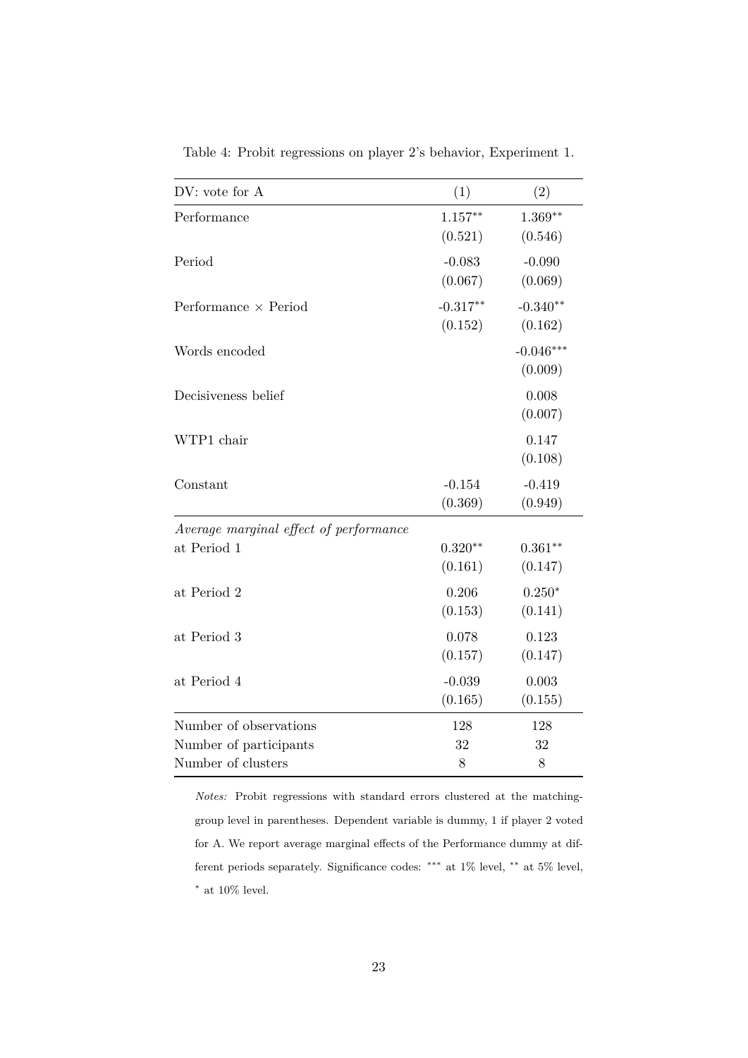| DV: vote for A                         | (1)        | (2)         |
|----------------------------------------|------------|-------------|
| Performance                            | $1.157**$  | $1.369**$   |
|                                        | (0.521)    | (0.546)     |
| Period                                 | $-0.083$   | $-0.090$    |
|                                        | (0.067)    | (0.069)     |
| Performance $\times$ Period            | $-0.317**$ | $-0.340**$  |
|                                        | (0.152)    | (0.162)     |
| Words encoded                          |            | $-0.046***$ |
|                                        |            | (0.009)     |
| Decisiveness belief                    |            | 0.008       |
|                                        |            | (0.007)     |
| WTP1 chair                             |            | 0.147       |
|                                        |            | (0.108)     |
| Constant                               | $-0.154$   | $-0.419$    |
|                                        | (0.369)    | (0.949)     |
| Average marginal effect of performance |            |             |
| at Period 1                            | $0.320**$  | $0.361**$   |
|                                        | (0.161)    | (0.147)     |
| at Period 2                            | 0.206      | $0.250*$    |
|                                        | (0.153)    | (0.141)     |
| at Period 3                            | 0.078      | 0.123       |
|                                        | (0.157)    | (0.147)     |
| at Period 4                            | $-0.039$   | 0.003       |
|                                        | (0.165)    | (0.155)     |
| Number of observations                 | 128        | 128         |
| Number of participants                 | 32         | 32          |
| Number of clusters                     | 8          | 8           |

<span id="page-23-0"></span>Table 4: Probit regressions on player 2's behavior, Experiment 1.

*Notes:* Probit regressions with standard errors clustered at the matchinggroup level in parentheses. Dependent variable is dummy, 1 if player 2 voted for A. We report average marginal effects of the Performance dummy at different periods separately. Significance codes: ∗∗∗ at 1% level, ∗∗ at 5% level,  $^*$  at 10% level.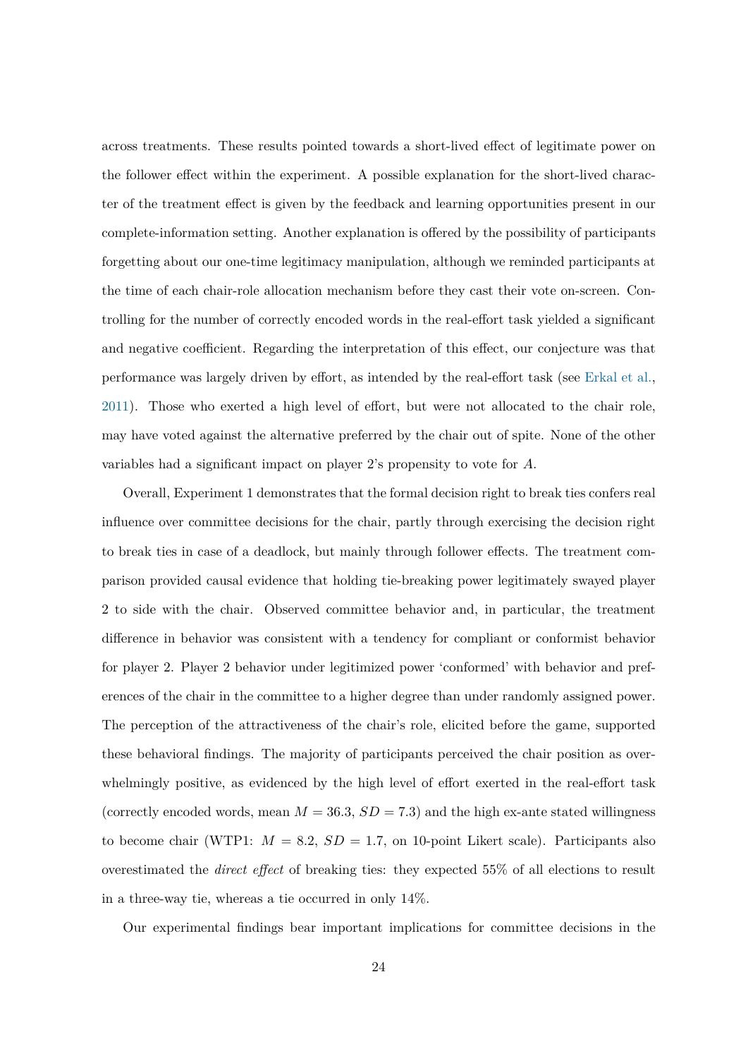across treatments. These results pointed towards a short-lived effect of legitimate power on the follower effect within the experiment. A possible explanation for the short-lived character of the treatment effect is given by the feedback and learning opportunities present in our complete-information setting. Another explanation is offered by the possibility of participants forgetting about our one-time legitimacy manipulation, although we reminded participants at the time of each chair-role allocation mechanism before they cast their vote on-screen. Controlling for the number of correctly encoded words in the real-effort task yielded a significant and negative coefficient. Regarding the interpretation of this effect, our conjecture was that performance was largely driven by effort, as intended by the real-effort task (see [Erkal et al.,](#page-42-10) [2011\)](#page-42-10). Those who exerted a high level of effort, but were not allocated to the chair role, may have voted against the alternative preferred by the chair out of spite. None of the other variables had a significant impact on player 2's propensity to vote for A.

Overall, Experiment 1 demonstrates that the formal decision right to break ties confers real influence over committee decisions for the chair, partly through exercising the decision right to break ties in case of a deadlock, but mainly through follower effects. The treatment comparison provided causal evidence that holding tie-breaking power legitimately swayed player 2 to side with the chair. Observed committee behavior and, in particular, the treatment difference in behavior was consistent with a tendency for compliant or conformist behavior for player 2. Player 2 behavior under legitimized power 'conformed' with behavior and preferences of the chair in the committee to a higher degree than under randomly assigned power. The perception of the attractiveness of the chair's role, elicited before the game, supported these behavioral findings. The majority of participants perceived the chair position as overwhelmingly positive, as evidenced by the high level of effort exerted in the real-effort task (correctly encoded words, mean  $M = 36.3$ ,  $SD = 7.3$ ) and the high ex-ante stated willingness to become chair (WTP1:  $M = 8.2$ ,  $SD = 1.7$ , on 10-point Likert scale). Participants also overestimated the *direct effect* of breaking ties: they expected 55% of all elections to result in a three-way tie, whereas a tie occurred in only 14%.

Our experimental findings bear important implications for committee decisions in the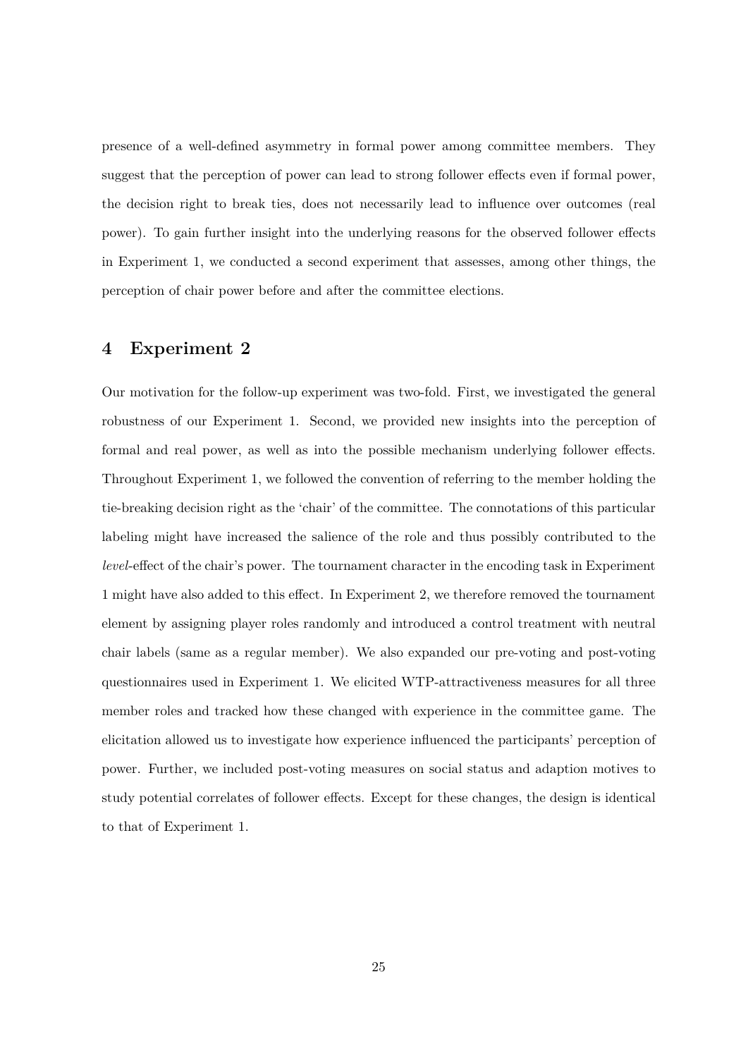presence of a well-defined asymmetry in formal power among committee members. They suggest that the perception of power can lead to strong follower effects even if formal power, the decision right to break ties, does not necessarily lead to influence over outcomes (real power). To gain further insight into the underlying reasons for the observed follower effects in Experiment 1, we conducted a second experiment that assesses, among other things, the perception of chair power before and after the committee elections.

## <span id="page-25-0"></span>**4 Experiment 2**

Our motivation for the follow-up experiment was two-fold. First, we investigated the general robustness of our Experiment 1. Second, we provided new insights into the perception of formal and real power, as well as into the possible mechanism underlying follower effects. Throughout Experiment 1, we followed the convention of referring to the member holding the tie-breaking decision right as the 'chair' of the committee. The connotations of this particular labeling might have increased the salience of the role and thus possibly contributed to the *level*-effect of the chair's power. The tournament character in the encoding task in Experiment 1 might have also added to this effect. In Experiment 2, we therefore removed the tournament element by assigning player roles randomly and introduced a control treatment with neutral chair labels (same as a regular member). We also expanded our pre-voting and post-voting questionnaires used in Experiment 1. We elicited WTP-attractiveness measures for all three member roles and tracked how these changed with experience in the committee game. The elicitation allowed us to investigate how experience influenced the participants' perception of power. Further, we included post-voting measures on social status and adaption motives to study potential correlates of follower effects. Except for these changes, the design is identical to that of Experiment 1.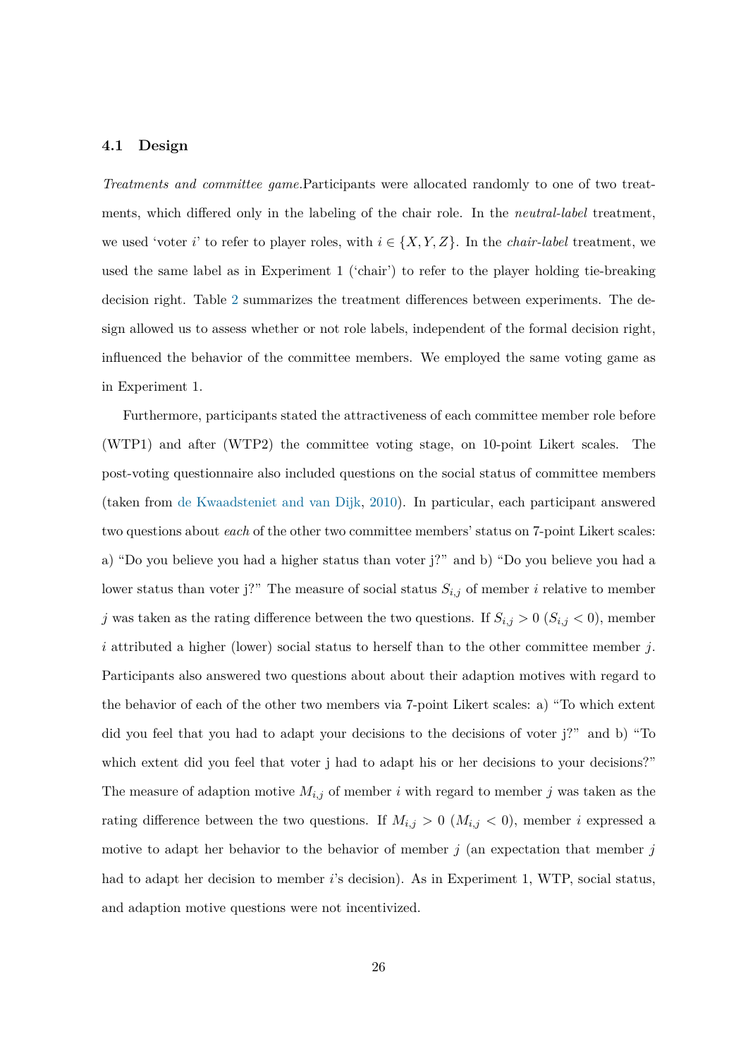### **4.1 Design**

*Treatments and committee game.*Participants were allocated randomly to one of two treatments, which differed only in the labeling of the chair role. In the *neutral-label* treatment, we used 'voter i' to refer to player roles, with  $i \in \{X, Y, Z\}$ . In the *chair-label* treatment, we used the same label as in Experiment 1 ('chair') to refer to the player holding tie-breaking decision right. Table [2](#page-16-0) summarizes the treatment differences between experiments. The design allowed us to assess whether or not role labels, independent of the formal decision right, influenced the behavior of the committee members. We employed the same voting game as in Experiment 1.

Furthermore, participants stated the attractiveness of each committee member role before (WTP1) and after (WTP2) the committee voting stage, on 10-point Likert scales. The post-voting questionnaire also included questions on the social status of committee members (taken from [de Kwaadsteniet and van Dijk,](#page-44-12) [2010\)](#page-44-12). In particular, each participant answered two questions about *each* of the other two committee members' status on 7-point Likert scales: a) "Do you believe you had a higher status than voter j?" and b) "Do you believe you had a lower status than voter j?" The measure of social status  $S_{i,j}$  of member i relative to member j was taken as the rating difference between the two questions. If  $S_{i,j} > 0$  ( $S_{i,j} < 0$ ), member i attributed a higher (lower) social status to herself than to the other committee member j. Participants also answered two questions about about their adaption motives with regard to the behavior of each of the other two members via 7-point Likert scales: a) "To which extent did you feel that you had to adapt your decisions to the decisions of voter j?" and b) "To which extent did you feel that voter j had to adapt his or her decisions to your decisions?" The measure of adaption motive  $M_{i,j}$  of member i with regard to member j was taken as the rating difference between the two questions. If  $M_{i,j} > 0$  ( $M_{i,j} < 0$ ), member i expressed a motive to adapt her behavior to the behavior of member  $j$  (an expectation that member  $j$ had to adapt her decision to member *i*'s decision). As in Experiment 1, WTP, social status, and adaption motive questions were not incentivized.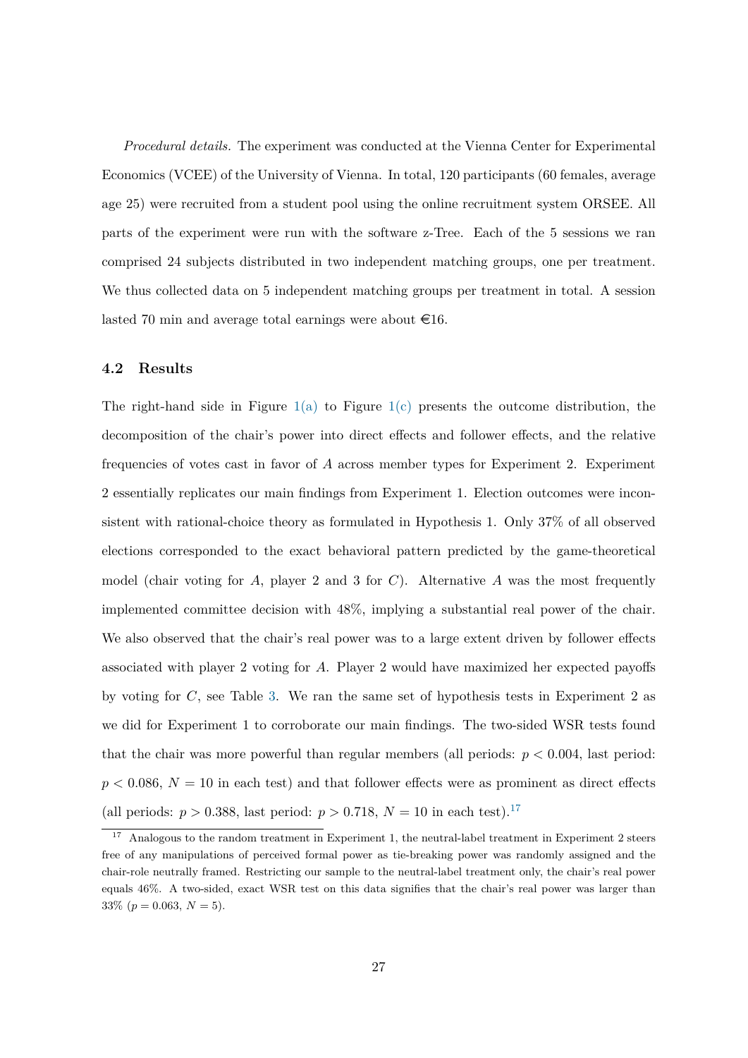*Procedural details.* The experiment was conducted at the Vienna Center for Experimental Economics (VCEE) of the University of Vienna. In total, 120 participants (60 females, average age 25) were recruited from a student pool using the online recruitment system ORSEE. All parts of the experiment were run with the software z-Tree. Each of the 5 sessions we ran comprised 24 subjects distributed in two independent matching groups, one per treatment. We thus collected data on 5 independent matching groups per treatment in total. A session lasted 70 min and average total earnings were about  $\epsilon$ 16.

### **4.2 Results**

The right-hand side in Figure  $1(a)$  to Figure  $1(c)$  presents the outcome distribution, the decomposition of the chair's power into direct effects and follower effects, and the relative frequencies of votes cast in favor of A across member types for Experiment 2. Experiment 2 essentially replicates our main findings from Experiment 1. Election outcomes were inconsistent with rational-choice theory as formulated in Hypothesis 1. Only 37% of all observed elections corresponded to the exact behavioral pattern predicted by the game-theoretical model (chair voting for A, player 2 and 3 for C). Alternative A was the most frequently implemented committee decision with 48%, implying a substantial real power of the chair. We also observed that the chair's real power was to a large extent driven by follower effects associated with player 2 voting for A. Player 2 would have maximized her expected payoffs by voting for  $C$ , see Table [3.](#page-21-0) We ran the same set of hypothesis tests in Experiment 2 as we did for Experiment 1 to corroborate our main findings. The two-sided WSR tests found that the chair was more powerful than regular members (all periods:  $p < 0.004$ , last period:  $p < 0.086$ ,  $N = 10$  in each test) and that follower effects were as prominent as direct effects (all periods:  $p > 0.388$ , last period:  $p > 0.718$ ,  $N = 10$  in each test).<sup>[17](#page-27-0)</sup>

<span id="page-27-0"></span><sup>&</sup>lt;sup>17</sup> Analogous to the random treatment in Experiment 1, the neutral-label treatment in Experiment 2 steers free of any manipulations of perceived formal power as tie-breaking power was randomly assigned and the chair-role neutrally framed. Restricting our sample to the neutral-label treatment only, the chair's real power equals 46%. A two-sided, exact WSR test on this data signifies that the chair's real power was larger than 33\%  $(p = 0.063, N = 5)$ .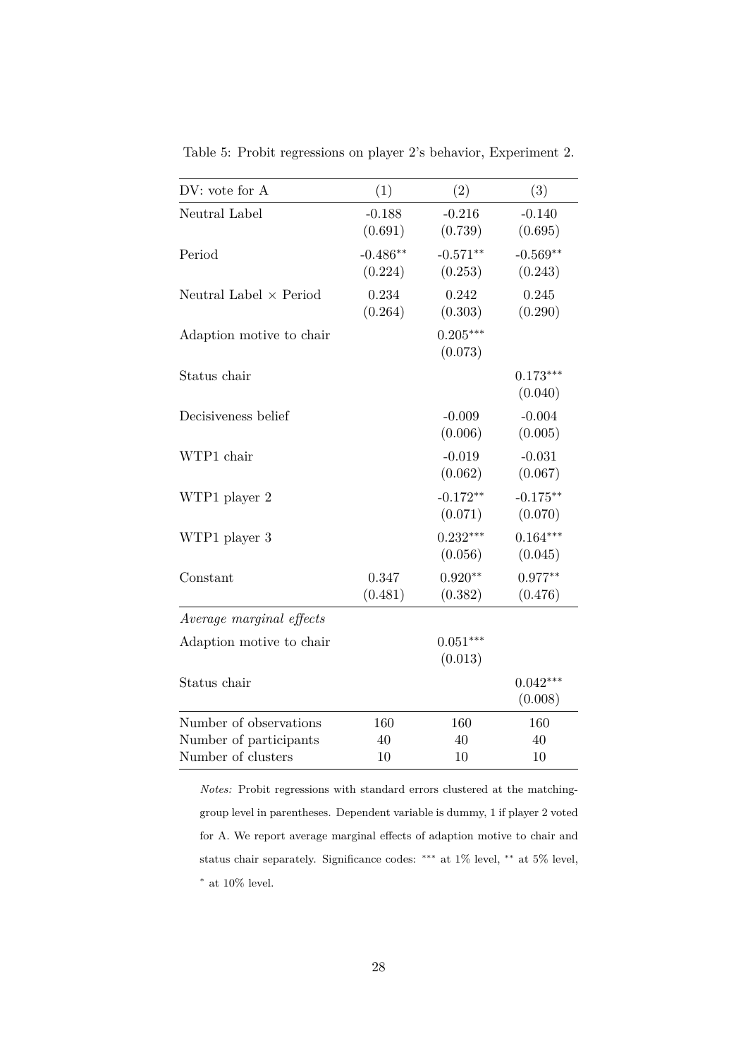| DV: vote for A                | (1)                   | (2)                   | (3)                   |
|-------------------------------|-----------------------|-----------------------|-----------------------|
| Neutral Label                 | $-0.188$              | $-0.216$              | $-0.140$              |
|                               | (0.691)               | (0.739)               | (0.695)               |
| Period                        | $-0.486**$<br>(0.224) | $-0.571**$            | $-0.569**$<br>(0.243) |
|                               |                       | (0.253)               |                       |
| Neutral Label $\times$ Period | 0.234                 | 0.242                 | 0.245                 |
|                               | (0.264)               | (0.303)               | (0.290)               |
| Adaption motive to chair      |                       | $0.205***$<br>(0.073) |                       |
|                               |                       |                       |                       |
| Status chair                  |                       |                       | $0.173***$<br>(0.040) |
| Decisiveness belief           |                       | $-0.009$              | $-0.004$              |
|                               |                       | (0.006)               | (0.005)               |
| WTP1 chair                    |                       | $-0.019$              | $-0.031$              |
|                               |                       | (0.062)               | (0.067)               |
| WTP1 player 2                 |                       | $-0.172**$            | $-0.175**$            |
|                               |                       | (0.071)               | (0.070)               |
| WTP1 player 3                 |                       | $0.232***$            | $0.164***$            |
|                               |                       | (0.056)               | (0.045)               |
| Constant                      | 0.347                 | $0.920**$             | $0.977**$             |
|                               | (0.481)               | (0.382)               | (0.476)               |
| Average marginal effects      |                       |                       |                       |
| Adaption motive to chair      |                       | $0.051***$            |                       |
|                               |                       | (0.013)               |                       |
| Status chair                  |                       |                       | $0.042***$            |
|                               |                       |                       | (0.008)               |
| Number of observations        | 160                   | 160                   | 160                   |
| Number of participants        | 40                    | 40                    | 40                    |
| Number of clusters            | 10                    | 10                    | 10                    |

<span id="page-28-0"></span>Table 5: Probit regressions on player 2's behavior, Experiment 2.

*Notes:* Probit regressions with standard errors clustered at the matchinggroup level in parentheses. Dependent variable is dummy, 1 if player 2 voted for A. We report average marginal effects of adaption motive to chair and status chair separately. Significance codes: <sup>∗</sup>\*\* at 1% level, <sup>∗</sup>\* at 5% level,  $^*$  at 10% level.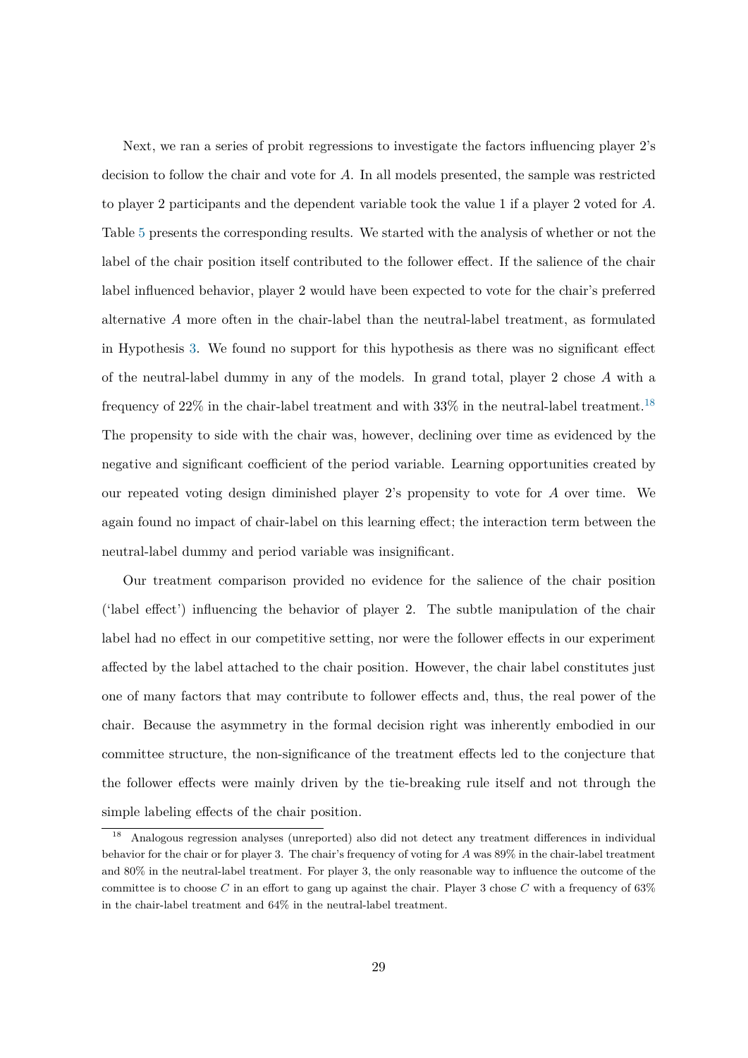Next, we ran a series of probit regressions to investigate the factors influencing player 2's decision to follow the chair and vote for A. In all models presented, the sample was restricted to player 2 participants and the dependent variable took the value 1 if a player 2 voted for A. Table [5](#page-28-0) presents the corresponding results. We started with the analysis of whether or not the label of the chair position itself contributed to the follower effect. If the salience of the chair label influenced behavior, player 2 would have been expected to vote for the chair's preferred alternative A more often in the chair-label than the neutral-label treatment, as formulated in Hypothesis [3.](#page-14-1) We found no support for this hypothesis as there was no significant effect of the neutral-label dummy in any of the models. In grand total, player 2 chose A with a frequency of  $22\%$  in the chair-label treatment and with  $33\%$  in the neutral-label treatment.<sup>[18](#page-29-0)</sup> The propensity to side with the chair was, however, declining over time as evidenced by the negative and significant coefficient of the period variable. Learning opportunities created by our repeated voting design diminished player 2's propensity to vote for A over time. We again found no impact of chair-label on this learning effect; the interaction term between the neutral-label dummy and period variable was insignificant.

Our treatment comparison provided no evidence for the salience of the chair position ('label effect') influencing the behavior of player 2. The subtle manipulation of the chair label had no effect in our competitive setting, nor were the follower effects in our experiment affected by the label attached to the chair position. However, the chair label constitutes just one of many factors that may contribute to follower effects and, thus, the real power of the chair. Because the asymmetry in the formal decision right was inherently embodied in our committee structure, the non-significance of the treatment effects led to the conjecture that the follower effects were mainly driven by the tie-breaking rule itself and not through the simple labeling effects of the chair position.

<span id="page-29-0"></span><sup>18</sup> Analogous regression analyses (unreported) also did not detect any treatment differences in individual behavior for the chair or for player 3. The chair's frequency of voting for A was 89% in the chair-label treatment and 80% in the neutral-label treatment. For player 3, the only reasonable way to influence the outcome of the committee is to choose C in an effort to gang up against the chair. Player 3 chose C with a frequency of  $63\%$ in the chair-label treatment and 64% in the neutral-label treatment.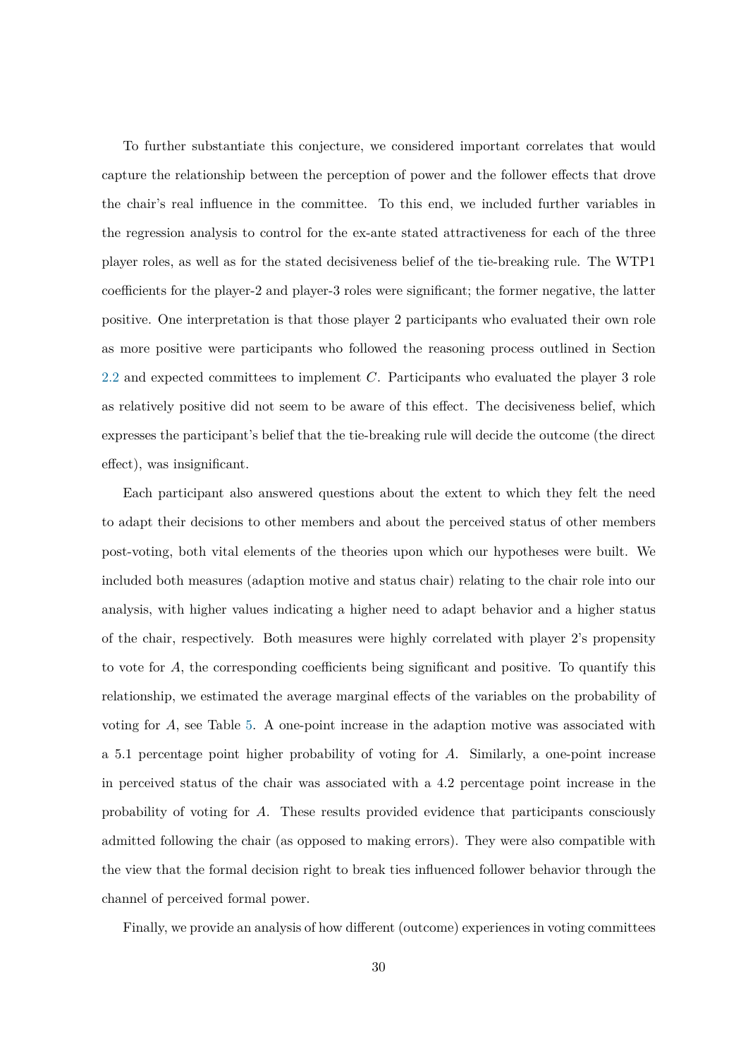To further substantiate this conjecture, we considered important correlates that would capture the relationship between the perception of power and the follower effects that drove the chair's real influence in the committee. To this end, we included further variables in the regression analysis to control for the ex-ante stated attractiveness for each of the three player roles, as well as for the stated decisiveness belief of the tie-breaking rule. The WTP1 coefficients for the player-2 and player-3 roles were significant; the former negative, the latter positive. One interpretation is that those player 2 participants who evaluated their own role as more positive were participants who followed the reasoning process outlined in Section  $2.2$  and expected committees to implement  $C$ . Participants who evaluated the player 3 role as relatively positive did not seem to be aware of this effect. The decisiveness belief, which expresses the participant's belief that the tie-breaking rule will decide the outcome (the direct effect), was insignificant.

Each participant also answered questions about the extent to which they felt the need to adapt their decisions to other members and about the perceived status of other members post-voting, both vital elements of the theories upon which our hypotheses were built. We included both measures (adaption motive and status chair) relating to the chair role into our analysis, with higher values indicating a higher need to adapt behavior and a higher status of the chair, respectively. Both measures were highly correlated with player 2's propensity to vote for A, the corresponding coefficients being significant and positive. To quantify this relationship, we estimated the average marginal effects of the variables on the probability of voting for  $A$ , see Table [5.](#page-28-0) A one-point increase in the adaption motive was associated with a 5.1 percentage point higher probability of voting for A. Similarly, a one-point increase in perceived status of the chair was associated with a 4.2 percentage point increase in the probability of voting for A. These results provided evidence that participants consciously admitted following the chair (as opposed to making errors). They were also compatible with the view that the formal decision right to break ties influenced follower behavior through the channel of perceived formal power.

Finally, we provide an analysis of how different (outcome) experiences in voting committees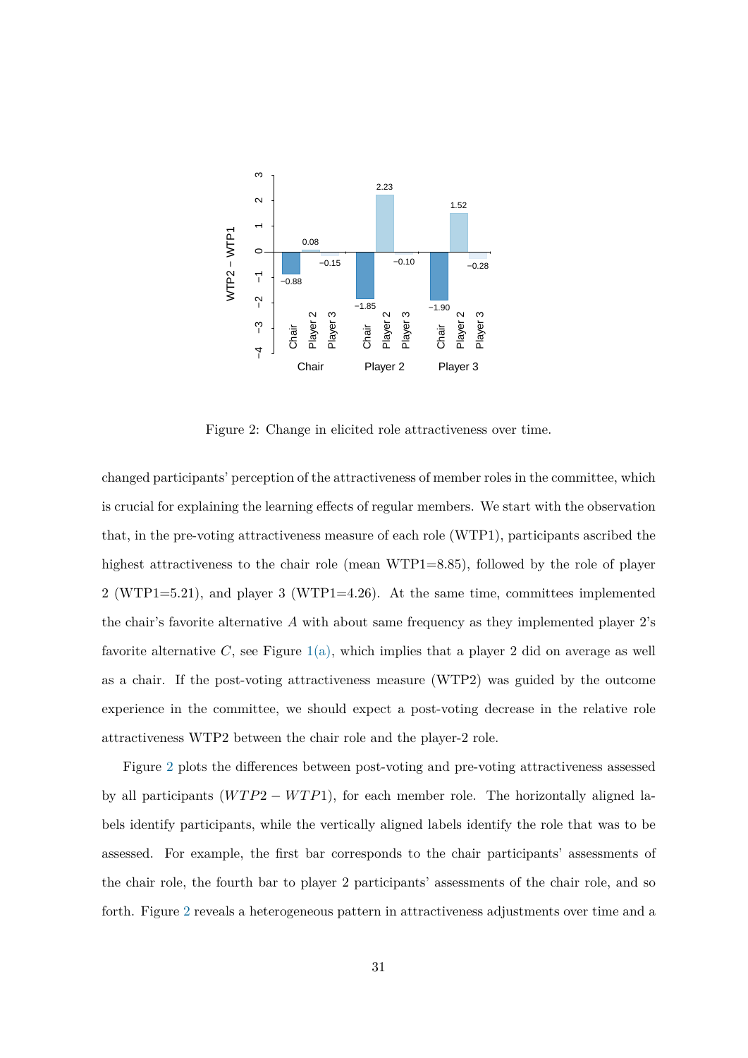<span id="page-31-0"></span>

Figure 2: Change in elicited role attractiveness over time.

changed participants' perception of the attractiveness of member roles in the committee, which is crucial for explaining the learning effects of regular members. We start with the observation that, in the pre-voting attractiveness measure of each role (WTP1), participants ascribed the highest attractiveness to the chair role (mean WTP1=8.85), followed by the role of player 2 (WTP1=5.21), and player 3 (WTP1=4.26). At the same time, committees implemented the chair's favorite alternative  $A$  with about same frequency as they implemented player  $2$ 's favorite alternative C, see Figure  $1(a)$ , which implies that a player 2 did on average as well as a chair. If the post-voting attractiveness measure (WTP2) was guided by the outcome experience in the committee, we should expect a post-voting decrease in the relative role attractiveness WTP2 between the chair role and the player-2 role.

Figure [2](#page-31-0) plots the differences between post-voting and pre-voting attractiveness assessed by all participants  $(WTP2 - WTP1)$ , for each member role. The horizontally aligned labels identify participants, while the vertically aligned labels identify the role that was to be assessed. For example, the first bar corresponds to the chair participants' assessments of the chair role, the fourth bar to player 2 participants' assessments of the chair role, and so forth. Figure [2](#page-31-0) reveals a heterogeneous pattern in attractiveness adjustments over time and a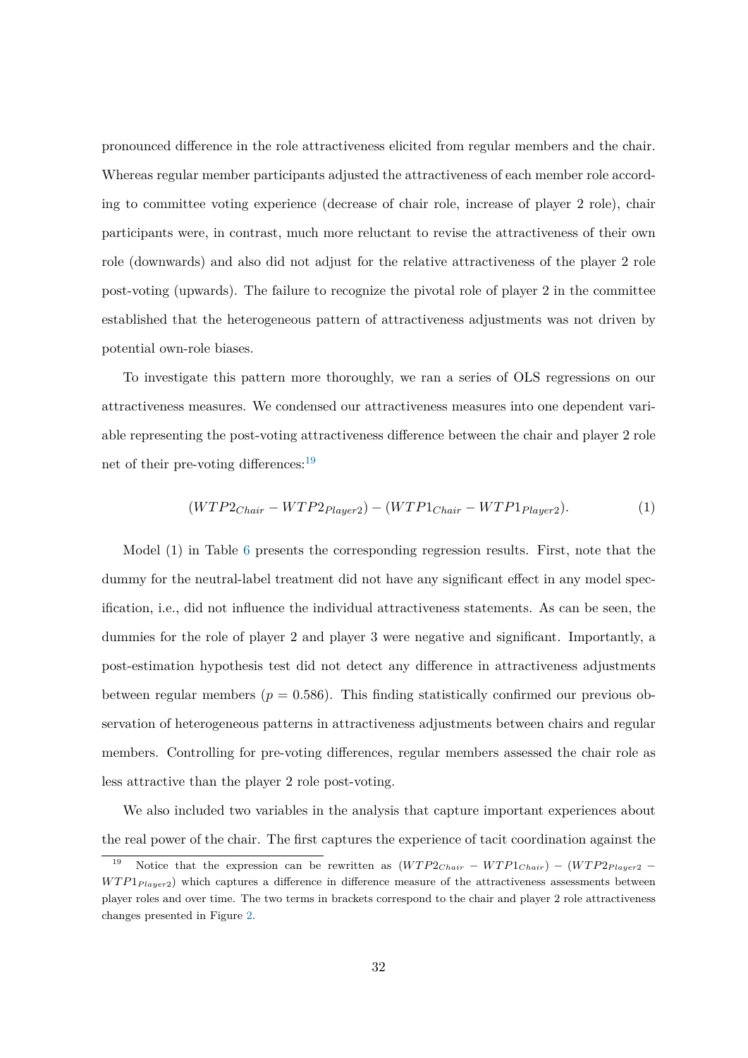pronounced difference in the role attractiveness elicited from regular members and the chair. Whereas regular member participants adjusted the attractiveness of each member role according to committee voting experience (decrease of chair role, increase of player 2 role), chair participants were, in contrast, much more reluctant to revise the attractiveness of their own role (downwards) and also did not adjust for the relative attractiveness of the player 2 role post-voting (upwards). The failure to recognize the pivotal role of player 2 in the committee established that the heterogeneous pattern of attractiveness adjustments was not driven by potential own-role biases.

To investigate this pattern more thoroughly, we ran a series of OLS regressions on our attractiveness measures. We condensed our attractiveness measures into one dependent variable representing the post-voting attractiveness difference between the chair and player 2 role net of their pre-voting differences: $19$ 

$$
(WTP2_{Chair} - WTP2_{Player2}) - (WTP1_{Chair} - WTP1_{Player2}). \tag{1}
$$

Model (1) in Table [6](#page-33-0) presents the corresponding regression results. First, note that the dummy for the neutral-label treatment did not have any significant effect in any model specification, i.e., did not influence the individual attractiveness statements. As can be seen, the dummies for the role of player 2 and player 3 were negative and significant. Importantly, a post-estimation hypothesis test did not detect any difference in attractiveness adjustments between regular members ( $p = 0.586$ ). This finding statistically confirmed our previous observation of heterogeneous patterns in attractiveness adjustments between chairs and regular members. Controlling for pre-voting differences, regular members assessed the chair role as less attractive than the player 2 role post-voting.

We also included two variables in the analysis that capture important experiences about the real power of the chair. The first captures the experience of tacit coordination against the

<span id="page-32-0"></span><sup>&</sup>lt;sup>19</sup> Notice that the expression can be rewritten as  $(WTP2_{Chair} - WTP1_{Chair}) - (WTP2_{Player2} WTP1_{Plauer2}$ ) which captures a difference in difference measure of the attractiveness assessments between player roles and over time. The two terms in brackets correspond to the chair and player 2 role attractiveness changes presented in Figure [2.](#page-31-0)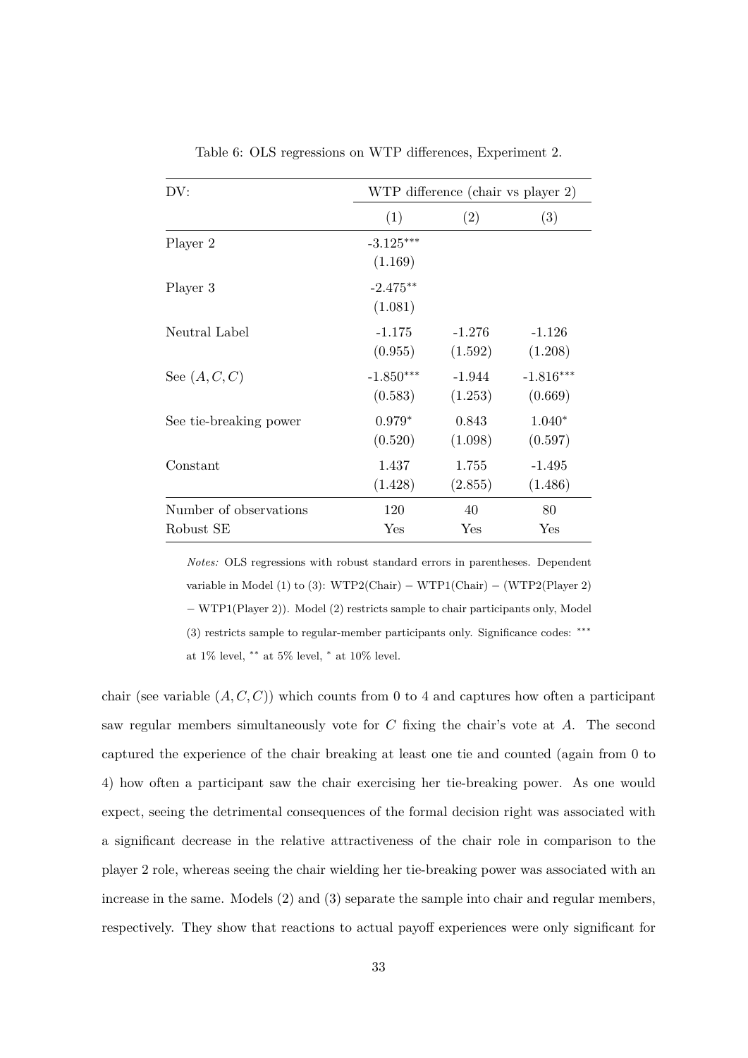<span id="page-33-0"></span>

| DV:                    |                        | WTP difference (chair vs player 2) |             |
|------------------------|------------------------|------------------------------------|-------------|
|                        | (1)                    | (2)                                | (3)         |
| Player 2               | $-3.125***$<br>(1.169) |                                    |             |
| Player 3               | $-2.475**$<br>(1.081)  |                                    |             |
| Neutral Label          | $-1.175$               | $-1.276$                           | $-1.126$    |
|                        | (0.955)                | (1.592)                            | (1.208)     |
| See $(A, C, C)$        | $-1.850***$            | $-1.944$                           | $-1.816***$ |
|                        | (0.583)                | (1.253)                            | (0.669)     |
| See tie-breaking power | $0.979*$               | 0.843                              | $1.040*$    |
|                        | (0.520)                | (1.098)                            | (0.597)     |
| Constant               | 1.437                  | 1.755                              | $-1.495$    |
|                        | (1.428)                | (2.855)                            | (1.486)     |
| Number of observations | 120                    | 40                                 | 80          |
| Robust SE              | Yes                    | Yes                                | Yes         |

Table 6: OLS regressions on WTP differences, Experiment 2.

*Notes:* OLS regressions with robust standard errors in parentheses. Dependent variable in Model (1) to (3): WTP2(Chair) – WTP1(Chair) – (WTP2(Player 2) − WTP1(Player 2)). Model (2) restricts sample to chair participants only, Model (3) restricts sample to regular-member participants only. Significance codes: ∗∗∗ at 1% level, ∗∗ at 5% level, <sup>∗</sup> at 10% level.

chair (see variable  $(A, C, C)$ ) which counts from 0 to 4 and captures how often a participant saw regular members simultaneously vote for  $C$  fixing the chair's vote at  $A$ . The second captured the experience of the chair breaking at least one tie and counted (again from 0 to 4) how often a participant saw the chair exercising her tie-breaking power. As one would expect, seeing the detrimental consequences of the formal decision right was associated with a significant decrease in the relative attractiveness of the chair role in comparison to the player 2 role, whereas seeing the chair wielding her tie-breaking power was associated with an increase in the same. Models (2) and (3) separate the sample into chair and regular members, respectively. They show that reactions to actual payoff experiences were only significant for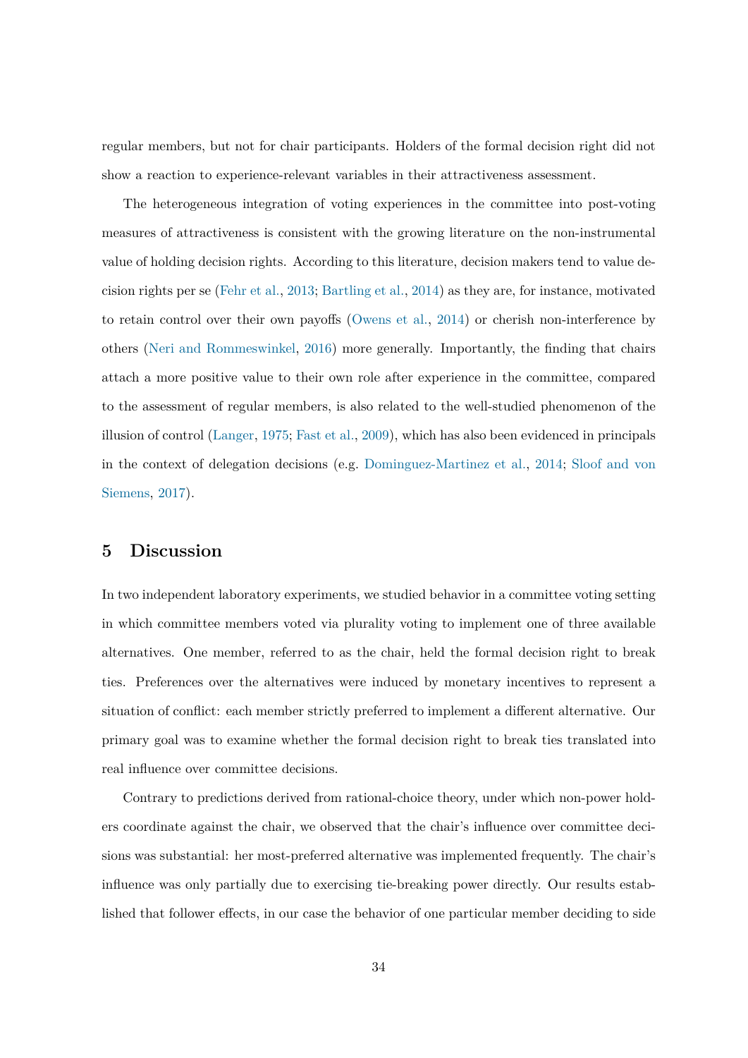regular members, but not for chair participants. Holders of the formal decision right did not show a reaction to experience-relevant variables in their attractiveness assessment.

The heterogeneous integration of voting experiences in the committee into post-voting measures of attractiveness is consistent with the growing literature on the non-instrumental value of holding decision rights. According to this literature, decision makers tend to value decision rights per se [\(Fehr et al.,](#page-43-2) [2013;](#page-43-2) [Bartling et al.,](#page-41-2) [2014\)](#page-41-2) as they are, for instance, motivated to retain control over their own payoffs [\(Owens et al.,](#page-44-13) [2014\)](#page-44-13) or cherish non-interference by others [\(Neri and Rommeswinkel,](#page-44-14) [2016\)](#page-44-14) more generally. Importantly, the finding that chairs attach a more positive value to their own role after experience in the committee, compared to the assessment of regular members, is also related to the well-studied phenomenon of the illusion of control [\(Langer,](#page-44-15) [1975;](#page-44-15) [Fast et al.,](#page-42-15) [2009\)](#page-42-15), which has also been evidenced in principals in the context of delegation decisions (e.g. [Dominguez-Martinez et al.,](#page-42-7) [2014;](#page-42-7) [Sloof and von](#page-45-9) [Siemens,](#page-45-9) [2017\)](#page-45-9).

## <span id="page-34-0"></span>**5 Discussion**

In two independent laboratory experiments, we studied behavior in a committee voting setting in which committee members voted via plurality voting to implement one of three available alternatives. One member, referred to as the chair, held the formal decision right to break ties. Preferences over the alternatives were induced by monetary incentives to represent a situation of conflict: each member strictly preferred to implement a different alternative. Our primary goal was to examine whether the formal decision right to break ties translated into real influence over committee decisions.

Contrary to predictions derived from rational-choice theory, under which non-power holders coordinate against the chair, we observed that the chair's influence over committee decisions was substantial: her most-preferred alternative was implemented frequently. The chair's influence was only partially due to exercising tie-breaking power directly. Our results established that follower effects, in our case the behavior of one particular member deciding to side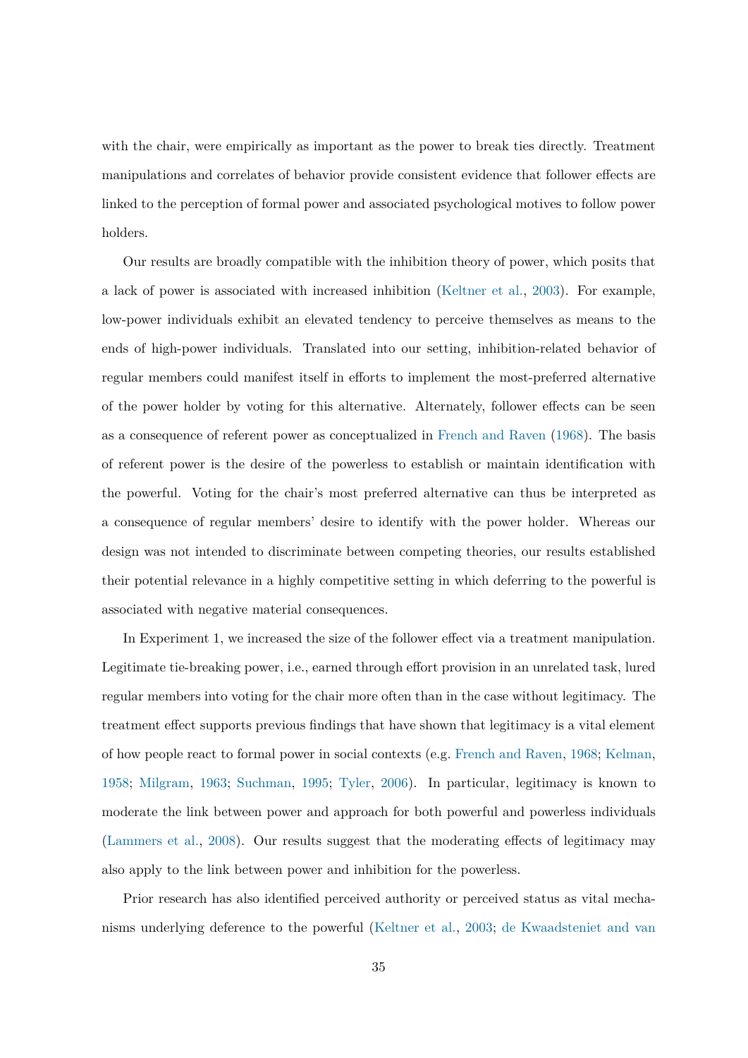with the chair, were empirically as important as the power to break ties directly. Treatment manipulations and correlates of behavior provide consistent evidence that follower effects are linked to the perception of formal power and associated psychological motives to follow power holders.

Our results are broadly compatible with the inhibition theory of power, which posits that a lack of power is associated with increased inhibition [\(Keltner et al.,](#page-44-2) [2003\)](#page-44-2). For example, low-power individuals exhibit an elevated tendency to perceive themselves as means to the ends of high-power individuals. Translated into our setting, inhibition-related behavior of regular members could manifest itself in efforts to implement the most-preferred alternative of the power holder by voting for this alternative. Alternately, follower effects can be seen as a consequence of referent power as conceptualized in [French and Raven](#page-43-1) [\(1968\)](#page-43-1). The basis of referent power is the desire of the powerless to establish or maintain identification with the powerful. Voting for the chair's most preferred alternative can thus be interpreted as a consequence of regular members' desire to identify with the power holder. Whereas our design was not intended to discriminate between competing theories, our results established their potential relevance in a highly competitive setting in which deferring to the powerful is associated with negative material consequences.

In Experiment 1, we increased the size of the follower effect via a treatment manipulation. Legitimate tie-breaking power, i.e., earned through effort provision in an unrelated task, lured regular members into voting for the chair more often than in the case without legitimacy. The treatment effect supports previous findings that have shown that legitimacy is a vital element of how people react to formal power in social contexts (e.g. [French and Raven,](#page-43-1) [1968;](#page-43-1) [Kelman,](#page-44-0) [1958;](#page-44-0) [Milgram,](#page-44-1) [1963;](#page-44-1) [Suchman,](#page-45-3) [1995;](#page-45-3) [Tyler,](#page-45-4) [2006\)](#page-45-4). In particular, legitimacy is known to moderate the link between power and approach for both powerful and powerless individuals [\(Lammers et al.,](#page-44-3) [2008\)](#page-44-3). Our results suggest that the moderating effects of legitimacy may also apply to the link between power and inhibition for the powerless.

Prior research has also identified perceived authority or perceived status as vital mechanisms underlying deference to the powerful [\(Keltner et al.,](#page-44-2) [2003;](#page-44-2) [de Kwaadsteniet and van](#page-44-12)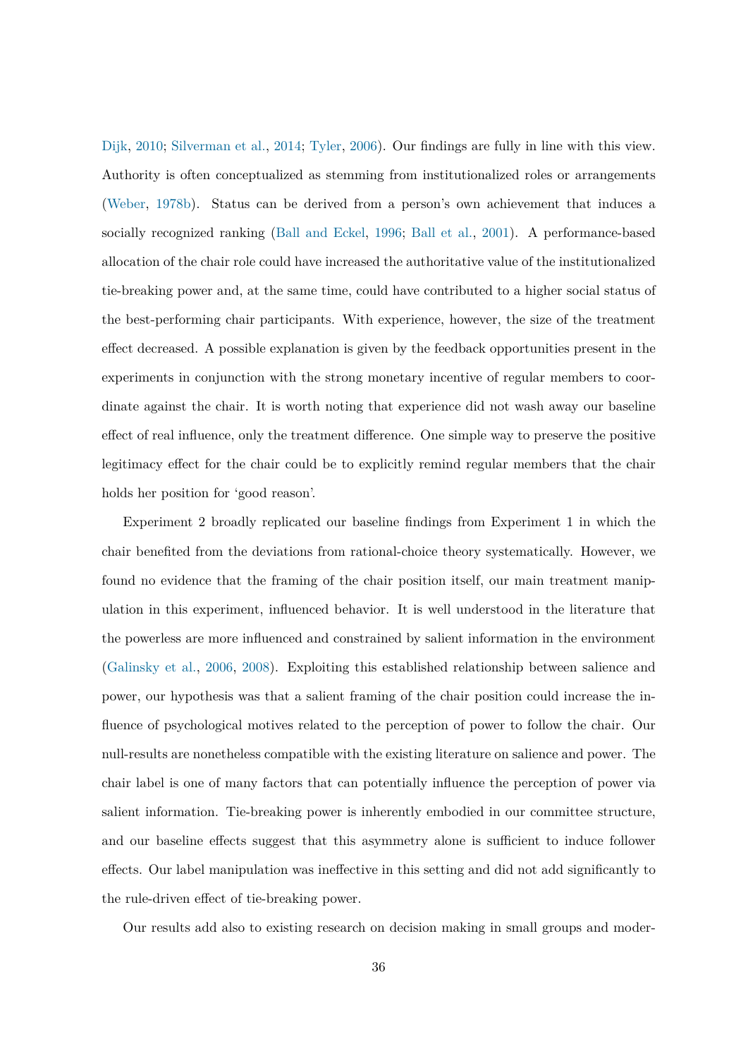[Dijk,](#page-44-12) [2010;](#page-44-12) [Silverman et al.,](#page-45-2) [2014;](#page-45-2) [Tyler,](#page-45-4) [2006\)](#page-45-4). Our findings are fully in line with this view. Authority is often conceptualized as stemming from institutionalized roles or arrangements [\(Weber,](#page-45-10) [1978b\)](#page-45-10). Status can be derived from a person's own achievement that induces a socially recognized ranking [\(Ball and Eckel,](#page-41-11) [1996;](#page-41-11) [Ball et al.,](#page-41-12) [2001\)](#page-41-12). A performance-based allocation of the chair role could have increased the authoritative value of the institutionalized tie-breaking power and, at the same time, could have contributed to a higher social status of the best-performing chair participants. With experience, however, the size of the treatment effect decreased. A possible explanation is given by the feedback opportunities present in the experiments in conjunction with the strong monetary incentive of regular members to coordinate against the chair. It is worth noting that experience did not wash away our baseline effect of real influence, only the treatment difference. One simple way to preserve the positive legitimacy effect for the chair could be to explicitly remind regular members that the chair holds her position for 'good reason'.

Experiment 2 broadly replicated our baseline findings from Experiment 1 in which the chair benefited from the deviations from rational-choice theory systematically. However, we found no evidence that the framing of the chair position itself, our main treatment manipulation in this experiment, influenced behavior. It is well understood in the literature that the powerless are more influenced and constrained by salient information in the environment [\(Galinsky et al.,](#page-43-12) [2006,](#page-43-12) [2008\)](#page-43-13). Exploiting this established relationship between salience and power, our hypothesis was that a salient framing of the chair position could increase the influence of psychological motives related to the perception of power to follow the chair. Our null-results are nonetheless compatible with the existing literature on salience and power. The chair label is one of many factors that can potentially influence the perception of power via salient information. Tie-breaking power is inherently embodied in our committee structure, and our baseline effects suggest that this asymmetry alone is sufficient to induce follower effects. Our label manipulation was ineffective in this setting and did not add significantly to the rule-driven effect of tie-breaking power.

Our results add also to existing research on decision making in small groups and moder-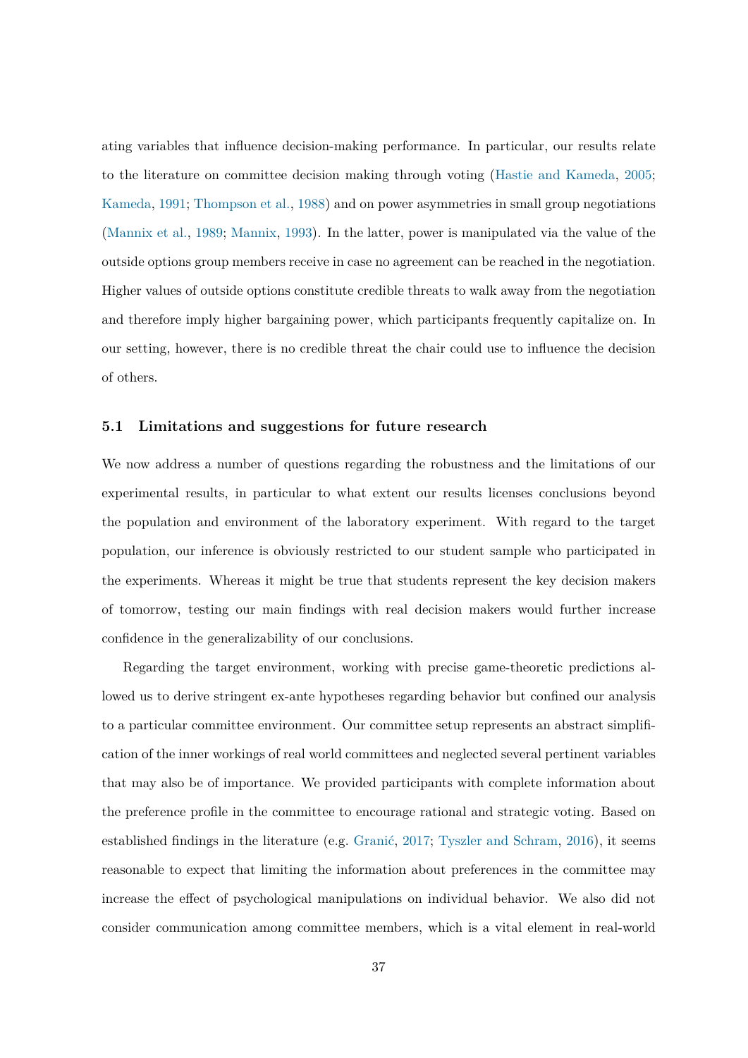ating variables that influence decision-making performance. In particular, our results relate to the literature on committee decision making through voting [\(Hastie and Kameda,](#page-43-3) [2005;](#page-43-3) [Kameda,](#page-43-4) [1991;](#page-43-4) [Thompson et al.,](#page-45-5) [1988\)](#page-45-5) and on power asymmetries in small group negotiations [\(Mannix et al.,](#page-44-4) [1989;](#page-44-4) [Mannix,](#page-44-5) [1993\)](#page-44-5). In the latter, power is manipulated via the value of the outside options group members receive in case no agreement can be reached in the negotiation. Higher values of outside options constitute credible threats to walk away from the negotiation and therefore imply higher bargaining power, which participants frequently capitalize on. In our setting, however, there is no credible threat the chair could use to influence the decision of others.

### **5.1 Limitations and suggestions for future research**

We now address a number of questions regarding the robustness and the limitations of our experimental results, in particular to what extent our results licenses conclusions beyond the population and environment of the laboratory experiment. With regard to the target population, our inference is obviously restricted to our student sample who participated in the experiments. Whereas it might be true that students represent the key decision makers of tomorrow, testing our main findings with real decision makers would further increase confidence in the generalizability of our conclusions.

Regarding the target environment, working with precise game-theoretic predictions allowed us to derive stringent ex-ante hypotheses regarding behavior but confined our analysis to a particular committee environment. Our committee setup represents an abstract simplification of the inner workings of real world committees and neglected several pertinent variables that may also be of importance. We provided participants with complete information about the preference profile in the committee to encourage rational and strategic voting. Based on established findings in the literature (e.g. [Granić,](#page-43-14) [2017;](#page-43-14) [Tyszler and Schram,](#page-45-11) [2016\)](#page-45-11), it seems reasonable to expect that limiting the information about preferences in the committee may increase the effect of psychological manipulations on individual behavior. We also did not consider communication among committee members, which is a vital element in real-world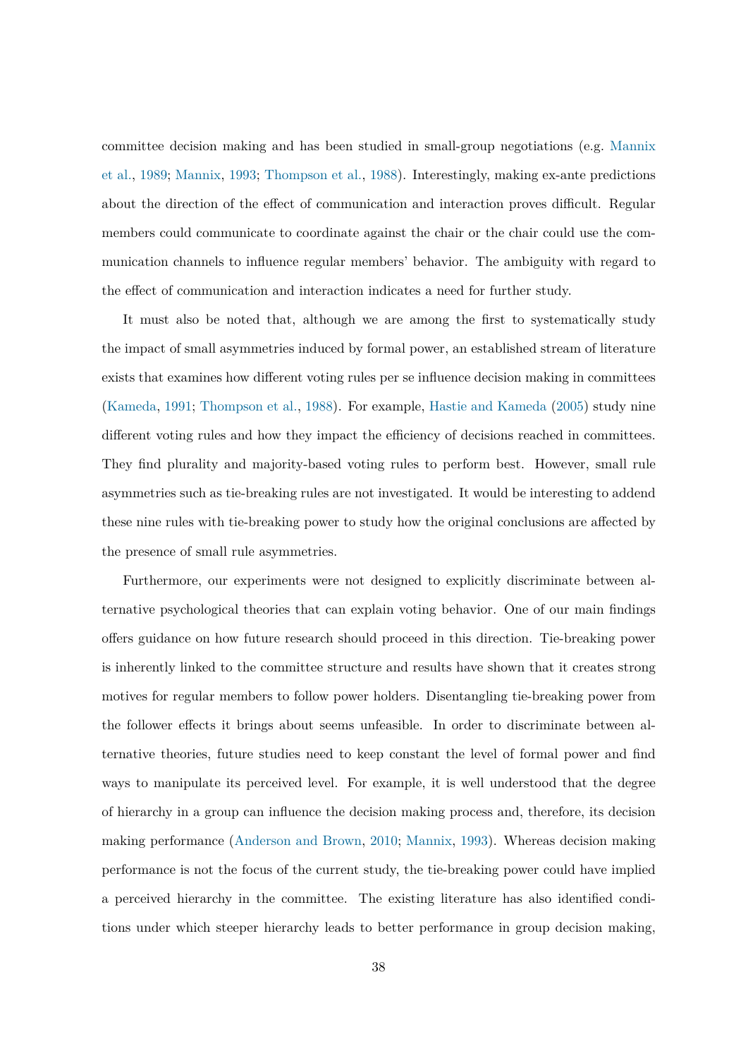committee decision making and has been studied in small-group negotiations (e.g. [Mannix](#page-44-4) [et al.,](#page-44-4) [1989;](#page-44-4) [Mannix,](#page-44-5) [1993;](#page-44-5) [Thompson et al.,](#page-45-5) [1988\)](#page-45-5). Interestingly, making ex-ante predictions about the direction of the effect of communication and interaction proves difficult. Regular members could communicate to coordinate against the chair or the chair could use the communication channels to influence regular members' behavior. The ambiguity with regard to the effect of communication and interaction indicates a need for further study.

It must also be noted that, although we are among the first to systematically study the impact of small asymmetries induced by formal power, an established stream of literature exists that examines how different voting rules per se influence decision making in committees [\(Kameda,](#page-43-4) [1991;](#page-43-4) [Thompson et al.,](#page-45-5) [1988\)](#page-45-5). For example, [Hastie and Kameda](#page-43-3) [\(2005\)](#page-43-3) study nine different voting rules and how they impact the efficiency of decisions reached in committees. They find plurality and majority-based voting rules to perform best. However, small rule asymmetries such as tie-breaking rules are not investigated. It would be interesting to addend these nine rules with tie-breaking power to study how the original conclusions are affected by the presence of small rule asymmetries.

Furthermore, our experiments were not designed to explicitly discriminate between alternative psychological theories that can explain voting behavior. One of our main findings offers guidance on how future research should proceed in this direction. Tie-breaking power is inherently linked to the committee structure and results have shown that it creates strong motives for regular members to follow power holders. Disentangling tie-breaking power from the follower effects it brings about seems unfeasible. In order to discriminate between alternative theories, future studies need to keep constant the level of formal power and find ways to manipulate its perceived level. For example, it is well understood that the degree of hierarchy in a group can influence the decision making process and, therefore, its decision making performance [\(Anderson and Brown,](#page-41-13) [2010;](#page-41-13) [Mannix,](#page-44-5) [1993\)](#page-44-5). Whereas decision making performance is not the focus of the current study, the tie-breaking power could have implied a perceived hierarchy in the committee. The existing literature has also identified conditions under which steeper hierarchy leads to better performance in group decision making,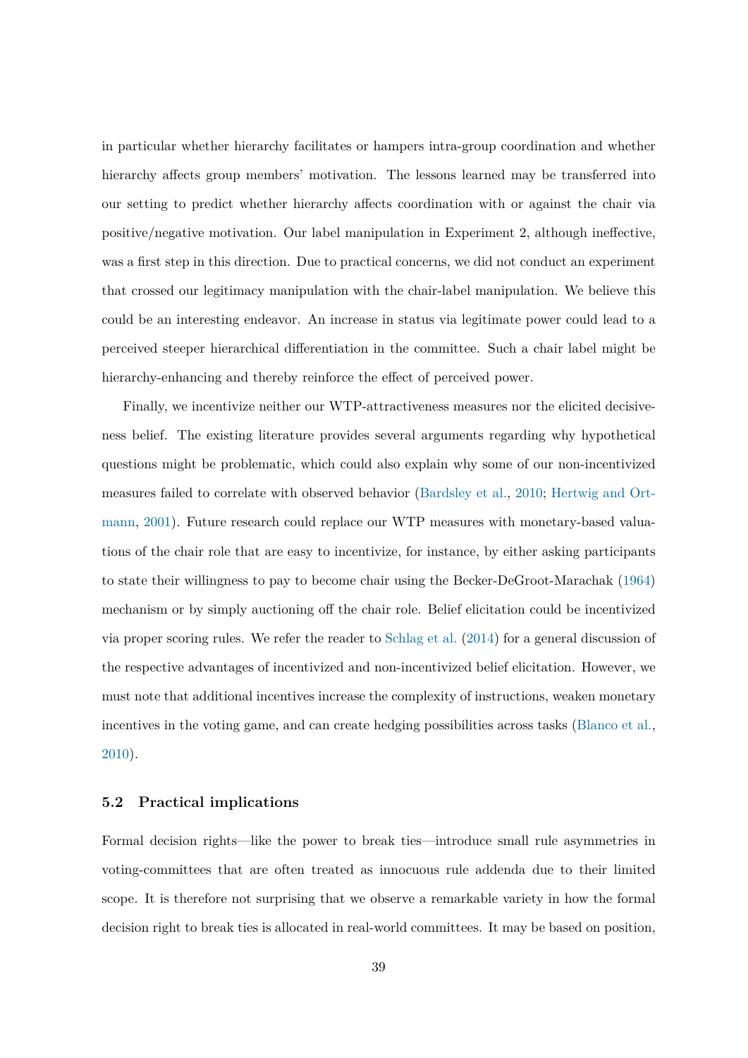in particular whether hierarchy facilitates or hampers intra-group coordination and whether hierarchy affects group members' motivation. The lessons learned may be transferred into our setting to predict whether hierarchy affects coordination with or against the chair via positive/negative motivation. Our label manipulation in Experiment 2, although ineffective, was a first step in this direction. Due to practical concerns, we did not conduct an experiment that crossed our legitimacy manipulation with the chair-label manipulation. We believe this could be an interesting endeavor. An increase in status via legitimate power could lead to a perceived steeper hierarchical differentiation in the committee. Such a chair label might be hierarchy-enhancing and thereby reinforce the effect of perceived power.

Finally, we incentivize neither our WTP-attractiveness measures nor the elicited decisiveness belief. The existing literature provides several arguments regarding why hypothetical questions might be problematic, which could also explain why some of our non-incentivized measures failed to correlate with observed behavior [\(Bardsley et al.,](#page-41-14) [2010;](#page-41-14) [Hertwig and Ort](#page-43-15)[mann,](#page-43-15) [2001\)](#page-43-15). Future research could replace our WTP measures with monetary-based valuations of the chair role that are easy to incentivize, for instance, by either asking participants to state their willingness to pay to become chair using the Becker-DeGroot-Marachak [\(1964\)](#page-41-15) mechanism or by simply auctioning off the chair role. Belief elicitation could be incentivized via proper scoring rules. We refer the reader to [Schlag et al.](#page-45-12) [\(2014\)](#page-45-12) for a general discussion of the respective advantages of incentivized and non-incentivized belief elicitation. However, we must note that additional incentives increase the complexity of instructions, weaken monetary incentives in the voting game, and can create hedging possibilities across tasks [\(Blanco et al.,](#page-42-13) [2010\)](#page-42-13).

### **5.2 Practical implications**

Formal decision rights—like the power to break ties—introduce small rule asymmetries in voting-committees that are often treated as innocuous rule addenda due to their limited scope. It is therefore not surprising that we observe a remarkable variety in how the formal decision right to break ties is allocated in real-world committees. It may be based on position,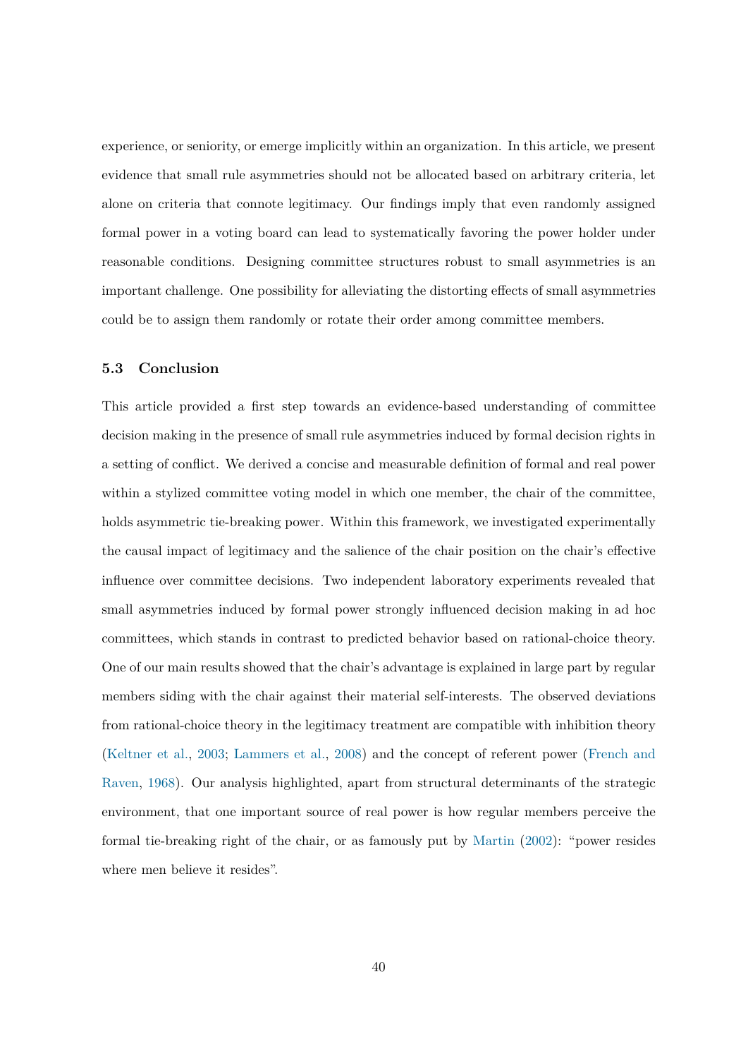experience, or seniority, or emerge implicitly within an organization. In this article, we present evidence that small rule asymmetries should not be allocated based on arbitrary criteria, let alone on criteria that connote legitimacy. Our findings imply that even randomly assigned formal power in a voting board can lead to systematically favoring the power holder under reasonable conditions. Designing committee structures robust to small asymmetries is an important challenge. One possibility for alleviating the distorting effects of small asymmetries could be to assign them randomly or rotate their order among committee members.

### **5.3 Conclusion**

This article provided a first step towards an evidence-based understanding of committee decision making in the presence of small rule asymmetries induced by formal decision rights in a setting of conflict. We derived a concise and measurable definition of formal and real power within a stylized committee voting model in which one member, the chair of the committee, holds asymmetric tie-breaking power. Within this framework, we investigated experimentally the causal impact of legitimacy and the salience of the chair position on the chair's effective influence over committee decisions. Two independent laboratory experiments revealed that small asymmetries induced by formal power strongly influenced decision making in ad hoc committees, which stands in contrast to predicted behavior based on rational-choice theory. One of our main results showed that the chair's advantage is explained in large part by regular members siding with the chair against their material self-interests. The observed deviations from rational-choice theory in the legitimacy treatment are compatible with inhibition theory [\(Keltner et al.,](#page-44-2) [2003;](#page-44-2) [Lammers et al.,](#page-44-3) [2008\)](#page-44-3) and the concept of referent power [\(French and](#page-43-1) [Raven,](#page-43-1) [1968\)](#page-43-1). Our analysis highlighted, apart from structural determinants of the strategic environment, that one important source of real power is how regular members perceive the formal tie-breaking right of the chair, or as famously put by [Martin](#page-44-16) [\(2002\)](#page-44-16): "power resides where men believe it resides".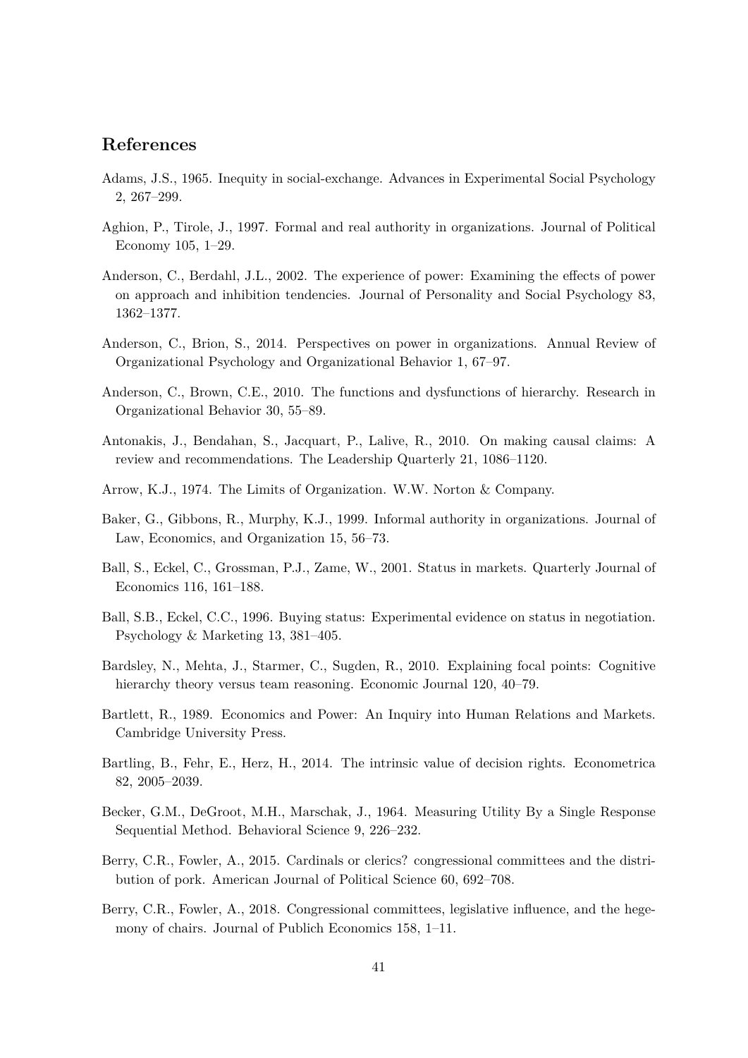# **References**

- <span id="page-41-10"></span>Adams, J.S., 1965. Inequity in social-exchange. Advances in Experimental Social Psychology 2, 267–299.
- <span id="page-41-6"></span>Aghion, P., Tirole, J., 1997. Formal and real authority in organizations. Journal of Political Economy 105, 1–29.
- <span id="page-41-9"></span>Anderson, C., Berdahl, J.L., 2002. The experience of power: Examining the effects of power on approach and inhibition tendencies. Journal of Personality and Social Psychology 83, 1362–1377.
- <span id="page-41-0"></span>Anderson, C., Brion, S., 2014. Perspectives on power in organizations. Annual Review of Organizational Psychology and Organizational Behavior 1, 67–97.
- <span id="page-41-13"></span>Anderson, C., Brown, C.E., 2010. The functions and dysfunctions of hierarchy. Research in Organizational Behavior 30, 55–89.
- <span id="page-41-3"></span>Antonakis, J., Bendahan, S., Jacquart, P., Lalive, R., 2010. On making causal claims: A review and recommendations. The Leadership Quarterly 21, 1086–1120.
- <span id="page-41-1"></span>Arrow, K.J., 1974. The Limits of Organization. W.W. Norton & Company.
- <span id="page-41-8"></span>Baker, G., Gibbons, R., Murphy, K.J., 1999. Informal authority in organizations. Journal of Law, Economics, and Organization 15, 56–73.
- <span id="page-41-12"></span>Ball, S., Eckel, C., Grossman, P.J., Zame, W., 2001. Status in markets. Quarterly Journal of Economics 116, 161–188.
- <span id="page-41-11"></span>Ball, S.B., Eckel, C.C., 1996. Buying status: Experimental evidence on status in negotiation. Psychology & Marketing 13, 381–405.
- <span id="page-41-14"></span>Bardsley, N., Mehta, J., Starmer, C., Sugden, R., 2010. Explaining focal points: Cognitive hierarchy theory versus team reasoning. Economic Journal 120, 40–79.
- <span id="page-41-7"></span>Bartlett, R., 1989. Economics and Power: An Inquiry into Human Relations and Markets. Cambridge University Press.
- <span id="page-41-2"></span>Bartling, B., Fehr, E., Herz, H., 2014. The intrinsic value of decision rights. Econometrica 82, 2005–2039.
- <span id="page-41-15"></span>Becker, G.M., DeGroot, M.H., Marschak, J., 1964. Measuring Utility By a Single Response Sequential Method. Behavioral Science 9, 226–232.
- <span id="page-41-4"></span>Berry, C.R., Fowler, A., 2015. Cardinals or clerics? congressional committees and the distribution of pork. American Journal of Political Science 60, 692–708.
- <span id="page-41-5"></span>Berry, C.R., Fowler, A., 2018. Congressional committees, legislative influence, and the hegemony of chairs. Journal of Publich Economics 158, 1–11.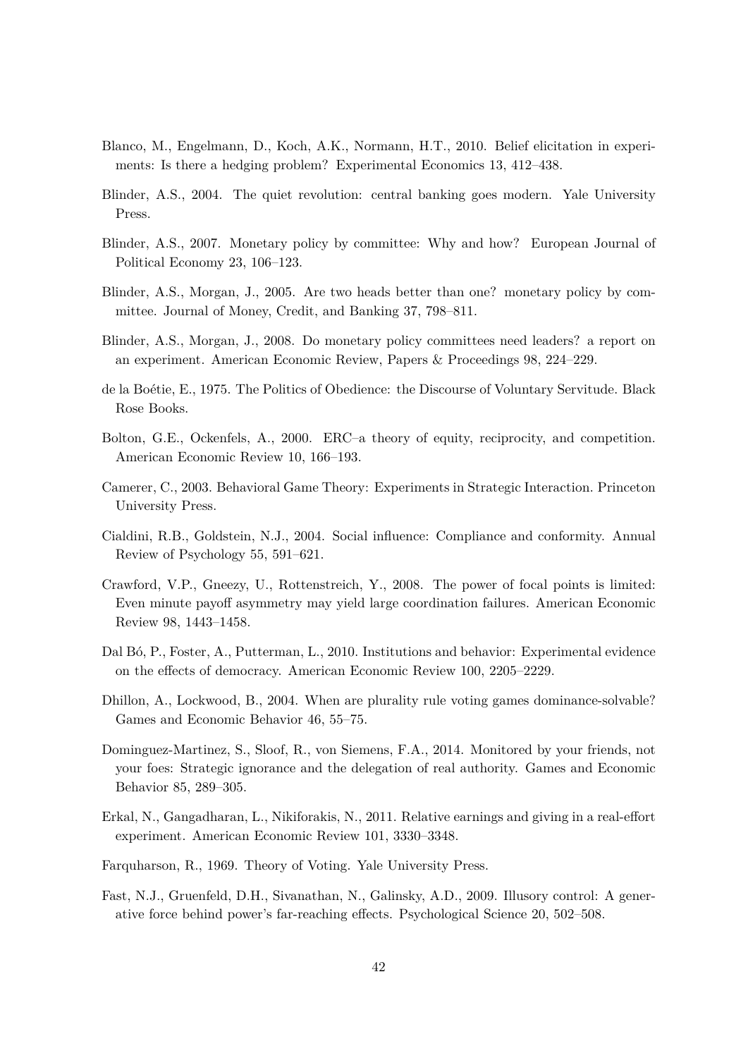- <span id="page-42-13"></span>Blanco, M., Engelmann, D., Koch, A.K., Normann, H.T., 2010. Belief elicitation in experiments: Is there a hedging problem? Experimental Economics 13, 412–438.
- <span id="page-42-0"></span>Blinder, A.S., 2004. The quiet revolution: central banking goes modern. Yale University Press.
- <span id="page-42-1"></span>Blinder, A.S., 2007. Monetary policy by committee: Why and how? European Journal of Political Economy 23, 106–123.
- <span id="page-42-5"></span>Blinder, A.S., Morgan, J., 2005. Are two heads better than one? monetary policy by committee. Journal of Money, Credit, and Banking 37, 798–811.
- <span id="page-42-6"></span>Blinder, A.S., Morgan, J., 2008. Do monetary policy committees need leaders? a report on an experiment. American Economic Review, Papers & Proceedings 98, 224–229.
- <span id="page-42-3"></span>de la Boétie, E., 1975. The Politics of Obedience: the Discourse of Voluntary Servitude. Black Rose Books.
- <span id="page-42-11"></span>Bolton, G.E., Ockenfels, A., 2000. ERC–a theory of equity, reciprocity, and competition. American Economic Review 10, 166–193.
- <span id="page-42-8"></span>Camerer, C., 2003. Behavioral Game Theory: Experiments in Strategic Interaction. Princeton University Press.
- <span id="page-42-4"></span>Cialdini, R.B., Goldstein, N.J., 2004. Social influence: Compliance and conformity. Annual Review of Psychology 55, 591–621.
- <span id="page-42-12"></span>Crawford, V.P., Gneezy, U., Rottenstreich, Y., 2008. The power of focal points is limited: Even minute payoff asymmetry may yield large coordination failures. American Economic Review 98, 1443–1458.
- <span id="page-42-14"></span>Dal Bó, P., Foster, A., Putterman, L., 2010. Institutions and behavior: Experimental evidence on the effects of democracy. American Economic Review 100, 2205–2229.
- <span id="page-42-9"></span>Dhillon, A., Lockwood, B., 2004. When are plurality rule voting games dominance-solvable? Games and Economic Behavior 46, 55–75.
- <span id="page-42-7"></span>Dominguez-Martinez, S., Sloof, R., von Siemens, F.A., 2014. Monitored by your friends, not your foes: Strategic ignorance and the delegation of real authority. Games and Economic Behavior 85, 289–305.
- <span id="page-42-10"></span>Erkal, N., Gangadharan, L., Nikiforakis, N., 2011. Relative earnings and giving in a real-effort experiment. American Economic Review 101, 3330–3348.
- <span id="page-42-2"></span>Farquharson, R., 1969. Theory of Voting. Yale University Press.
- <span id="page-42-15"></span>Fast, N.J., Gruenfeld, D.H., Sivanathan, N., Galinsky, A.D., 2009. Illusory control: A generative force behind power's far-reaching effects. Psychological Science 20, 502–508.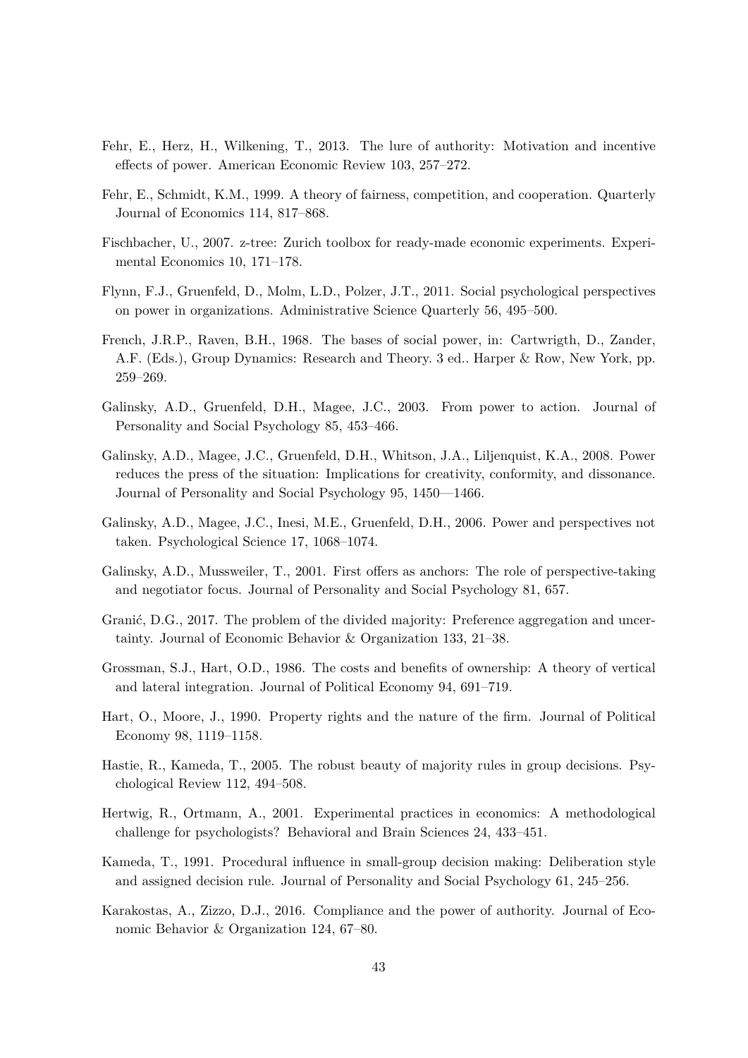- <span id="page-43-2"></span>Fehr, E., Herz, H., Wilkening, T., 2013. The lure of authority: Motivation and incentive effects of power. American Economic Review 103, 257–272.
- <span id="page-43-10"></span>Fehr, E., Schmidt, K.M., 1999. A theory of fairness, competition, and cooperation. Quarterly Journal of Economics 114, 817–868.
- <span id="page-43-11"></span>Fischbacher, U., 2007. z-tree: Zurich toolbox for ready-made economic experiments. Experimental Economics 10, 171–178.
- <span id="page-43-0"></span>Flynn, F.J., Gruenfeld, D., Molm, L.D., Polzer, J.T., 2011. Social psychological perspectives on power in organizations. Administrative Science Quarterly 56, 495–500.
- <span id="page-43-1"></span>French, J.R.P., Raven, B.H., 1968. The bases of social power, in: Cartwrigth, D., Zander, A.F. (Eds.), Group Dynamics: Research and Theory. 3 ed.. Harper & Row, New York, pp. 259–269.
- <span id="page-43-8"></span>Galinsky, A.D., Gruenfeld, D.H., Magee, J.C., 2003. From power to action. Journal of Personality and Social Psychology 85, 453–466.
- <span id="page-43-13"></span>Galinsky, A.D., Magee, J.C., Gruenfeld, D.H., Whitson, J.A., Liljenquist, K.A., 2008. Power reduces the press of the situation: Implications for creativity, conformity, and dissonance. Journal of Personality and Social Psychology 95, 1450—1466.
- <span id="page-43-12"></span>Galinsky, A.D., Magee, J.C., Inesi, M.E., Gruenfeld, D.H., 2006. Power and perspectives not taken. Psychological Science 17, 1068–1074.
- <span id="page-43-7"></span>Galinsky, A.D., Mussweiler, T., 2001. First offers as anchors: The role of perspective-taking and negotiator focus. Journal of Personality and Social Psychology 81, 657.
- <span id="page-43-14"></span>Granić, D.G., 2017. The problem of the divided majority: Preference aggregation and uncertainty. Journal of Economic Behavior & Organization 133, 21–38.
- <span id="page-43-5"></span>Grossman, S.J., Hart, O.D., 1986. The costs and benefits of ownership: A theory of vertical and lateral integration. Journal of Political Economy 94, 691–719.
- <span id="page-43-6"></span>Hart, O., Moore, J., 1990. Property rights and the nature of the firm. Journal of Political Economy 98, 1119–1158.
- <span id="page-43-3"></span>Hastie, R., Kameda, T., 2005. The robust beauty of majority rules in group decisions. Psychological Review 112, 494–508.
- <span id="page-43-15"></span>Hertwig, R., Ortmann, A., 2001. Experimental practices in economics: A methodological challenge for psychologists? Behavioral and Brain Sciences 24, 433–451.
- <span id="page-43-4"></span>Kameda, T., 1991. Procedural influence in small-group decision making: Deliberation style and assigned decision rule. Journal of Personality and Social Psychology 61, 245–256.
- <span id="page-43-9"></span>Karakostas, A., Zizzo, D.J., 2016. Compliance and the power of authority. Journal of Economic Behavior & Organization 124, 67–80.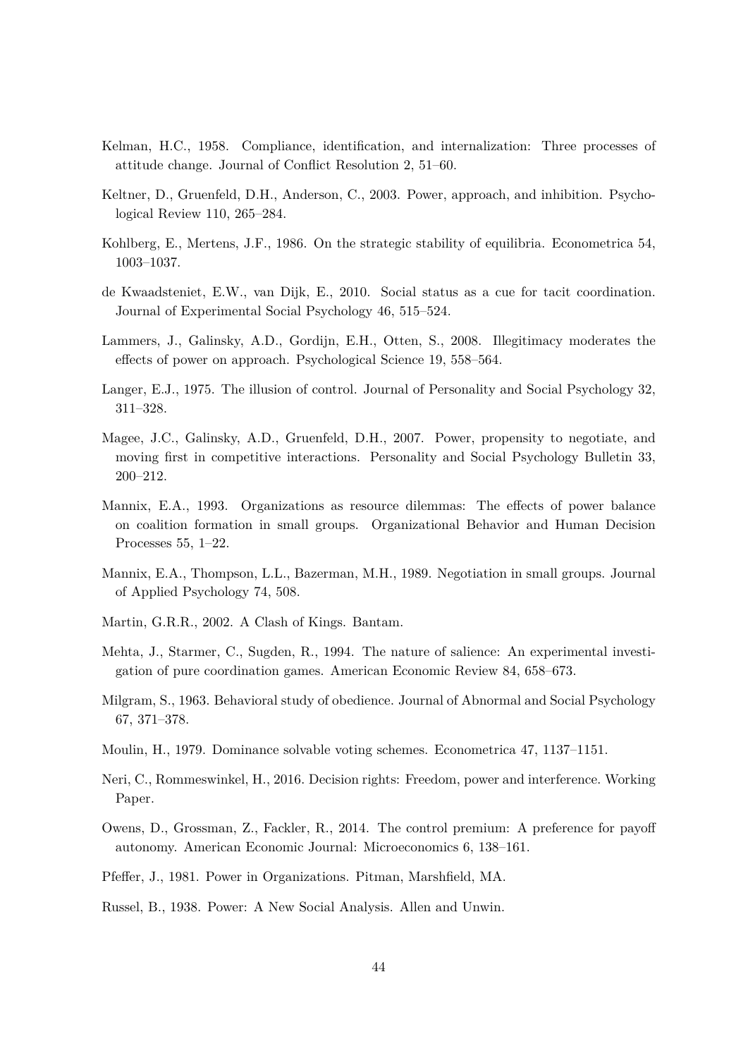- <span id="page-44-0"></span>Kelman, H.C., 1958. Compliance, identification, and internalization: Three processes of attitude change. Journal of Conflict Resolution 2, 51–60.
- <span id="page-44-2"></span>Keltner, D., Gruenfeld, D.H., Anderson, C., 2003. Power, approach, and inhibition. Psychological Review 110, 265–284.
- <span id="page-44-10"></span>Kohlberg, E., Mertens, J.F., 1986. On the strategic stability of equilibria. Econometrica 54, 1003–1037.
- <span id="page-44-12"></span>de Kwaadsteniet, E.W., van Dijk, E., 2010. Social status as a cue for tacit coordination. Journal of Experimental Social Psychology 46, 515–524.
- <span id="page-44-3"></span>Lammers, J., Galinsky, A.D., Gordijn, E.H., Otten, S., 2008. Illegitimacy moderates the effects of power on approach. Psychological Science 19, 558–564.
- <span id="page-44-15"></span>Langer, E.J., 1975. The illusion of control. Journal of Personality and Social Psychology 32, 311–328.
- <span id="page-44-8"></span>Magee, J.C., Galinsky, A.D., Gruenfeld, D.H., 2007. Power, propensity to negotiate, and moving first in competitive interactions. Personality and Social Psychology Bulletin 33, 200–212.
- <span id="page-44-5"></span>Mannix, E.A., 1993. Organizations as resource dilemmas: The effects of power balance on coalition formation in small groups. Organizational Behavior and Human Decision Processes 55, 1–22.
- <span id="page-44-4"></span>Mannix, E.A., Thompson, L.L., Bazerman, M.H., 1989. Negotiation in small groups. Journal of Applied Psychology 74, 508.
- <span id="page-44-16"></span>Martin, G.R.R., 2002. A Clash of Kings. Bantam.
- <span id="page-44-11"></span>Mehta, J., Starmer, C., Sugden, R., 1994. The nature of salience: An experimental investigation of pure coordination games. American Economic Review 84, 658–673.
- <span id="page-44-1"></span>Milgram, S., 1963. Behavioral study of obedience. Journal of Abnormal and Social Psychology 67, 371–378.
- <span id="page-44-9"></span>Moulin, H., 1979. Dominance solvable voting schemes. Econometrica 47, 1137–1151.
- <span id="page-44-14"></span>Neri, C., Rommeswinkel, H., 2016. Decision rights: Freedom, power and interference. Working Paper.
- <span id="page-44-13"></span>Owens, D., Grossman, Z., Fackler, R., 2014. The control premium: A preference for payoff autonomy. American Economic Journal: Microeconomics 6, 138–161.
- <span id="page-44-6"></span>Pfeffer, J., 1981. Power in Organizations. Pitman, Marshfield, MA.
- <span id="page-44-7"></span>Russel, B., 1938. Power: A New Social Analysis. Allen and Unwin.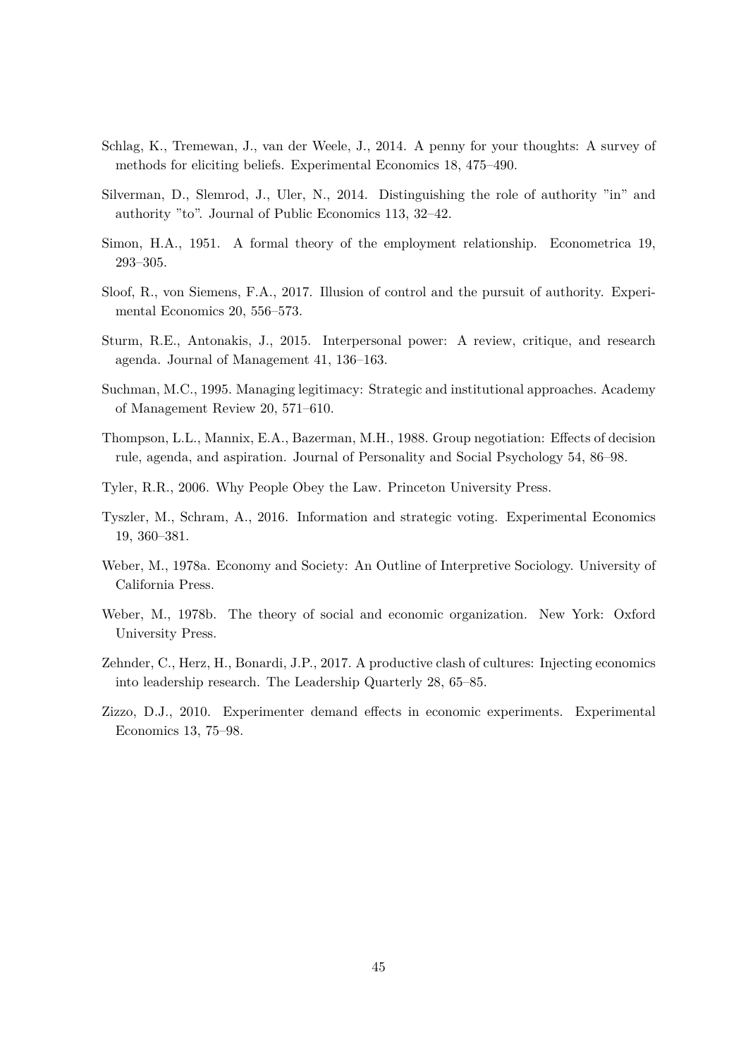- <span id="page-45-12"></span>Schlag, K., Tremewan, J., van der Weele, J., 2014. A penny for your thoughts: A survey of methods for eliciting beliefs. Experimental Economics 18, 475–490.
- <span id="page-45-2"></span>Silverman, D., Slemrod, J., Uler, N., 2014. Distinguishing the role of authority "in" and authority "to". Journal of Public Economics 113, 32–42.
- <span id="page-45-0"></span>Simon, H.A., 1951. A formal theory of the employment relationship. Econometrica 19, 293–305.
- <span id="page-45-9"></span>Sloof, R., von Siemens, F.A., 2017. Illusion of control and the pursuit of authority. Experimental Economics 20, 556–573.
- <span id="page-45-1"></span>Sturm, R.E., Antonakis, J., 2015. Interpersonal power: A review, critique, and research agenda. Journal of Management 41, 136–163.
- <span id="page-45-3"></span>Suchman, M.C., 1995. Managing legitimacy: Strategic and institutional approaches. Academy of Management Review 20, 571–610.
- <span id="page-45-5"></span>Thompson, L.L., Mannix, E.A., Bazerman, M.H., 1988. Group negotiation: Effects of decision rule, agenda, and aspiration. Journal of Personality and Social Psychology 54, 86–98.
- <span id="page-45-4"></span>Tyler, R.R., 2006. Why People Obey the Law. Princeton University Press.
- <span id="page-45-11"></span>Tyszler, M., Schram, A., 2016. Information and strategic voting. Experimental Economics 19, 360–381.
- <span id="page-45-8"></span>Weber, M., 1978a. Economy and Society: An Outline of Interpretive Sociology. University of California Press.
- <span id="page-45-10"></span>Weber, M., 1978b. The theory of social and economic organization. New York: Oxford University Press.
- <span id="page-45-7"></span>Zehnder, C., Herz, H., Bonardi, J.P., 2017. A productive clash of cultures: Injecting economics into leadership research. The Leadership Quarterly 28, 65–85.
- <span id="page-45-6"></span>Zizzo, D.J., 2010. Experimenter demand effects in economic experiments. Experimental Economics 13, 75–98.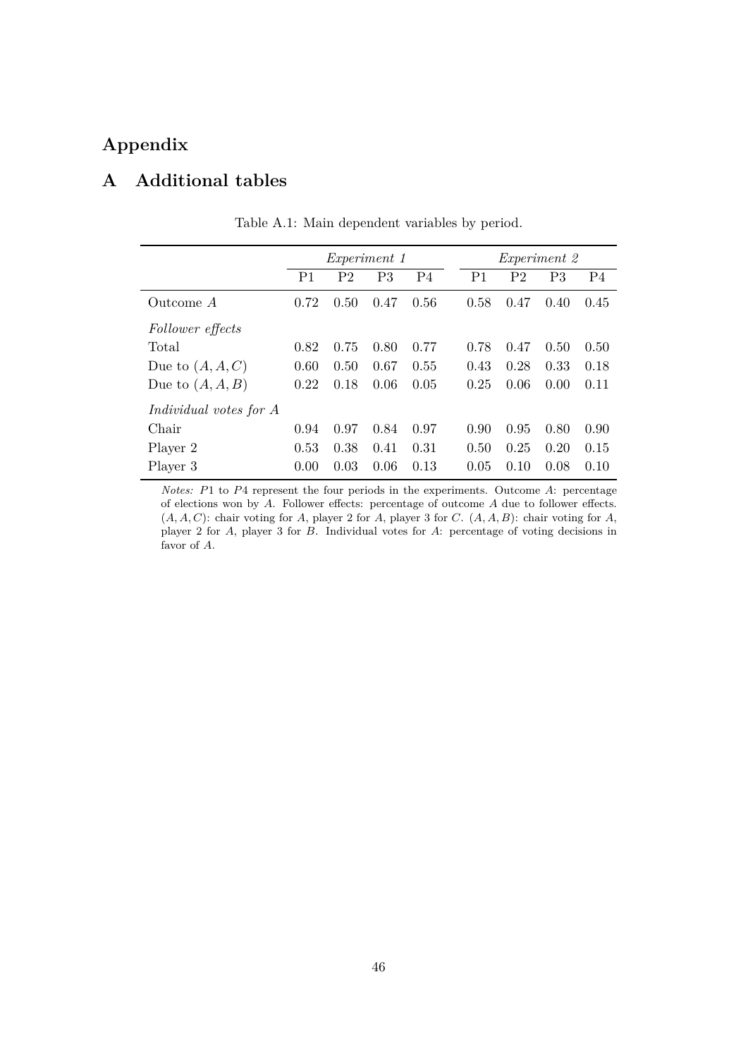# **Appendix**

# <span id="page-46-0"></span>**A Additional tables**

|                               |                |                | <i>Experiment 1</i> |                |                |                | <i>Experiment</i> 2 |                |
|-------------------------------|----------------|----------------|---------------------|----------------|----------------|----------------|---------------------|----------------|
|                               | P <sub>1</sub> | P <sub>2</sub> | P <sub>3</sub>      | P <sub>4</sub> | P <sub>1</sub> | P <sub>2</sub> | P <sub>3</sub>      | P <sub>4</sub> |
| Outcome A                     | 0.72           | 0.50           | 0.47                | 0.56           | 0.58           | 0.47           | 0.40                | 0.45           |
| Follower effects              |                |                |                     |                |                |                |                     |                |
| Total                         | 0.82           | 0.75           | 0.80                | 0.77           | 0.78           | 0.47           | 0.50                | 0.50           |
| Due to $(A, A, C)$            | 0.60           | 0.50           | 0.67                | 0.55           | 0.43           | 0.28           | 0.33                | 0.18           |
| Due to $(A, A, B)$            | 0.22           | 0.18           | 0.06                | 0.05           | 0.25           | 0.06           | 0.00                | 0.11           |
| <i>Individual votes for A</i> |                |                |                     |                |                |                |                     |                |
| Chair                         | 0.94           | 0.97           | 0.84                | 0.97           | 0.90           | 0.95           | 0.80                | 0.90           |
| Player 2                      | 0.53           | 0.38           | 0.41                | 0.31           | 0.50           | 0.25           | 0.20                | 0.15           |
| Player 3                      | 0.00           | 0.03           | 0.06                | 0.13           | 0.05           | 0.10           | 0.08                | 0.10           |

Table A.1: Main dependent variables by period.

*Notes:* P1 to P4 represent the four periods in the experiments. Outcome A: percentage of elections won by  $A$ . Follower effects: percentage of outcome  $A$  due to follower effects.  $(A, A, C)$ : chair voting for A, player 2 for A, player 3 for C.  $(A, A, B)$ : chair voting for A, player 2 for A, player 3 for B. Individual votes for A: percentage of voting decisions in favor of A.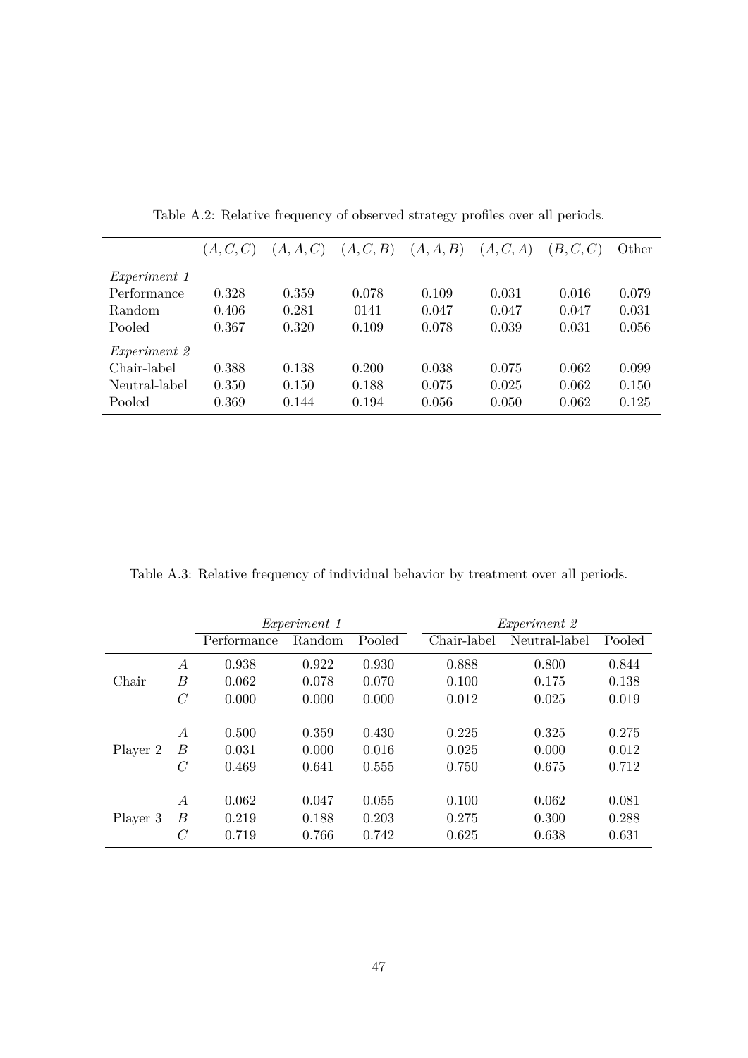<span id="page-47-0"></span>

|                     | (A, C, C) | (A, A, C) | (A, C, B) | (A, A, B) | (A, C, A) | (B, C, C) | Other |
|---------------------|-----------|-----------|-----------|-----------|-----------|-----------|-------|
| <i>Experiment 1</i> |           |           |           |           |           |           |       |
| Performance         | 0.328     | 0.359     | 0.078     | 0.109     | 0.031     | 0.016     | 0.079 |
| Random              | 0.406     | 0.281     | 0141      | 0.047     | 0.047     | 0.047     | 0.031 |
| Pooled              | 0.367     | 0.320     | 0.109     | 0.078     | 0.039     | 0.031     | 0.056 |
| <i>Experiment</i> 2 |           |           |           |           |           |           |       |
| Chair-label         | 0.388     | 0.138     | 0.200     | 0.038     | 0.075     | 0.062     | 0.099 |
| Neutral-label       | 0.350     | 0.150     | 0.188     | 0.075     | 0.025     | 0.062     | 0.150 |
| Pooled              | 0.369     | 0.144     | 0.194     | 0.056     | 0.050     | 0.062     | 0.125 |

Table A.2: Relative frequency of observed strategy profiles over all periods.

<span id="page-47-1"></span>Table A.3: Relative frequency of individual behavior by treatment over all periods.

|          |                          |                         | <i>Experiment 1</i>     |                         |                         | <i>Experiment</i> 2     |                         |
|----------|--------------------------|-------------------------|-------------------------|-------------------------|-------------------------|-------------------------|-------------------------|
|          |                          | Performance             | Random                  | Pooled                  | Chair-label             | Neutral-label           | Pooled                  |
|          | $\overline{A}$           | 0.938                   | 0.922                   | 0.930                   | 0.888                   | 0.800                   | 0.844                   |
| Chair    | B                        | 0.062                   | 0.078                   | 0.070                   | 0.100                   | 0.175                   | 0.138                   |
|          | $\mathcal C$             | 0.000                   | 0.000                   | 0.000                   | 0.012                   | 0.025                   | 0.019                   |
| Player 2 | $\overline{A}$<br>B<br>C | 0.500<br>0.031<br>0.469 | 0.359<br>0.000<br>0.641 | 0.430<br>0.016<br>0.555 | 0.225<br>0.025<br>0.750 | 0.325<br>0.000<br>0.675 | 0.275<br>0.012<br>0.712 |
| Player 3 | $\overline{A}$<br>B<br>C | 0.062<br>0.219<br>0.719 | 0.047<br>0.188<br>0.766 | 0.055<br>0.203<br>0.742 | 0.100<br>0.275<br>0.625 | 0.062<br>0.300<br>0.638 | 0.081<br>0.288<br>0.631 |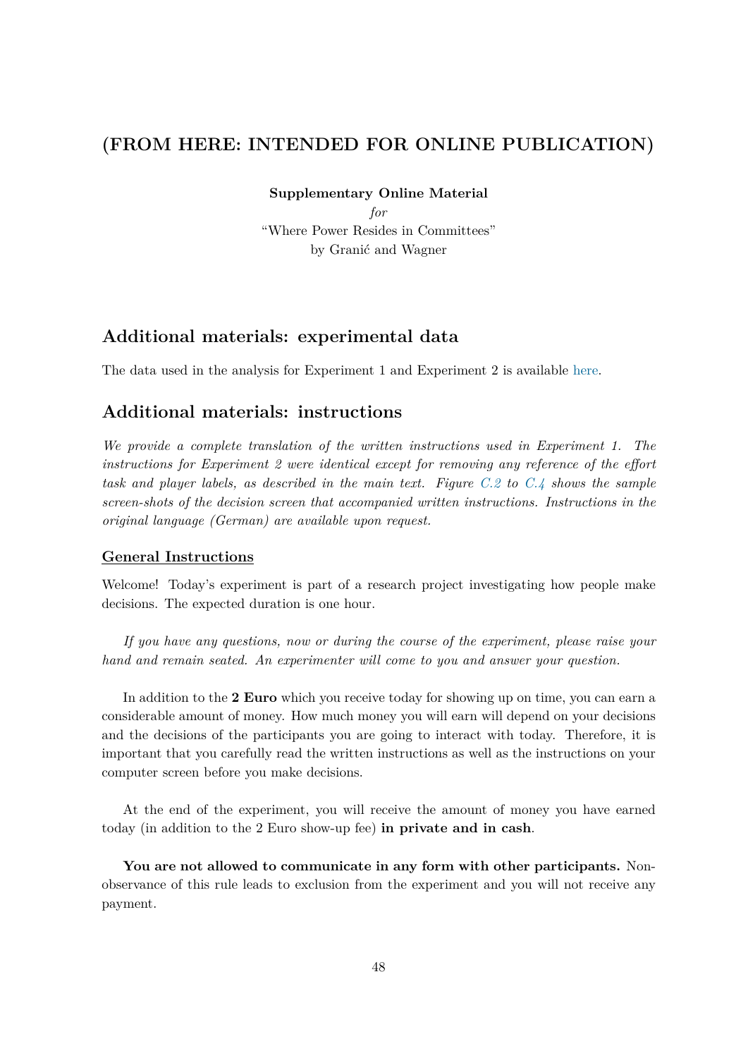# **(FROM HERE: INTENDED FOR ONLINE PUBLICATION)**

**Supplementary Online Material**

*for* "Where Power Resides in Committees" by Granić and Wagner

# **Additional materials: experimental data**

The data used in the analysis for Experiment 1 and Experiment 2 is available [here.](https://www.researchgate.net/publication/331014461_Where_Power_Resides_in_Committees_-_Data_Files_and_Code-book)

## <span id="page-48-0"></span>**Additional materials: instructions**

*We provide a complete translation of the written instructions used in Experiment 1. The instructions for Experiment 2 were identical except for removing any reference of the effort task and player labels, as described in the main text. Figure [C.2](#page-56-0) to [C.4](#page-57-0) shows the sample screen-shots of the decision screen that accompanied written instructions. Instructions in the original language (German) are available upon request.*

### **General Instructions**

Welcome! Today's experiment is part of a research project investigating how people make decisions. The expected duration is one hour.

*If you have any questions, now or during the course of the experiment, please raise your hand and remain seated. An experimenter will come to you and answer your question.*

In addition to the **2 Euro** which you receive today for showing up on time, you can earn a considerable amount of money. How much money you will earn will depend on your decisions and the decisions of the participants you are going to interact with today. Therefore, it is important that you carefully read the written instructions as well as the instructions on your computer screen before you make decisions.

At the end of the experiment, you will receive the amount of money you have earned today (in addition to the 2 Euro show-up fee) **in private and in cash**.

**You are not allowed to communicate in any form with other participants.** Nonobservance of this rule leads to exclusion from the experiment and you will not receive any payment.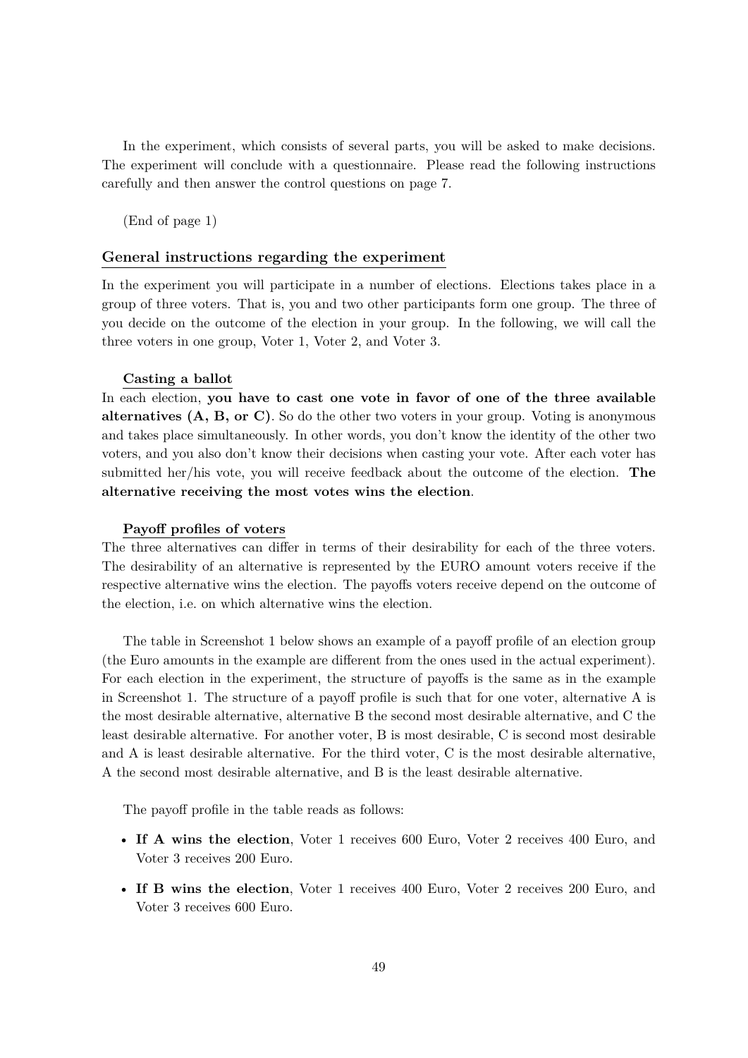In the experiment, which consists of several parts, you will be asked to make decisions. The experiment will conclude with a questionnaire. Please read the following instructions carefully and then answer the control questions on page 7.

(End of page 1)

#### **General instructions regarding the experiment**

In the experiment you will participate in a number of elections. Elections takes place in a group of three voters. That is, you and two other participants form one group. The three of you decide on the outcome of the election in your group. In the following, we will call the three voters in one group, Voter 1, Voter 2, and Voter 3.

#### **Casting a ballot**

In each election, **you have to cast one vote in favor of one of the three available alternatives (A, B, or C)**. So do the other two voters in your group. Voting is anonymous and takes place simultaneously. In other words, you don't know the identity of the other two voters, and you also don't know their decisions when casting your vote. After each voter has submitted her/his vote, you will receive feedback about the outcome of the election. **The alternative receiving the most votes wins the election**.

### **Payoff profiles of voters**

The three alternatives can differ in terms of their desirability for each of the three voters. The desirability of an alternative is represented by the EURO amount voters receive if the respective alternative wins the election. The payoffs voters receive depend on the outcome of the election, i.e. on which alternative wins the election.

The table in Screenshot 1 below shows an example of a payoff profile of an election group (the Euro amounts in the example are different from the ones used in the actual experiment). For each election in the experiment, the structure of payoffs is the same as in the example in Screenshot 1. The structure of a payoff profile is such that for one voter, alternative A is the most desirable alternative, alternative B the second most desirable alternative, and C the least desirable alternative. For another voter, B is most desirable, C is second most desirable and A is least desirable alternative. For the third voter, C is the most desirable alternative, A the second most desirable alternative, and B is the least desirable alternative.

The payoff profile in the table reads as follows:

- **If A wins the election**, Voter 1 receives 600 Euro, Voter 2 receives 400 Euro, and Voter 3 receives 200 Euro.
- **If B wins the election**, Voter 1 receives 400 Euro, Voter 2 receives 200 Euro, and Voter 3 receives 600 Euro.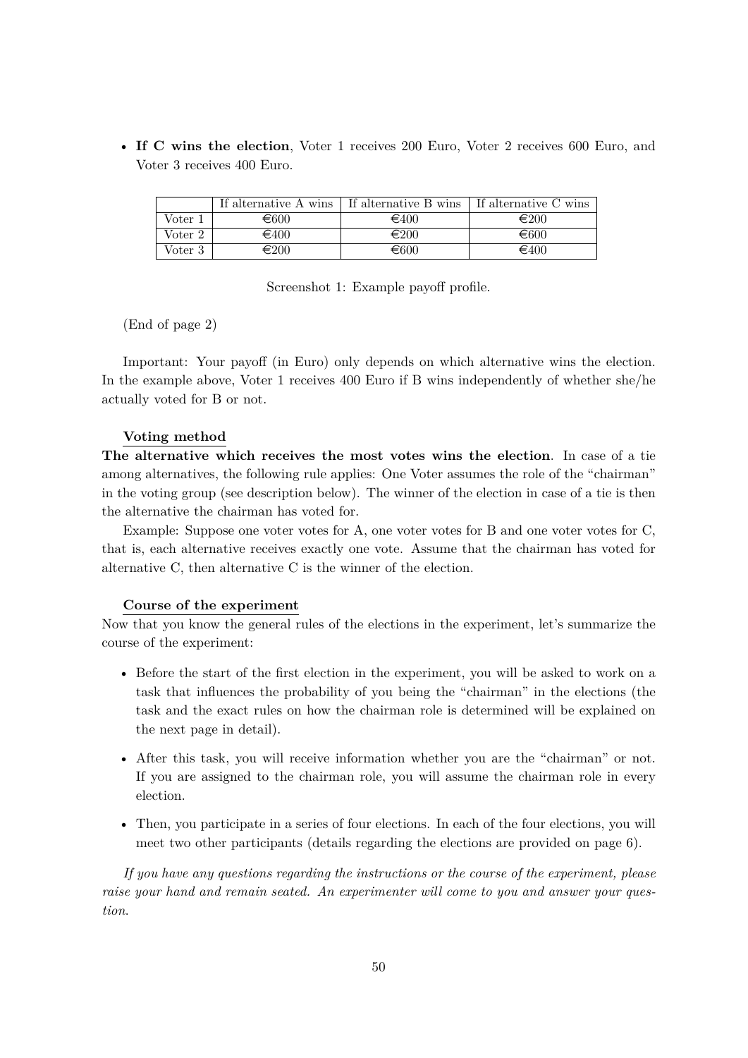• **If C wins the election**, Voter 1 receives 200 Euro, Voter 2 receives 600 Euro, and Voter 3 receives 400 Euro.

|         |                | If alternative A wins   If alternative B wins | If alternative C wins |
|---------|----------------|-----------------------------------------------|-----------------------|
| Voter 1 | €600           | $\epsilon$ 400                                | $\epsilon_{200}$      |
| Voter 2 | $\epsilon$ 400 | €200                                          | $\epsilon$ 600        |
| Voter 3 | €200           | €600                                          | $\epsilon$ 400        |

Screenshot 1: Example payoff profile.

(End of page 2)

Important: Your payoff (in Euro) only depends on which alternative wins the election. In the example above, Voter 1 receives 400 Euro if B wins independently of whether she/he actually voted for B or not.

#### **Voting method**

**The alternative which receives the most votes wins the election**. In case of a tie among alternatives, the following rule applies: One Voter assumes the role of the "chairman" in the voting group (see description below). The winner of the election in case of a tie is then the alternative the chairman has voted for.

Example: Suppose one voter votes for A, one voter votes for B and one voter votes for C, that is, each alternative receives exactly one vote. Assume that the chairman has voted for alternative C, then alternative C is the winner of the election.

#### **Course of the experiment**

Now that you know the general rules of the elections in the experiment, let's summarize the course of the experiment:

- Before the start of the first election in the experiment, you will be asked to work on a task that influences the probability of you being the "chairman" in the elections (the task and the exact rules on how the chairman role is determined will be explained on the next page in detail).
- After this task, you will receive information whether you are the "chairman" or not. If you are assigned to the chairman role, you will assume the chairman role in every election.
- Then, you participate in a series of four elections. In each of the four elections, you will meet two other participants (details regarding the elections are provided on page 6).

*If you have any questions regarding the instructions or the course of the experiment, please raise your hand and remain seated. An experimenter will come to you and answer your question*.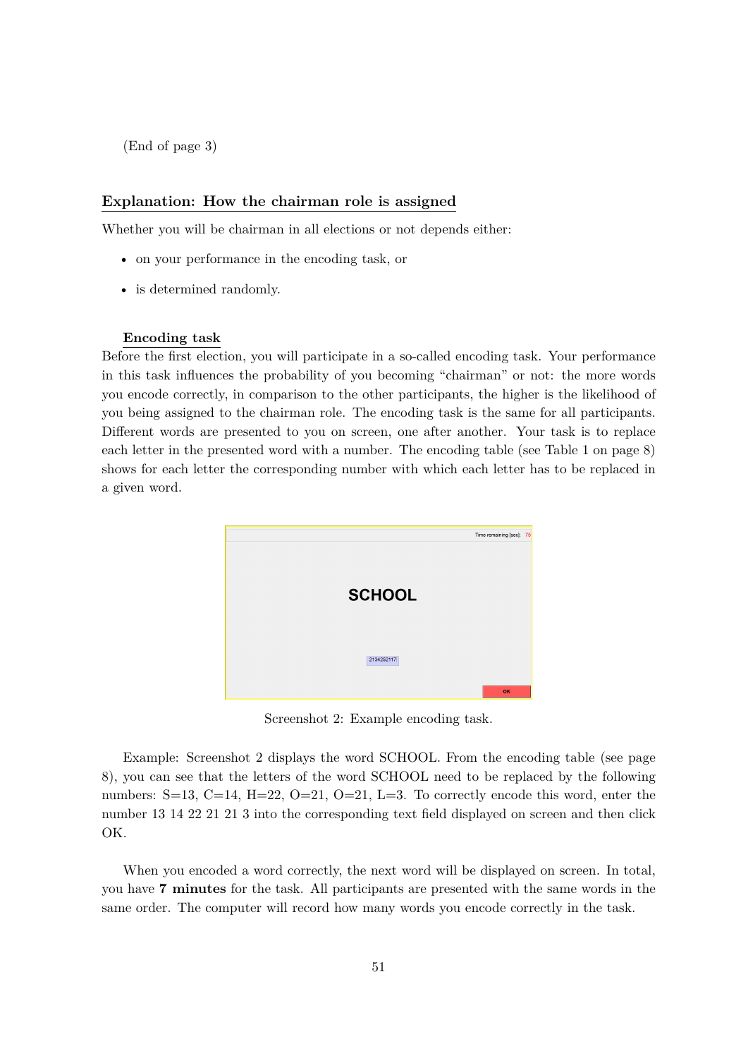(End of page 3)

### **Explanation: How the chairman role is assigned**

Whether you will be chairman in all elections or not depends either:

- on your performance in the encoding task, or
- is determined randomly.

#### **Encoding task**

Before the first election, you will participate in a so-called encoding task. Your performance in this task influences the probability of you becoming "chairman" or not: the more words you encode correctly, in comparison to the other participants, the higher is the likelihood of you being assigned to the chairman role. The encoding task is the same for all participants. Different words are presented to you on screen, one after another. Your task is to replace each letter in the presented word with a number. The encoding table (see Table 1 on page 8) shows for each letter the corresponding number with which each letter has to be replaced in a given word.



Screenshot 2: Example encoding task.

Example: Screenshot 2 displays the word SCHOOL. From the encoding table (see page 8), you can see that the letters of the word SCHOOL need to be replaced by the following numbers: S=13, C=14, H=22, O=21, O=21, L=3. To correctly encode this word, enter the number 13 14 22 21 21 3 into the corresponding text field displayed on screen and then click OK.

When you encoded a word correctly, the next word will be displayed on screen. In total, you have **7 minutes** for the task. All participants are presented with the same words in the same order. The computer will record how many words you encode correctly in the task.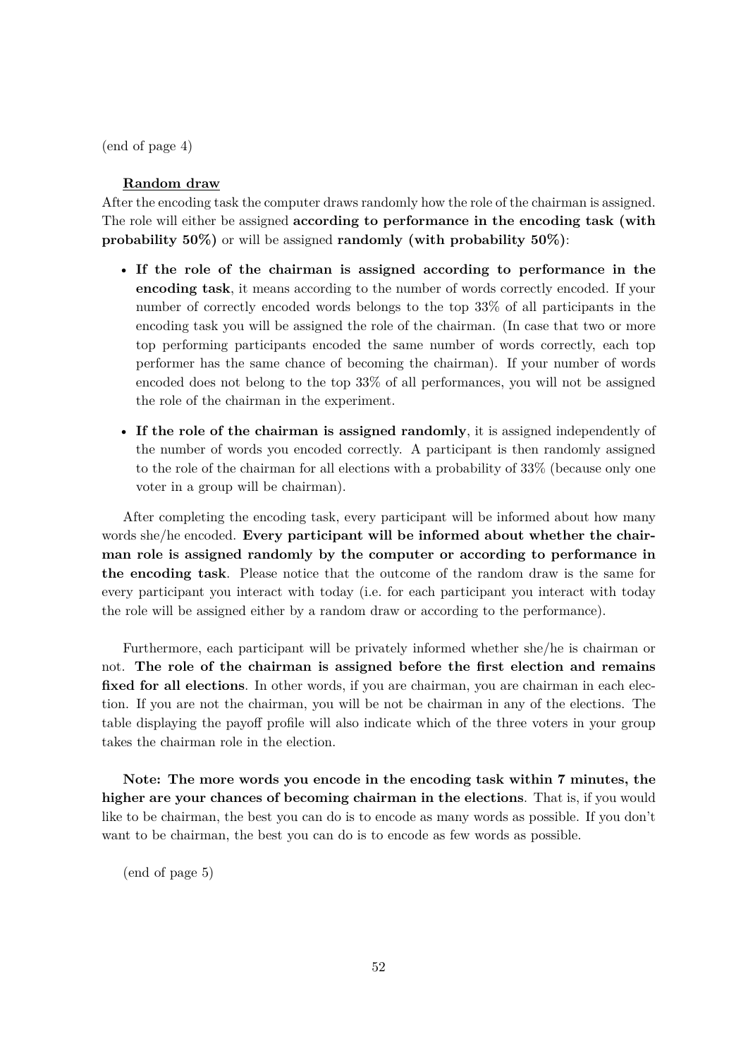(end of page 4)

### **Random draw**

After the encoding task the computer draws randomly how the role of the chairman is assigned. The role will either be assigned **according to performance in the encoding task (with probability 50%)** or will be assigned **randomly (with probability 50%)**:

- **If the role of the chairman is assigned according to performance in the encoding task**, it means according to the number of words correctly encoded. If your number of correctly encoded words belongs to the top 33% of all participants in the encoding task you will be assigned the role of the chairman. (In case that two or more top performing participants encoded the same number of words correctly, each top performer has the same chance of becoming the chairman). If your number of words encoded does not belong to the top 33% of all performances, you will not be assigned the role of the chairman in the experiment.
- **If the role of the chairman is assigned randomly**, it is assigned independently of the number of words you encoded correctly. A participant is then randomly assigned to the role of the chairman for all elections with a probability of 33% (because only one voter in a group will be chairman).

After completing the encoding task, every participant will be informed about how many words she/he encoded. **Every participant will be informed about whether the chairman role is assigned randomly by the computer or according to performance in the encoding task**. Please notice that the outcome of the random draw is the same for every participant you interact with today (i.e. for each participant you interact with today the role will be assigned either by a random draw or according to the performance).

Furthermore, each participant will be privately informed whether she/he is chairman or not. **The role of the chairman is assigned before the first election and remains** fixed for all elections. In other words, if you are chairman, you are chairman in each election. If you are not the chairman, you will be not be chairman in any of the elections. The table displaying the payoff profile will also indicate which of the three voters in your group takes the chairman role in the election.

**Note: The more words you encode in the encoding task within 7 minutes, the higher are your chances of becoming chairman in the elections**. That is, if you would like to be chairman, the best you can do is to encode as many words as possible. If you don't want to be chairman, the best you can do is to encode as few words as possible.

(end of page 5)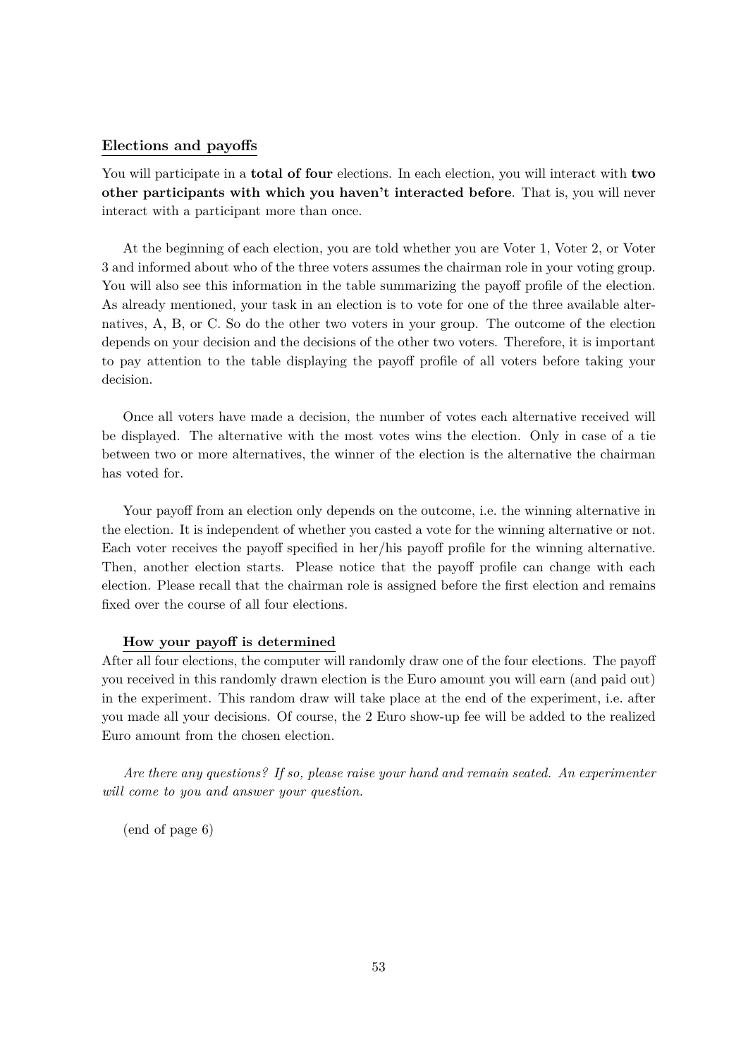### **Elections and payoffs**

You will participate in a **total of four** elections. In each election, you will interact with **two other participants with which you haven't interacted before**. That is, you will never interact with a participant more than once.

At the beginning of each election, you are told whether you are Voter 1, Voter 2, or Voter 3 and informed about who of the three voters assumes the chairman role in your voting group. You will also see this information in the table summarizing the payoff profile of the election. As already mentioned, your task in an election is to vote for one of the three available alternatives, A, B, or C. So do the other two voters in your group. The outcome of the election depends on your decision and the decisions of the other two voters. Therefore, it is important to pay attention to the table displaying the payoff profile of all voters before taking your decision.

Once all voters have made a decision, the number of votes each alternative received will be displayed. The alternative with the most votes wins the election. Only in case of a tie between two or more alternatives, the winner of the election is the alternative the chairman has voted for.

Your payoff from an election only depends on the outcome, i.e. the winning alternative in the election. It is independent of whether you casted a vote for the winning alternative or not. Each voter receives the payoff specified in her/his payoff profile for the winning alternative. Then, another election starts. Please notice that the payoff profile can change with each election. Please recall that the chairman role is assigned before the first election and remains fixed over the course of all four elections.

### **How your payoff is determined**

After all four elections, the computer will randomly draw one of the four elections. The payoff you received in this randomly drawn election is the Euro amount you will earn (and paid out) in the experiment. This random draw will take place at the end of the experiment, i.e. after you made all your decisions. Of course, the 2 Euro show-up fee will be added to the realized Euro amount from the chosen election.

*Are there any questions? If so, please raise your hand and remain seated. An experimenter will come to you and answer your question.*

(end of page 6)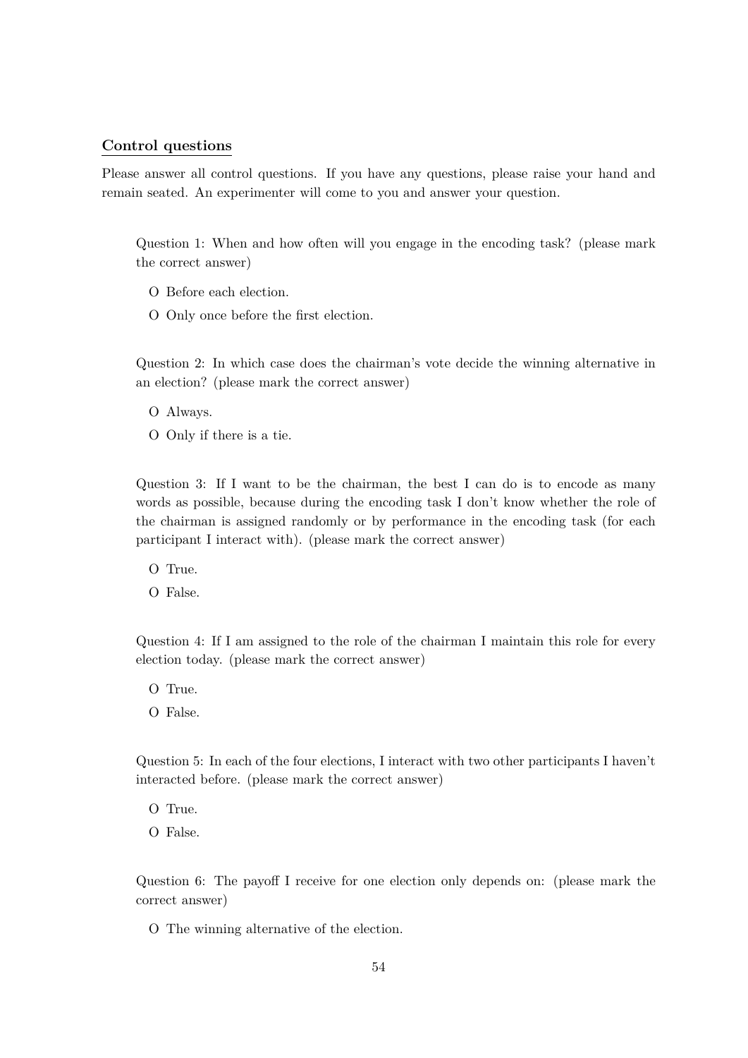### **Control questions**

Please answer all control questions. If you have any questions, please raise your hand and remain seated. An experimenter will come to you and answer your question.

Question 1: When and how often will you engage in the encoding task? (please mark the correct answer)

- O Before each election.
- O Only once before the first election.

Question 2: In which case does the chairman's vote decide the winning alternative in an election? (please mark the correct answer)

- O Always.
- O Only if there is a tie.

Question 3: If I want to be the chairman, the best I can do is to encode as many words as possible, because during the encoding task I don't know whether the role of the chairman is assigned randomly or by performance in the encoding task (for each participant I interact with). (please mark the correct answer)

O True.

O False.

Question 4: If I am assigned to the role of the chairman I maintain this role for every election today. (please mark the correct answer)

O True. O False.

Question 5: In each of the four elections, I interact with two other participants I haven't interacted before. (please mark the correct answer)

- O True.
- O False.

Question 6: The payoff I receive for one election only depends on: (please mark the correct answer)

O The winning alternative of the election.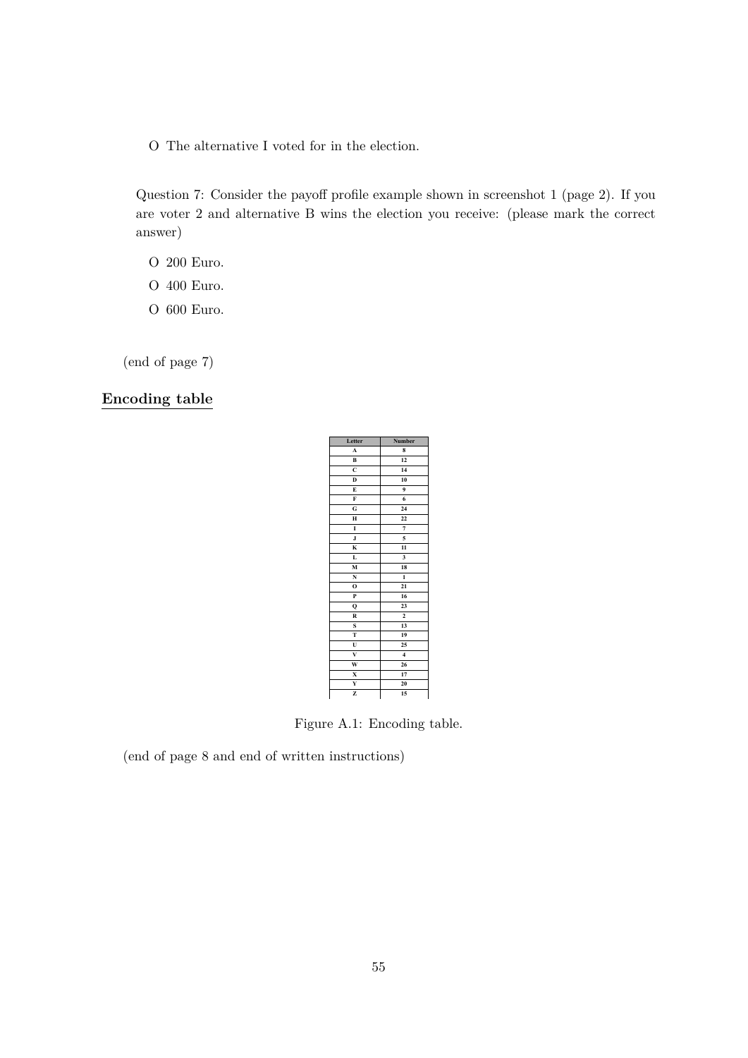O The alternative I voted for in the election.

Question 7: Consider the payoff profile example shown in screenshot 1 (page 2). If you are voter 2 and alternative B wins the election you receive: (please mark the correct answer)

- O 200 Euro.
- O 400 Euro.
- O 600 Euro.

(end of page 7)

## **Encoding table**

| Letter                  | Number                  |
|-------------------------|-------------------------|
| A                       | 8                       |
| B                       | 12                      |
| Ċ                       | 14                      |
| D                       | 10                      |
| Ē                       | 9                       |
| F                       | 6                       |
| G                       | 24                      |
| H                       | 22                      |
| I                       | $\overline{7}$          |
| $\mathbf J$             | 5                       |
| K                       | $\overline{11}$         |
| L                       | 3                       |
| M                       | 18                      |
| N                       | $\mathbf{1}$            |
| $\mathbf{o}$            | 21                      |
| P                       | 16                      |
| Q                       | 23                      |
| R                       | $\overline{\mathbf{c}}$ |
| S                       | 13                      |
| T                       | 19                      |
| U                       | 25                      |
| $\overline{\mathbf{v}}$ | $\overline{4}$          |
| $\overline{\mathbf{w}}$ | 26                      |
| X                       | 17                      |
| Y                       | 20                      |
| z                       | 15                      |

Figure A.1: Encoding table.

(end of page 8 and end of written instructions)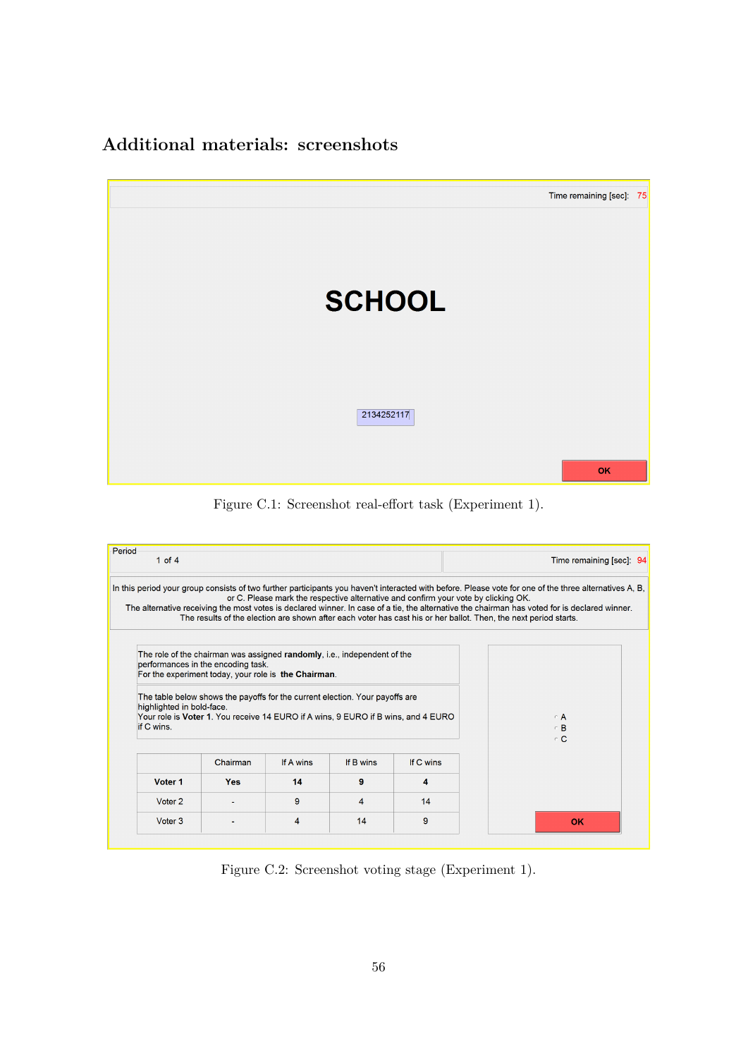# **Additional materials: screenshots**



Figure C.1: Screenshot real-effort task (Experiment 1).

<span id="page-56-0"></span>

| Period<br>1 of $4$                      |                                                                                                                                                                        |           |           |                                                                                    | Time remaining [sec]: 94                                                                                                                                                                                                                                                                                                                                                                                                    |
|-----------------------------------------|------------------------------------------------------------------------------------------------------------------------------------------------------------------------|-----------|-----------|------------------------------------------------------------------------------------|-----------------------------------------------------------------------------------------------------------------------------------------------------------------------------------------------------------------------------------------------------------------------------------------------------------------------------------------------------------------------------------------------------------------------------|
|                                         |                                                                                                                                                                        |           |           | or C. Please mark the respective alternative and confirm your vote by clicking OK. | In this period your group consists of two further participants you haven't interacted with before. Please vote for one of the three alternatives A, B,<br>The alternative receiving the most votes is declared winner. In case of a tie, the alternative the chairman has voted for is declared winner.<br>The results of the election are shown after each voter has cast his or her ballot. Then, the next period starts. |
|                                         | The role of the chairman was assigned randomly, i.e., independent of the<br>performances in the encoding task.<br>For the experiment today, your role is the Chairman. |           |           |                                                                                    |                                                                                                                                                                                                                                                                                                                                                                                                                             |
| highlighted in bold-face.<br>if C wins. | The table below shows the payoffs for the current election. Your payoffs are<br>Your role is Voter 1. You receive 14 EURO if A wins, 9 EURO if B wins, and 4 EURO      |           |           |                                                                                    | $\in$ A<br>$\in$ B<br>$\in \mathbf{C}$                                                                                                                                                                                                                                                                                                                                                                                      |
|                                         | Chairman                                                                                                                                                               | If A wins | If B wins | If C wins                                                                          |                                                                                                                                                                                                                                                                                                                                                                                                                             |
| Voter <sub>1</sub>                      | Yes                                                                                                                                                                    | 14        | 9         | A                                                                                  |                                                                                                                                                                                                                                                                                                                                                                                                                             |
| Voter <sub>2</sub>                      |                                                                                                                                                                        | 9         | 4         | 14                                                                                 |                                                                                                                                                                                                                                                                                                                                                                                                                             |

Figure C.2: Screenshot voting stage (Experiment 1).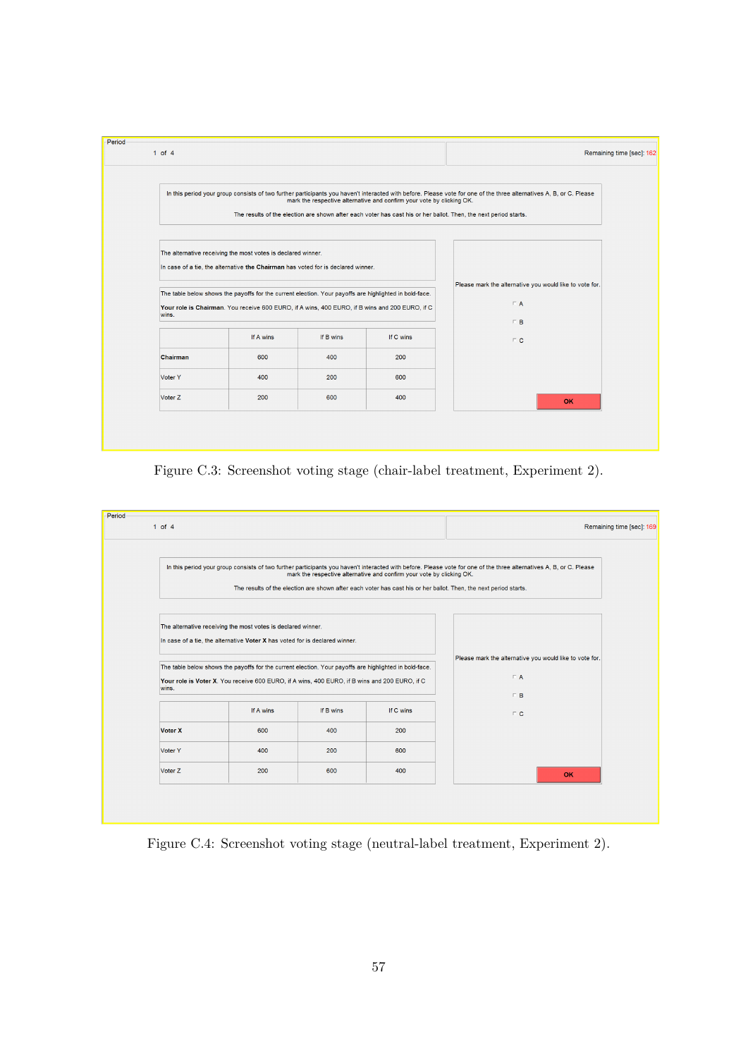

Figure C.3: Screenshot voting stage (chair-label treatment, Experiment 2).

<span id="page-57-0"></span>

Figure C.4: Screenshot voting stage (neutral-label treatment, Experiment 2).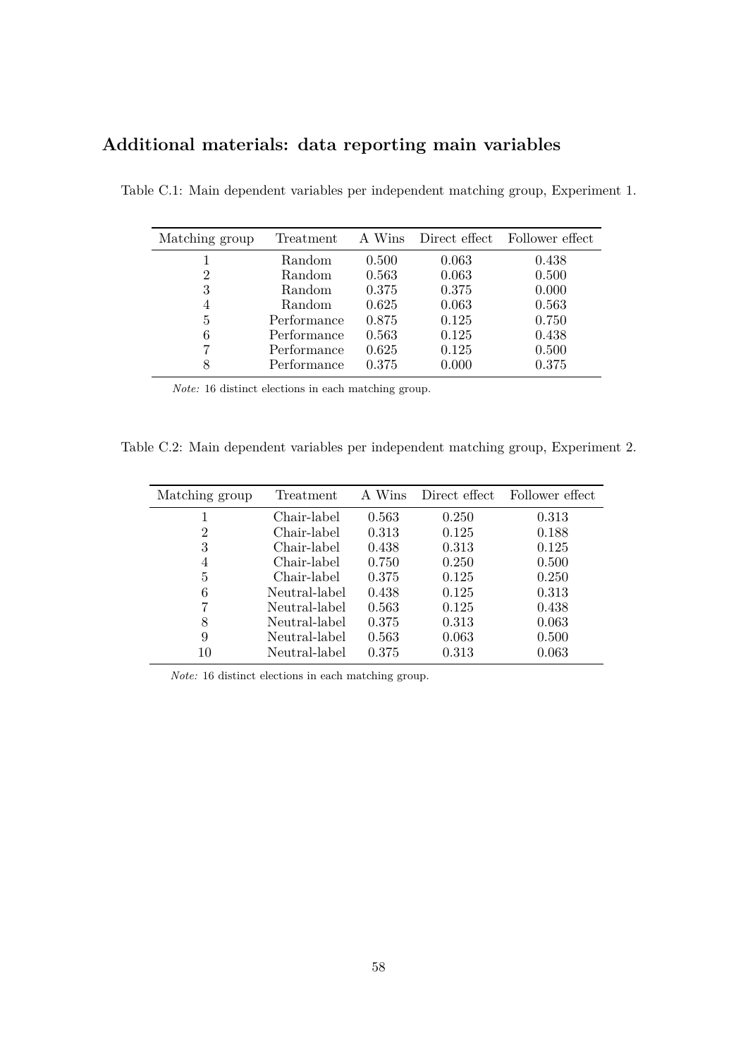# **Additional materials: data reporting main variables**

| Matching group | Treatment   | A Wins |       | Direct effect Follower effect |
|----------------|-------------|--------|-------|-------------------------------|
|                | Random      | 0.500  | 0.063 | 0.438                         |
| $\overline{2}$ | Random      | 0.563  | 0.063 | 0.500                         |
| 3              | Random      | 0.375  | 0.375 | 0.000                         |
| 4              | Random      | 0.625  | 0.063 | 0.563                         |
| 5              | Performance | 0.875  | 0.125 | 0.750                         |
| 6              | Performance | 0.563  | 0.125 | 0.438                         |
|                | Performance | 0.625  | 0.125 | 0.500                         |
| 8              | Performance | 0.375  | 0.000 | 0.375                         |

Table C.1: Main dependent variables per independent matching group, Experiment 1.

*Note:* 16 distinct elections in each matching group.

Table C.2: Main dependent variables per independent matching group, Experiment 2.

| Matching group | Treatment     | A Wins | Direct effect | Follower effect |
|----------------|---------------|--------|---------------|-----------------|
|                | Chair-label   | 0.563  | 0.250         | 0.313           |
| 2              | Chair-label   | 0.313  | 0.125         | 0.188           |
| 3              | Chair-label   | 0.438  | 0.313         | 0.125           |
| 4              | Chair-label   | 0.750  | 0.250         | 0.500           |
| 5              | Chair-label   | 0.375  | 0.125         | 0.250           |
| 6              | Neutral-label | 0.438  | 0.125         | 0.313           |
|                | Neutral-label | 0.563  | 0.125         | 0.438           |
| 8              | Neutral-label | 0.375  | 0.313         | 0.063           |
| 9              | Neutral-label | 0.563  | 0.063         | 0.500           |
| 10             | Neutral-label | 0.375  | 0.313         | 0.063           |

*Note:* 16 distinct elections in each matching group.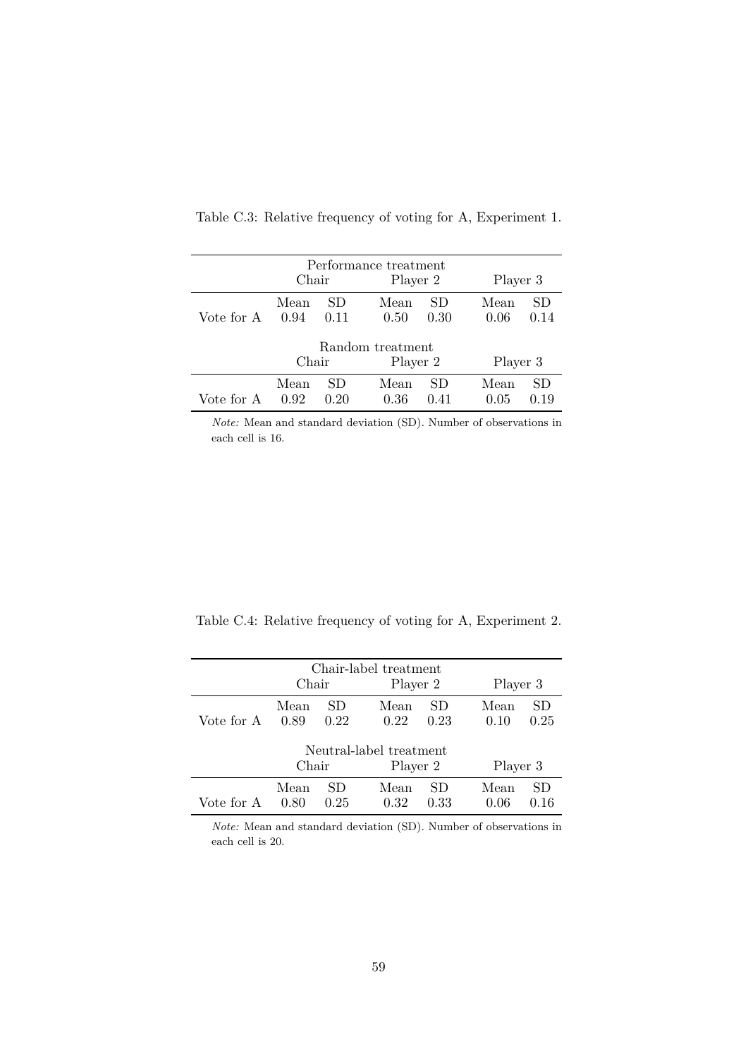|            | Performance treatment |                  |          |          |          |      |  |  |  |  |
|------------|-----------------------|------------------|----------|----------|----------|------|--|--|--|--|
|            | Chair                 |                  | Player 2 |          | Player 3 |      |  |  |  |  |
|            | Mean                  | SD.              | Mean     | SD       | Mean     | SD   |  |  |  |  |
| Vote for A | 0.94                  | 0.11             | 0.50     | 0.30     | 0.06     | 0.14 |  |  |  |  |
|            |                       | Random treatment |          |          |          |      |  |  |  |  |
|            |                       | Chair            |          | Player 2 | Player 3 |      |  |  |  |  |
|            | Mean                  | SD               | Mean     | SD       | Mean     | SD   |  |  |  |  |
| Vote for A | 0.92                  | 0.20             | 0.36     | 0.41     | 0.05     | 0.19 |  |  |  |  |

Table C.3: Relative frequency of voting for A, Experiment 1.

*Note:* Mean and standard deviation (SD). Number of observations in each cell is 16.

Table C.4: Relative frequency of voting for A, Experiment 2.

|            | Chair        |             | Chair-label treatment<br>Player 2   |            |              | Player 3   |  |  |  |
|------------|--------------|-------------|-------------------------------------|------------|--------------|------------|--|--|--|
| Vote for A | Mean<br>0.89 | SD.<br>0.22 | Mean<br>0.22                        | SD<br>0.23 | Mean<br>0.10 | SD<br>0.25 |  |  |  |
|            | Chair        |             | Neutral-label treatment<br>Player 2 |            | Player 3     |            |  |  |  |
| Vote for A | Mean<br>0.80 | SD<br>0.25  | Mean<br>0.32                        | SD<br>0.33 | Mean<br>0.06 | SD<br>0.16 |  |  |  |

*Note:* Mean and standard deviation (SD). Number of observations in each cell is 20.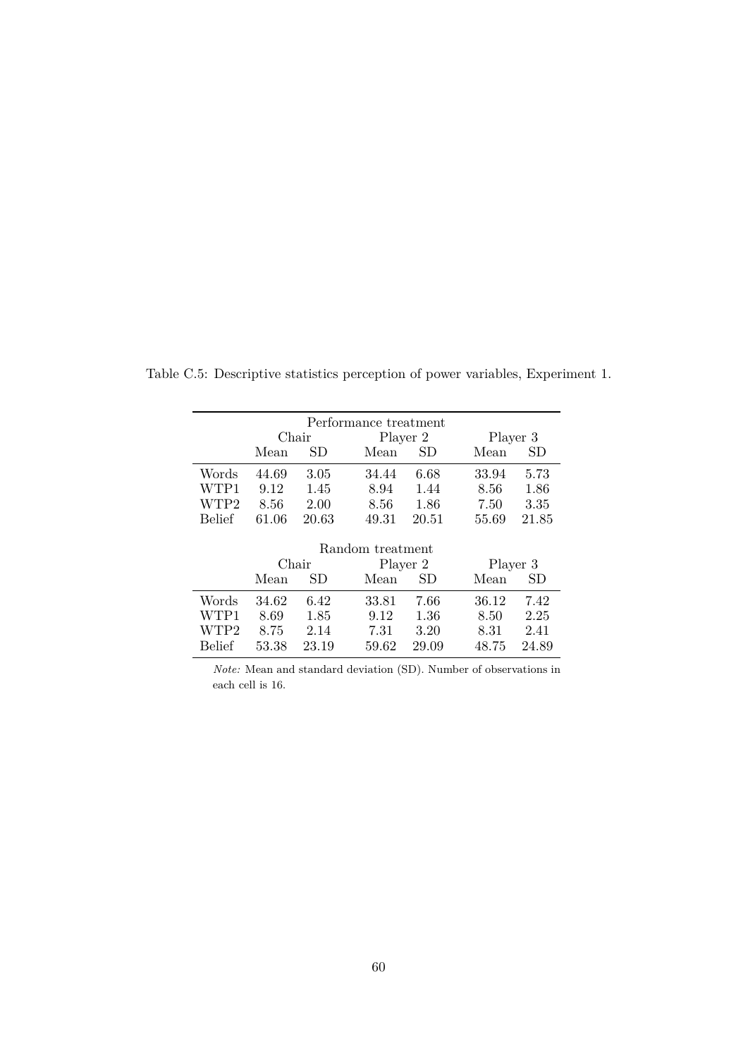| Performance treatment |           |       |                  |       |          |       |  |  |  |  |
|-----------------------|-----------|-------|------------------|-------|----------|-------|--|--|--|--|
|                       | Chair     |       | Player 2         |       | Player 3 |       |  |  |  |  |
|                       | Mean      | SD    | Mean             | SD    | Mean     | SD    |  |  |  |  |
| Words                 | 44.69     | 3.05  | 34.44            | 6.68  | 33.94    | 5.73  |  |  |  |  |
| WTP1                  | 9.12      | 1.45  | 8.94             | 1.44  | 8.56     | 1.86  |  |  |  |  |
| WTP2                  | 8.56      | 2.00  | 8.56             | 1.86  | 7.50     | 3.35  |  |  |  |  |
| <b>Belief</b>         | 61.06     | 20.63 | 49.31            | 20.51 | 55.69    | 21.85 |  |  |  |  |
|                       |           |       |                  |       |          |       |  |  |  |  |
|                       |           |       | Random treatment |       |          |       |  |  |  |  |
|                       | Chair     |       | Player 2         |       | Player 3 |       |  |  |  |  |
|                       | Mean      | SD    | Mean             | SD    | Mean     | SD    |  |  |  |  |
| Words                 | 34.62     | 6.42  | 33.81            | 7.66  | 36.12    | 7.42  |  |  |  |  |
| WTP1                  | 8.69      | 1.85  | 9.12             | 1.36  | 8.50     | 2.25  |  |  |  |  |
| WTP2                  | 8.75      | 2.14  | 7.31             | 3.20  | 8.31     | 2.41  |  |  |  |  |
| <b>Belief</b>         | $53.38\,$ | 23.19 | 59.62            | 29.09 | 48.75    | 24.89 |  |  |  |  |

Table C.5: Descriptive statistics perception of power variables, Experiment 1.

*Note:* Mean and standard deviation (SD). Number of observations in each cell is 16.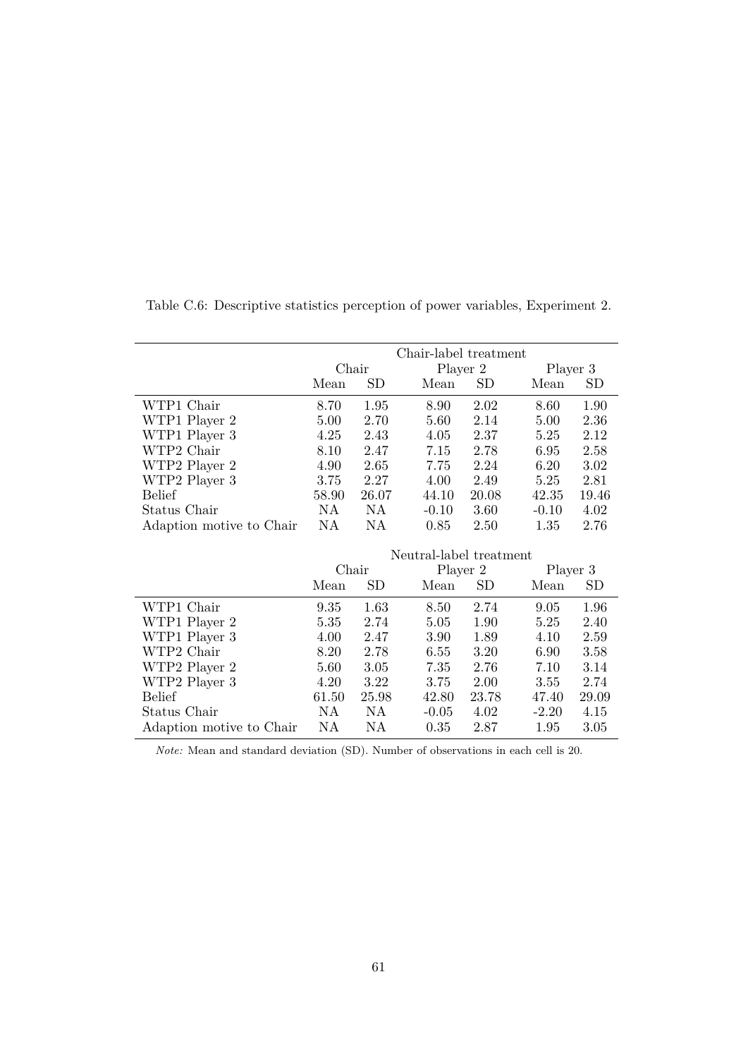|                          |       |             | Chair-label treatment   |       |          |          |
|--------------------------|-------|-------------|-------------------------|-------|----------|----------|
|                          | Chair |             | Player 2                |       | Player 3 |          |
|                          | Mean  | SD          | Mean                    | SD    | Mean     | SD       |
| WTP1 Chair               | 8.70  | 1.95        | 8.90                    | 2.02  | 8.60     | 1.90     |
| WTP1 Player 2            | 5.00  | 2.70        | 5.60                    | 2.14  | 5.00     | 2.36     |
| WTP1 Player 3            | 4.25  | 2.43        | 4.05                    | 2.37  | 5.25     | 2.12     |
| WTP2 Chair               | 8.10  | 2.47        | 7.15                    | 2.78  | 6.95     | 2.58     |
| WTP2 Player 2            | 4.90  | 2.65        | 7.75                    | 2.24  | 6.20     | $3.02\,$ |
| WTP2 Player 3            | 3.75  | 2.27        | 4.00                    | 2.49  | 5.25     | 2.81     |
| Belief                   | 58.90 | 26.07       | 44.10                   | 20.08 | 42.35    | 19.46    |
| Status Chair             | NA.   | NA          | $-0.10$                 | 3.60  | $-0.10$  | 4.02     |
| Adaption motive to Chair | NA    | NA          | 0.85                    | 2.50  | 1.35     | 2.76     |
|                          |       |             |                         |       |          |          |
|                          |       |             | Neutral-label treatment |       |          |          |
|                          |       | Chair       | Player 2                |       | Player 3 |          |
|                          | Mean  | $_{\rm SD}$ | Mean                    | SD    | Mean     | SD       |
| WTP1 Chair               | 9.35  | 1.63        | 8.50                    | 2.74  | 9.05     | 1.96     |
| WTP1 Player 2            | 5.35  | 2.74        | 5.05                    | 1.90  | 5.25     | 2.40     |
| WTP1 Player 3            | 4.00  | 2.47        | 3.90                    | 1.89  | 4.10     | 2.59     |
| WTP2 Chair               | 8.20  | 2.78        | 6.55                    | 3.20  | 6.90     | 3.58     |
| WTP2 Player 2            | 5.60  | 3.05        | 7.35                    | 2.76  | 7.10     | 3.14     |
| WTP2 Player 3            | 4.20  | 3.22        | 3.75                    | 2.00  | 3.55     | 2.74     |
| Belief                   | 61.50 | 25.98       | 42.80                   | 23.78 | 47.40    | 29.09    |
| Status Chair             | NA    | NA          | $-0.05$                 | 4.02  | $-2.20$  | 4.15     |

Table C.6: Descriptive statistics perception of power variables, Experiment 2.

*Note:* Mean and standard deviation (SD). Number of observations in each cell is 20.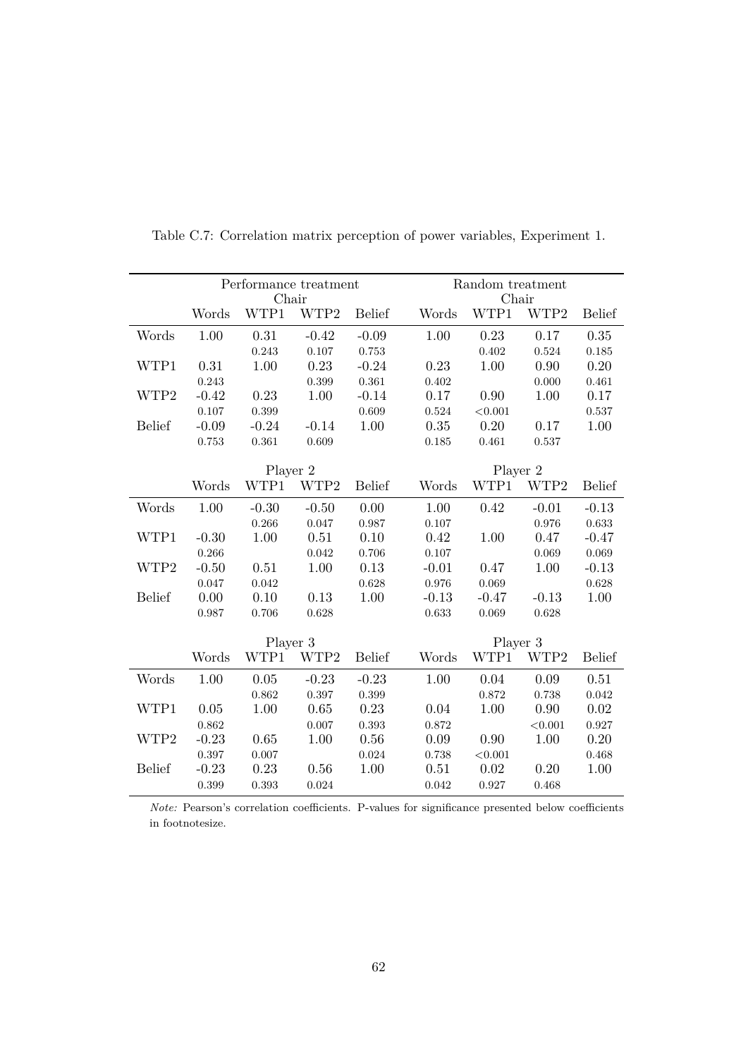|               |          | Performance treatment<br>Chair |         |               | Random treatment<br>Chair |          |         |               |  |  |  |
|---------------|----------|--------------------------------|---------|---------------|---------------------------|----------|---------|---------------|--|--|--|
|               | Words    | WTP1                           | WTP2    | <b>Belief</b> | Words                     | WTP1     | WTP2    | <b>Belief</b> |  |  |  |
| Words         | 1.00     | 0.31                           | $-0.42$ | $-0.09$       | 1.00                      | 0.23     | 0.17    | 0.35          |  |  |  |
|               |          | 0.243                          | 0.107   | 0.753         |                           | 0.402    | 0.524   | 0.185         |  |  |  |
| WTP1          | 0.31     | 1.00                           | 0.23    | $-0.24$       | 0.23                      | 1.00     | 0.90    | 0.20          |  |  |  |
|               | 0.243    |                                | 0.399   | 0.361         | 0.402                     |          | 0.000   | 0.461         |  |  |  |
| WTP2          | $-0.42$  | 0.23                           | 1.00    | $-0.14$       | 0.17                      | 0.90     | 1.00    | 0.17          |  |  |  |
|               | 0.107    | 0.399                          |         | 0.609         | 0.524                     | < 0.001  |         | 0.537         |  |  |  |
| <b>Belief</b> | $-0.09$  | $-0.24$                        | $-0.14$ | 1.00          | 0.35                      | 0.20     | 0.17    | 1.00          |  |  |  |
|               | $\!.753$ | 0.361                          | 0.609   |               | 0.185                     | 0.461    | 0.537   |               |  |  |  |
|               |          |                                |         |               |                           |          |         |               |  |  |  |
|               | Player 2 |                                |         |               | Player 2                  |          |         |               |  |  |  |
|               | Words    | WTP1                           | WTP2    | <b>Belief</b> | Words                     | WTP1     | WTP2    | <b>Belief</b> |  |  |  |
| Words         | 1.00     | $-0.30$                        | $-0.50$ | 0.00          | 1.00                      | 0.42     | $-0.01$ | $-0.13$       |  |  |  |
|               |          | 0.266                          | 0.047   | 0.987         | 0.107                     |          | 0.976   | 0.633         |  |  |  |
| WTP1          | $-0.30$  | 1.00                           | 0.51    | 0.10          | 0.42                      | 1.00     | 0.47    | $-0.47$       |  |  |  |
|               | 0.266    |                                | 0.042   | 0.706         | 0.107                     |          | 0.069   | 0.069         |  |  |  |
| WTP2          | $-0.50$  | 0.51                           | 1.00    | 0.13          | $-0.01$                   | 0.47     | 1.00    | $-0.13$       |  |  |  |
|               | 0.047    | 0.042                          |         | 0.628         | 0.976                     | 0.069    |         | 0.628         |  |  |  |
| <b>Belief</b> | 0.00     | 0.10                           | 0.13    | 1.00          | $-0.13$                   | $-0.47$  | $-0.13$ | 1.00          |  |  |  |
|               | 0.987    | 0.706                          | 0.628   |               | 0.633                     | 0.069    | 0.628   |               |  |  |  |
|               |          | Player 3                       |         |               |                           | Player 3 |         |               |  |  |  |
|               | Words    | WTP1                           | WTP2    | <b>Belief</b> | Words                     | WTP1     | WTP2    | <b>Belief</b> |  |  |  |
| Words         | 1.00     | 0.05                           | $-0.23$ | $-0.23$       | 1.00                      | 0.04     | 0.09    | 0.51          |  |  |  |
|               |          | 0.862                          | 0.397   | 0.399         |                           | 0.872    | 0.738   | 0.042         |  |  |  |
| WTP1          | 0.05     | 1.00                           | 0.65    | 0.23          | 0.04                      | 1.00     | 0.90    | 0.02          |  |  |  |
|               | 0.862    |                                | 0.007   | 0.393         | 0.872                     |          | < 0.001 | 0.927         |  |  |  |
| WTP2          | $-0.23$  | 0.65                           | 1.00    | 0.56          | 0.09                      | 0.90     | 1.00    | 0.20          |  |  |  |
|               | 0.397    | 0.007                          |         | 0.024         | 0.738                     | < 0.001  |         | 0.468         |  |  |  |
| <b>Belief</b> | $-0.23$  | 0.23                           | 0.56    | 1.00          | 0.51                      | 0.02     | 0.20    | 1.00          |  |  |  |
|               | 0.399    | 0.393                          | 0.024   |               | 0.042                     | 0.927    | 0.468   |               |  |  |  |

Table C.7: Correlation matrix perception of power variables, Experiment 1.

*Note:* Pearson's correlation coefficients. P-values for significance presented below coefficients in footnotesize.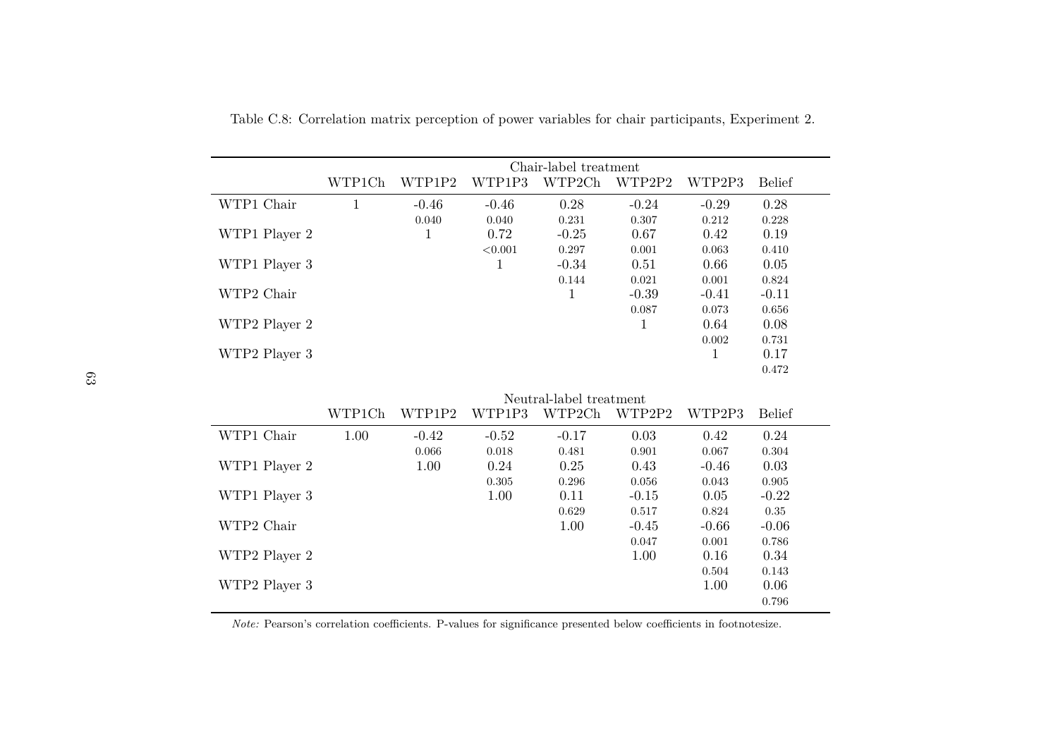|               | Chair-label treatment |         |         |                         |         |         |               |  |  |  |  |
|---------------|-----------------------|---------|---------|-------------------------|---------|---------|---------------|--|--|--|--|
|               | WTP1Ch                | WTP1P2  | WTP1P3  | WTP2Ch                  | WTP2P2  | WTP2P3  | <b>Belief</b> |  |  |  |  |
| WTP1 Chair    | 1                     | $-0.46$ | $-0.46$ | 0.28                    | $-0.24$ | $-0.29$ | 0.28          |  |  |  |  |
|               |                       | 0.040   | 0.040   | 0.231                   | 0.307   | 0.212   | 0.228         |  |  |  |  |
| WTP1 Player 2 |                       | т       | 0.72    | $-0.25$                 | 0.67    | 0.42    | 0.19          |  |  |  |  |
|               |                       |         | < 0.001 | 0.297                   | 0.001   | 0.063   | 0.410         |  |  |  |  |
| WTP1 Player 3 |                       |         |         | $-0.34$                 | 0.51    | 0.66    | 0.05          |  |  |  |  |
|               |                       |         |         | 0.144                   | 0.021   | 0.001   | 0.824         |  |  |  |  |
| WTP2 Chair    |                       |         |         | 1                       | $-0.39$ | $-0.41$ | $-0.11$       |  |  |  |  |
|               |                       |         |         |                         | 0.087   | 0.073   | 0.656         |  |  |  |  |
| WTP2 Player 2 |                       |         |         |                         | 1       | 0.64    | 0.08          |  |  |  |  |
|               |                       |         |         |                         |         | 0.002   | 0.731         |  |  |  |  |
| WTP2 Player 3 |                       |         |         |                         |         | 1       | 0.17          |  |  |  |  |
|               |                       |         |         |                         |         |         | 0.472         |  |  |  |  |
|               |                       |         |         |                         |         |         |               |  |  |  |  |
|               |                       |         |         | Neutral-label treatment |         |         |               |  |  |  |  |
|               | WTP1Ch                | WTP1P2  | WTP1P3  | WTP2Ch                  | WTP2P2  | WTP2P3  | <b>Belief</b> |  |  |  |  |
| WTP1 Chair    | 1.00                  | $-0.42$ | $-0.52$ | $-0.17$                 | 0.03    | 0.42    | 0.24          |  |  |  |  |
|               |                       | 0.066   | 0.018   | 0.191                   | 0.001   | 0.067   | 0.304         |  |  |  |  |

Table C.8: Correlation matrix perception of power variables for chair participants, Experiment 2.

|               | WTP1Ch | WTP1P2  | WTP1P3  | Neutral-label treatment<br>WTP2Ch | WTP2P2  | WTP2P3  | <b>Belief</b> |
|---------------|--------|---------|---------|-----------------------------------|---------|---------|---------------|
| WTP1 Chair    | 1.00   | $-0.42$ | $-0.52$ | $-0.17$                           | 0.03    | 0.42    | 0.24          |
|               |        | 0.066   | 0.018   | 0.481                             | 0.901   | 0.067   | 0.304         |
| WTP1 Player 2 |        | 1.00    | 0.24    | 0.25                              | 0.43    | $-0.46$ | 0.03          |
|               |        |         | 0.305   | 0.296                             | 0.056   | 0.043   | 0.905         |
| WTP1 Player 3 |        |         | 1.00    | 0.11                              | $-0.15$ | 0.05    | $-0.22$       |
|               |        |         |         | 0.629                             | 0.517   | 0.824   | 0.35          |
| WTP2 Chair    |        |         |         | 1.00                              | $-0.45$ | $-0.66$ | $-0.06$       |
|               |        |         |         |                                   | 0.047   | 0.001   | 0.786         |
| WTP2 Player 2 |        |         |         |                                   | 1.00    | 0.16    | 0.34          |
|               |        |         |         |                                   |         | 0.504   | 0.143         |
| WTP2 Player 3 |        |         |         |                                   |         | 1.00    | 0.06          |
|               |        |         |         |                                   |         |         | 0.796         |

*Note:* Pearson's correlation coefficients. P-values for significance presented below coefficients in footnotesize.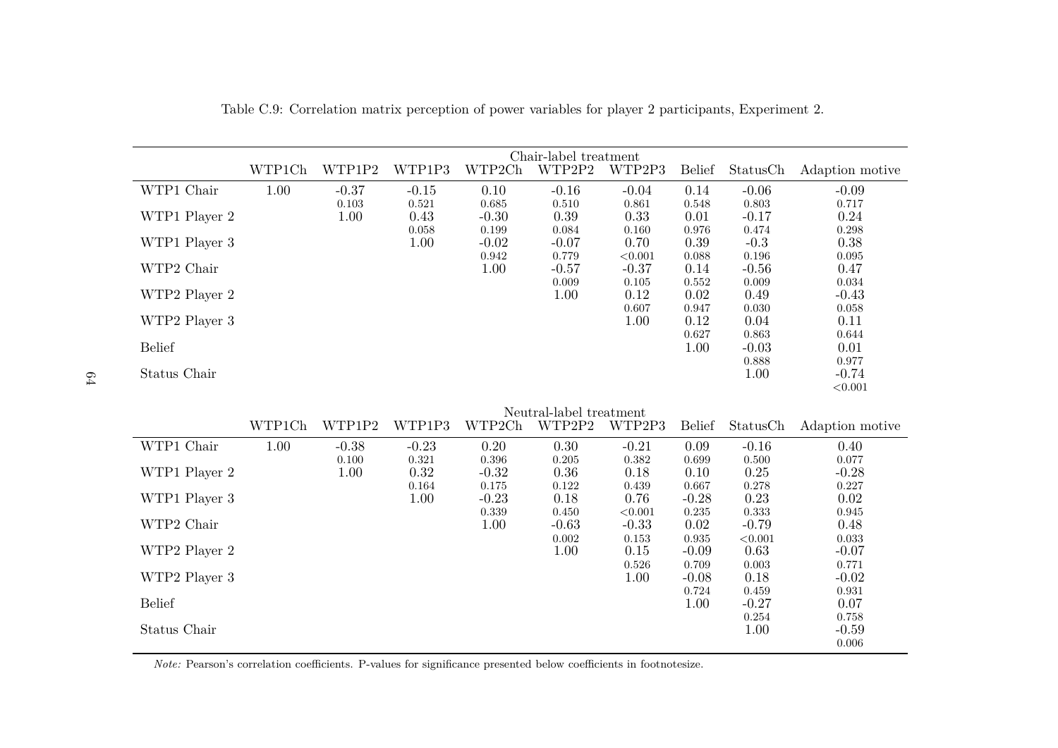|               | Chair-label treatment |             |         |         |                         |               |                  |               |                  |  |  |
|---------------|-----------------------|-------------|---------|---------|-------------------------|---------------|------------------|---------------|------------------|--|--|
|               | WTP1Ch                | WTP1P2      | WTP1P3  | WTP2Ch  | WTP2P2                  | WTP2P3        | <b>Belief</b>    | StatusCh      | Adaption motive  |  |  |
| WTP1 Chair    | 1.00                  | $-0.37$     | $-0.15$ | 0.10    | $-0.16$                 | $-0.04$       | 0.14             | $-0.06$       | $-0.09$          |  |  |
|               |                       | $\rm 0.103$ | 0.521   | 0.685   | 0.510                   | 0.861         | 0.548            | 0.803         | 0.717            |  |  |
| WTP1 Player 2 |                       | 1.00        | 0.43    | $-0.30$ | 0.39                    | 0.33          | 0.01             | $-0.17$       | 0.24             |  |  |
|               |                       |             | 0.058   | 0.199   | 0.084                   | 0.160         | 0.976            | 0.474         | 0.298            |  |  |
| WTP1 Player 3 |                       |             | 1.00    | $-0.02$ | $-0.07$                 | 0.70          | 0.39             | $-0.3$        | $0.38\,$         |  |  |
|               |                       |             |         | 0.942   | 0.779                   | < 0.001       | 0.088            | 0.196         | 0.095            |  |  |
| WTP2 Chair    |                       |             |         | 1.00    | $-0.57$                 | $-0.37$       | 0.14             | $-0.56$       | 0.47             |  |  |
|               |                       |             |         |         | 0.009                   | 0.105         | 0.552            | 0.009         | 0.034            |  |  |
| WTP2 Player 2 |                       |             |         |         | 1.00                    | 0.12          | 0.02             | 0.49          | $-0.43$          |  |  |
|               |                       |             |         |         |                         | 0.607         | 0.947            | 0.030         | 0.058            |  |  |
| WTP2 Player 3 |                       |             |         |         |                         | 1.00          | 0.12             | 0.04          | 0.11             |  |  |
|               |                       |             |         |         |                         |               | 0.627            | 0.863         | $\,0.644\,$      |  |  |
| <b>Belief</b> |                       |             |         |         |                         |               | 1.00             | $-0.03$       | 0.01             |  |  |
|               |                       |             |         |         |                         |               |                  | 0.888         | 0.977            |  |  |
| Status Chair  |                       |             |         |         |                         |               |                  | 1.00          | $-0.74$          |  |  |
|               |                       |             |         |         |                         |               |                  |               | < 0.001          |  |  |
|               |                       |             |         |         | Neutral-label treatment |               |                  |               |                  |  |  |
|               | WTP1Ch                | WTP1P2      | WTP1P3  | WTP2Ch  | WTP2P2                  | WTP2P3        | <b>Belief</b>    | StatusCh      | Adaption motive  |  |  |
|               |                       |             |         |         |                         |               |                  |               |                  |  |  |
| WTP1 Chair    | 1.00                  | $-0.38$     | $-0.23$ | 0.20    | 0.30                    | $-0.21$       | 0.09             | $-0.16$       | 0.40             |  |  |
|               |                       | 0.100       | 0.321   | 0.396   | 0.205                   | 0.382         | 0.699            | 0.500         | 0.077            |  |  |
| WTP1 Player 2 |                       | 1.00        | 0.32    | $-0.32$ | 0.36                    | 0.18          | 0.10             | 0.25          | $-0.28$          |  |  |
|               |                       |             | 0.164   | 0.175   | 0.122                   | 0.439         | 0.667            | 0.278         | 0.227            |  |  |
| WTP1 Player 3 |                       |             | 1.00    | $-0.23$ | 0.18                    | 0.76          | $-0.28$          | 0.23          | $0.02\,$         |  |  |
|               |                       |             |         | 0.339   | 0.450                   | < 0.001       | 0.235            | 0.333         | 0.945            |  |  |
| WTP2 Chair    |                       |             |         | 1.00    | $-0.63$                 | $-0.33$       | 0.02             | $-0.79$       | 0.48             |  |  |
|               |                       |             |         |         | 0.002                   | 0.153         | 0.935            | < 0.001       | 0.033            |  |  |
| WTP2 Player 2 |                       |             |         |         | 1.00                    | 0.15          | $-0.09$          | 0.63          | $-0.07$          |  |  |
| WTP2 Player 3 |                       |             |         |         |                         | 0.526<br>1.00 | 0.709<br>$-0.08$ | 0.003<br>0.18 | 0.771<br>$-0.02$ |  |  |
|               |                       |             |         |         |                         |               | 0.724            | 0.459         | 0.931            |  |  |
|               |                       |             |         |         |                         |               |                  |               |                  |  |  |

 $\text{Belief} \begin{array}{ccc} 1.00 & -0.27 & 0.07 \\ 0.254 & 0.758 \end{array}$ 

Status Chair 1.00 -0.59<br>0.006 -0.59

 $\begin{array}{cccc} 0.724 & \quad & 0.459 & \quad & 0.931 \\ 1.00 & \quad & -0.27 & \quad & 0.07 \\ & \quad & 0.254 & \quad & 0.758 \\ & \quad & 1.00 & \quad & -0.59 \end{array}$ 

0.006

 $\frac{0.254}{1.00}$ 

Table C.9: Correlation matrix perception of power variables for <sup>p</sup>layer <sup>2</sup> participants, Experiment 2.

*Note:* Pearson's correlation coefficients. P-values for significance presented below coefficients in footnotesize.